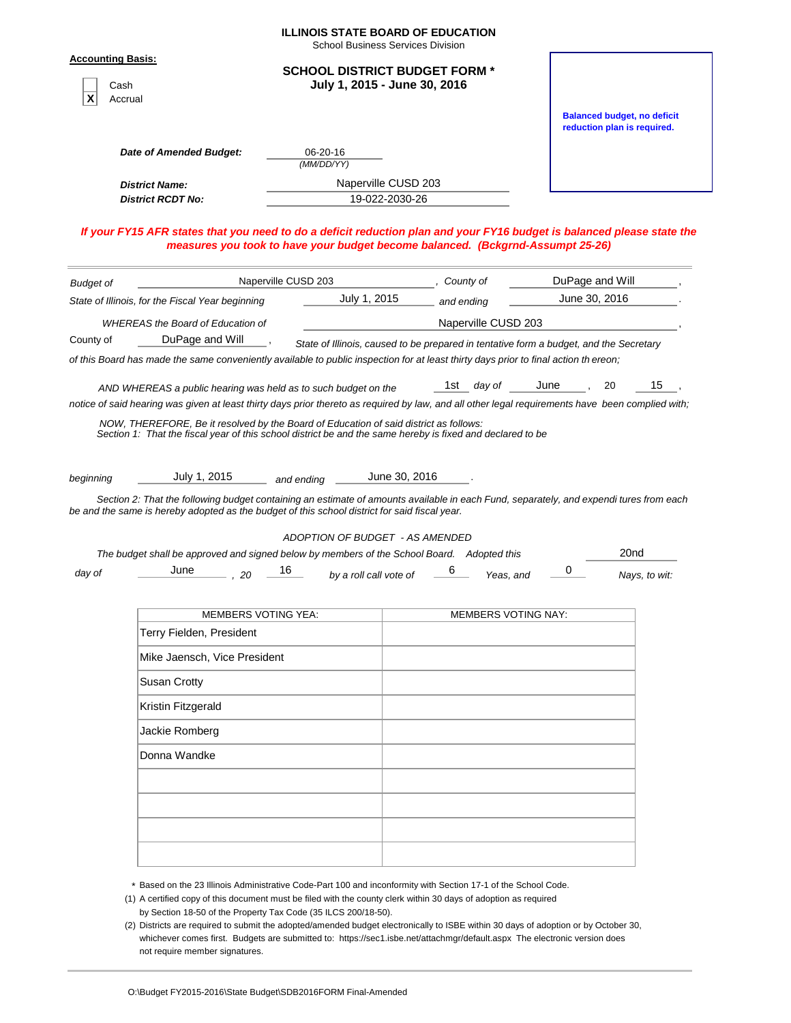|                                             |                                                                                                                                                                                                                                                                                                                                                          | <b>ILLINOIS STATE BOARD OF EDUCATION</b> | <b>School Business Services Division</b>                                               |            |                            |                 |                                    |
|---------------------------------------------|----------------------------------------------------------------------------------------------------------------------------------------------------------------------------------------------------------------------------------------------------------------------------------------------------------------------------------------------------------|------------------------------------------|----------------------------------------------------------------------------------------|------------|----------------------------|-----------------|------------------------------------|
| <b>Accounting Basis:</b><br>Cash<br>Accrual |                                                                                                                                                                                                                                                                                                                                                          |                                          | <b>SCHOOL DISTRICT BUDGET FORM *</b><br>July 1, 2015 - June 30, 2016                   |            |                            |                 | <b>Balanced budget, no deficit</b> |
|                                             |                                                                                                                                                                                                                                                                                                                                                          |                                          |                                                                                        |            |                            |                 | reduction plan is required.        |
|                                             | Date of Amended Budget:                                                                                                                                                                                                                                                                                                                                  | 06-20-16                                 |                                                                                        |            |                            |                 |                                    |
|                                             |                                                                                                                                                                                                                                                                                                                                                          | (MM/DD/YY)                               |                                                                                        |            |                            |                 |                                    |
|                                             | <b>District Name:</b><br><b>District RCDT No:</b>                                                                                                                                                                                                                                                                                                        |                                          | Naperville CUSD 203<br>19-022-2030-26                                                  |            |                            |                 |                                    |
|                                             |                                                                                                                                                                                                                                                                                                                                                          |                                          |                                                                                        |            |                            |                 |                                    |
|                                             | If your FY15 AFR states that you need to do a deficit reduction plan and your FY16 budget is balanced please state the<br>measures you took to have your budget become balanced. (Bckgrnd-Assumpt 25-26)                                                                                                                                                 |                                          |                                                                                        |            |                            |                 |                                    |
| <b>Budget of</b>                            |                                                                                                                                                                                                                                                                                                                                                          | Naperville CUSD 203                      |                                                                                        | County of  |                            | DuPage and Will |                                    |
|                                             | State of Illinois, for the Fiscal Year beginning                                                                                                                                                                                                                                                                                                         |                                          | July 1, 2015                                                                           | and ending |                            | June 30, 2016   |                                    |
|                                             | <b>WHEREAS the Board of Education of</b>                                                                                                                                                                                                                                                                                                                 |                                          |                                                                                        |            | Naperville CUSD 203        |                 |                                    |
| County of                                   | DuPage and Will                                                                                                                                                                                                                                                                                                                                          |                                          | State of Illinois, caused to be prepared in tentative form a budget, and the Secretary |            |                            |                 |                                    |
|                                             | of this Board has made the same conveniently available to public inspection for at least thirty days prior to final action th ereon;                                                                                                                                                                                                                     |                                          |                                                                                        |            |                            |                 |                                    |
|                                             | notice of said hearing was given at least thirty days prior thereto as required by law, and all other legal requirements have been complied with;<br>NOW, THEREFORE, Be it resolved by the Board of Education of said district as follows:<br>Section 1: That the fiscal year of this school district be and the same hereby is fixed and declared to be |                                          |                                                                                        |            |                            |                 |                                    |
|                                             | July 1, 2015<br>Section 2: That the following budget containing an estimate of amounts available in each Fund, separately, and expendi tures from each<br>be and the same is hereby adopted as the budget of this school district for said fiscal year.                                                                                                  | and ending                               | June 30, 2016<br>ADOPTION OF BUDGET - AS AMENDED                                       |            |                            |                 |                                    |
|                                             | The budget shall be approved and signed below by members of the School Board. Adopted this                                                                                                                                                                                                                                                               |                                          |                                                                                        |            |                            |                 | 20nd                               |
| day of                                      | June<br>, 20                                                                                                                                                                                                                                                                                                                                             | 16                                       | by a roll call vote of                                                                 |            | Yeas, and                  | 0               | Nays, to wit:                      |
|                                             |                                                                                                                                                                                                                                                                                                                                                          |                                          |                                                                                        |            |                            |                 |                                    |
|                                             | <b>MEMBERS VOTING YEA:</b><br>Terry Fielden, President                                                                                                                                                                                                                                                                                                   |                                          |                                                                                        |            | <b>MEMBERS VOTING NAY:</b> |                 |                                    |
|                                             | Mike Jaensch, Vice President                                                                                                                                                                                                                                                                                                                             |                                          |                                                                                        |            |                            |                 |                                    |
|                                             | <b>Susan Crotty</b>                                                                                                                                                                                                                                                                                                                                      |                                          |                                                                                        |            |                            |                 |                                    |
|                                             | Kristin Fitzgerald                                                                                                                                                                                                                                                                                                                                       |                                          |                                                                                        |            |                            |                 |                                    |
|                                             | Jackie Romberg                                                                                                                                                                                                                                                                                                                                           |                                          |                                                                                        |            |                            |                 |                                    |
|                                             | Donna Wandke                                                                                                                                                                                                                                                                                                                                             |                                          |                                                                                        |            |                            |                 |                                    |
|                                             |                                                                                                                                                                                                                                                                                                                                                          |                                          |                                                                                        |            |                            |                 |                                    |
|                                             |                                                                                                                                                                                                                                                                                                                                                          |                                          |                                                                                        |            |                            |                 |                                    |
| beginning                                   |                                                                                                                                                                                                                                                                                                                                                          |                                          |                                                                                        |            |                            |                 |                                    |
|                                             |                                                                                                                                                                                                                                                                                                                                                          |                                          |                                                                                        |            |                            |                 |                                    |

(1) A certified copy of this document must be filed with the county clerk within 30 days of adoption as required by Section 18-50 of the Property Tax Code (35 ILCS 200/18-50).

(2) Districts are required to submit the adopted/amended budget electronically to ISBE within 30 days of adoption or by October 30, whichever comes first. Budgets are submitted to: https://sec1.isbe.net/attachmgr/default.aspx The electronic version does not require member signatures.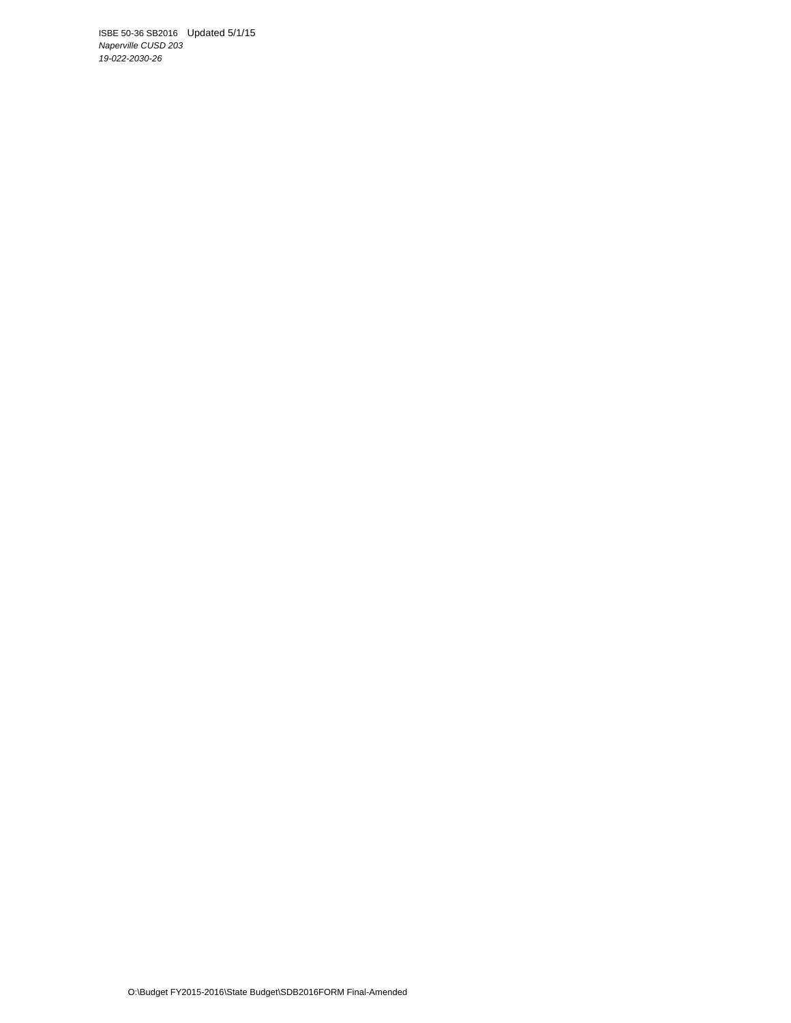ISBE 50-36 SB2016 Updated 5/1/15 *Naperville CUSD 203 19-022-2030-26*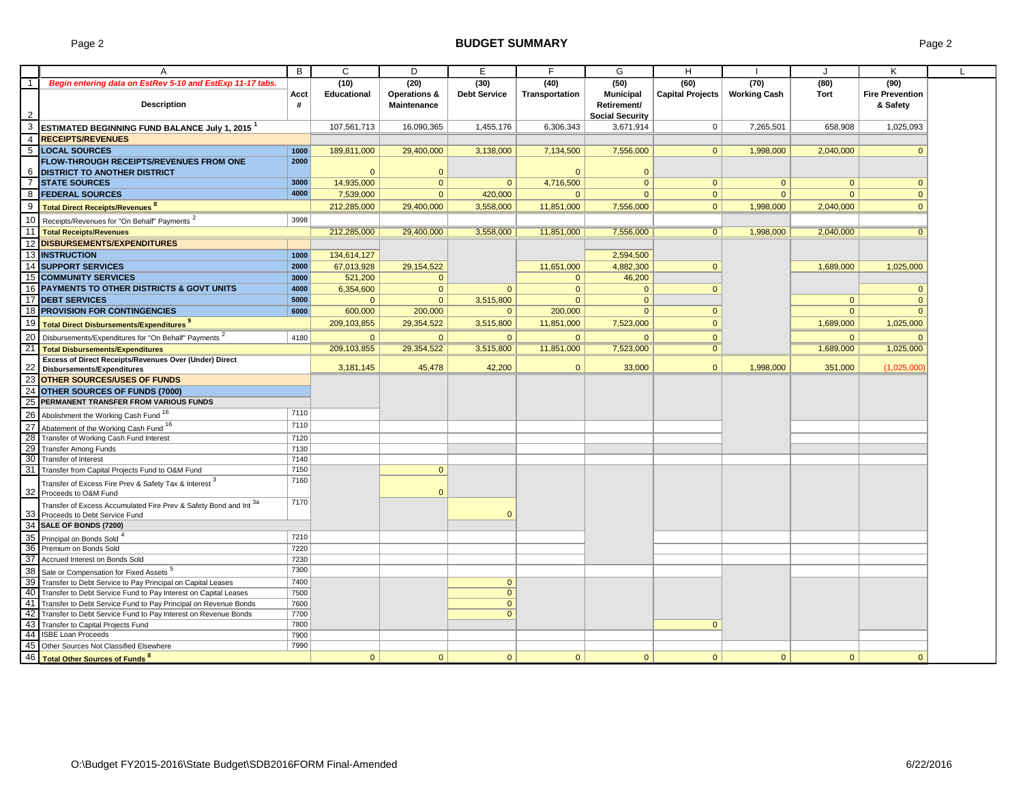## Page 2 **BUDGET SUMMARY** Page 2

|                | A                                                                                                     | B    | $\mathbf{C}$       | D            | E                   | F              | G                        | H                       |                     | $\cdot$                  | K                        |  |
|----------------|-------------------------------------------------------------------------------------------------------|------|--------------------|--------------|---------------------|----------------|--------------------------|-------------------------|---------------------|--------------------------|--------------------------|--|
| $\overline{1}$ | Begin entering data on EstRev 5-10 and EstExp 11-17 tabs.                                             |      | (10)               | (20)         | (30)                | (40)           | (50)                     | (60)                    | (70)                | (80)                     | (90)                     |  |
|                |                                                                                                       | Acct | <b>Educational</b> | Operations & | <b>Debt Service</b> | Transportation | <b>Municipal</b>         | <b>Capital Projects</b> | <b>Working Cash</b> | Tort                     | <b>Fire Prevention</b>   |  |
|                | <b>Description</b>                                                                                    | #    |                    | Maintenance  |                     |                | Retirement/              |                         |                     |                          | & Safety                 |  |
| $\overline{2}$ |                                                                                                       |      |                    |              |                     |                | <b>Social Security</b>   |                         |                     |                          |                          |  |
| $\mathbf{3}$   | <b>ESTIMATED BEGINNING FUND BALANCE July 1, 2015<sup>1</sup></b>                                      |      | 107,561,713        | 16,090,365   | 1,455,176           | 6,306,343      | 3,671,914                | $\mathbf 0$             | 7,265,501           | 658,908                  | 1,025,093                |  |
| $\overline{4}$ | <b>RECEIPTS/REVENUES</b>                                                                              |      |                    |              |                     |                |                          |                         |                     |                          |                          |  |
|                | 5 LOCAL SOURCES                                                                                       | 1000 | 189,811,000        | 29,400,000   | 3,138,000           | 7,134,500      | 7,556,000                | $\mathbf{0}$            | 1,998,000           | 2,040,000                | $\mathbf{0}$             |  |
|                | <b>FLOW-THROUGH RECEIPTS/REVENUES FROM ONE</b>                                                        | 2000 |                    |              |                     |                |                          |                         |                     |                          |                          |  |
| 6              | <b>DISTRICT TO ANOTHER DISTRICT</b>                                                                   |      | $\mathbf{0}$       | $\Omega$     |                     | $\mathbf{0}$   | $\Omega$                 |                         |                     |                          |                          |  |
| $\overline{7}$ | <b>STATE SOURCES</b>                                                                                  | 3000 | 14,935,000         | $\mathbf 0$  | $\mathbf{0}$        | 4,716,500      | $\overline{0}$           | $\mathbf{0}$            | $\mathbf{0}$        | $\mathbf{0}$             | $\mathbf{0}$             |  |
|                | 8 FEDERAL SOURCES                                                                                     | 4000 | 7,539,000          | $\Omega$     | 420,000             | $\mathbf{0}$   | $\Omega$                 | $\mathbf{0}$            | $\mathbf{0}$        | $\Omega$                 | $\mathbf{0}$             |  |
| 9              | <b>Total Direct Receipts/Revenues 8</b>                                                               |      | 212,285,000        | 29,400,000   | 3,558,000           | 11,851,000     | 7,556,000                | $\mathbf{0}$            | 1,998,000           | 2,040,000                | $\mathbf{0}$             |  |
| 10             | Receipts/Revenues for "On Behalf" Payments <sup>2</sup>                                               | 3998 |                    |              |                     |                |                          |                         |                     |                          |                          |  |
|                | 11 Total Receipts/Revenues                                                                            |      | 212,285,000        | 29,400,000   | 3,558,000           | 11,851,000     | 7,556,000                | $\overline{0}$          | 1,998,000           | 2,040,000                | $\overline{0}$           |  |
|                | 12 DISBURSEMENTS/EXPENDITURES                                                                         |      |                    |              |                     |                |                          |                         |                     |                          |                          |  |
|                | 13 INSTRUCTION                                                                                        | 1000 | 134.614.127        |              |                     |                | 2.594.500                |                         |                     |                          |                          |  |
| 14             | <b>SUPPORT SERVICES</b>                                                                               | 2000 | 67,013,928         | 29, 154, 522 |                     | 11,651,000     | 4,882,300                | $\mathbf{0}$            |                     | 1,689,000                | 1,025,000                |  |
|                | <b>15 COMMUNITY SERVICES</b>                                                                          | 3000 | 521,200            | $\Omega$     |                     | $\mathbf{0}$   | 46.200                   |                         |                     |                          |                          |  |
|                | 16 PAYMENTS TO OTHER DISTRICTS & GOVT UNITS                                                           | 4000 |                    |              |                     | $\mathbf{0}$   |                          | $\mathbf{0}$            |                     |                          |                          |  |
|                | 17 DEBT SERVICES                                                                                      | 5000 | 6,354,600          | $\Omega$     | $\mathbf{0}$        |                | $\Omega$                 |                         |                     |                          | $\mathbf{0}$             |  |
|                | 18 PROVISION FOR CONTINGENCIES                                                                        | 6000 | $\overline{0}$     | $\mathbf{0}$ | 3,515,800           | $\mathbf{0}$   | $\mathbf{0}$<br>$\Omega$ |                         |                     | $\mathbf{0}$<br>$\Omega$ | $\mathbf{0}$<br>$\Omega$ |  |
|                |                                                                                                       |      | 600,000            | 200,000      | $\overline{0}$      | 200,000        |                          | $\mathbf{0}$            |                     |                          |                          |  |
| 19             | Total Direct Disbursements/Expenditures <sup>9</sup>                                                  |      | 209, 103, 855      | 29,354,522   | 3,515,800           | 11,851,000     | 7,523,000                | $\mathbf{0}$            |                     | 1,689,000                | 1,025,000                |  |
| 20             | Disbursements/Expenditures for "On Behalf" Payments <sup>2</sup>                                      | 4180 | $\mathbf{0}$       | $\mathbf{0}$ | $\mathbf{0}$        | $\overline{0}$ | $\mathbf{0}$             | $\overline{0}$          |                     | $\mathbf{0}$             | $\Omega$                 |  |
| 21             | <b>Total Disbursements/Expenditures</b>                                                               |      | 209, 103, 855      | 29,354,522   | 3,515,800           | 11,851,000     | 7,523,000                | $\overline{0}$          |                     | 1,689,000                | 1,025,000                |  |
| 22             | <b>Excess of Direct Receipts/Revenues Over (Under) Direct</b>                                         |      | 3,181,145          | 45.478       | 42.200              | $\Omega$       | 33,000                   | $\mathbf{0}$            | 1,998,000           | 351,000                  | (1,025,000)              |  |
| 23             | <b>Disbursements/Expenditures</b><br><b>OTHER SOURCES/USES OF FUNDS</b>                               |      |                    |              |                     |                |                          |                         |                     |                          |                          |  |
|                |                                                                                                       |      |                    |              |                     |                |                          |                         |                     |                          |                          |  |
| 24             | <b>OTHER SOURCES OF FUNDS (7000)</b>                                                                  |      |                    |              |                     |                |                          |                         |                     |                          |                          |  |
| 25             | PERMANENT TRANSFER FROM VARIOUS FUNDS                                                                 | 7110 |                    |              |                     |                |                          |                         |                     |                          |                          |  |
| 26             | Abolishment the Working Cash Fund <sup>16</sup>                                                       |      |                    |              |                     |                |                          |                         |                     |                          |                          |  |
| 27             | Abatement of the Working Cash Fund 16                                                                 | 7110 |                    |              |                     |                |                          |                         |                     |                          |                          |  |
| 28             | Transfer of Working Cash Fund Interest                                                                | 7120 |                    |              |                     |                |                          |                         |                     |                          |                          |  |
| 29             | <b>Transfer Among Funds</b>                                                                           | 7130 |                    |              |                     |                |                          |                         |                     |                          |                          |  |
| 30             | <b>Transfer of Interest</b>                                                                           | 7140 |                    |              |                     |                |                          |                         |                     |                          |                          |  |
| 31             | Transfer from Capital Projects Fund to O&M Fund                                                       | 7150 |                    | $\mathbf 0$  |                     |                |                          |                         |                     |                          |                          |  |
|                | Transfer of Excess Fire Prev & Safety Tax & Interest $^3$<br>32 Proceeds to O&M Fund                  | 7160 |                    | $\Omega$     |                     |                |                          |                         |                     |                          |                          |  |
|                | Transfer of Excess Accumulated Fire Prev & Safety Bond and Int 3a<br>33 Proceeds to Debt Service Fund | 7170 |                    |              | $\Omega$            |                |                          |                         |                     |                          |                          |  |
| 34             | SALE OF BONDS (7200)                                                                                  |      |                    |              |                     |                |                          |                         |                     |                          |                          |  |
|                | 35 Principal on Bonds Sold                                                                            | 7210 |                    |              |                     |                |                          |                         |                     |                          |                          |  |
| 36             | Premium on Bonds Sold                                                                                 | 7220 |                    |              |                     |                |                          |                         |                     |                          |                          |  |
| 37             | Accrued Interest on Bonds Sold                                                                        | 7230 |                    |              |                     |                |                          |                         |                     |                          |                          |  |
| 38             | Sale or Compensation for Fixed Assets <sup>5</sup>                                                    | 7300 |                    |              |                     |                |                          |                         |                     |                          |                          |  |
| 39             | Transfer to Debt Service to Pay Principal on Capital Leases                                           | 7400 |                    |              | $\mathbf{0}$        |                |                          |                         |                     |                          |                          |  |
| 40             | Transfer to Debt Service Fund to Pay Interest on Capital Leases                                       | 7500 |                    |              | $\overline{0}$      |                |                          |                         |                     |                          |                          |  |
| 41             | Transfer to Debt Service Fund to Pay Principal on Revenue Bonds                                       | 7600 |                    |              | $\overline{0}$      |                |                          |                         |                     |                          |                          |  |
| 42             | Transfer to Debt Service Fund to Pay Interest on Revenue Bonds                                        | 7700 |                    |              | $\overline{0}$      |                |                          |                         |                     |                          |                          |  |
| 43             | Transfer to Capital Projects Fund                                                                     | 7800 |                    |              |                     |                |                          | $\mathbf{0}$            |                     |                          |                          |  |
| 44             | <b>ISBE Loan Proceeds</b>                                                                             | 7900 |                    |              |                     |                |                          |                         |                     |                          |                          |  |
| 45             | Other Sources Not Classified Elsewhere                                                                | 7990 |                    |              |                     |                |                          |                         |                     |                          |                          |  |
|                | 46 Total Other Sources of Funds <sup>8</sup>                                                          |      | $\Omega$           | $\Omega$     | $\mathbf{0}$        | $\Omega$       | $\Omega$                 | $\overline{0}$          | $\Omega$            | $\Omega$                 | $\Omega$                 |  |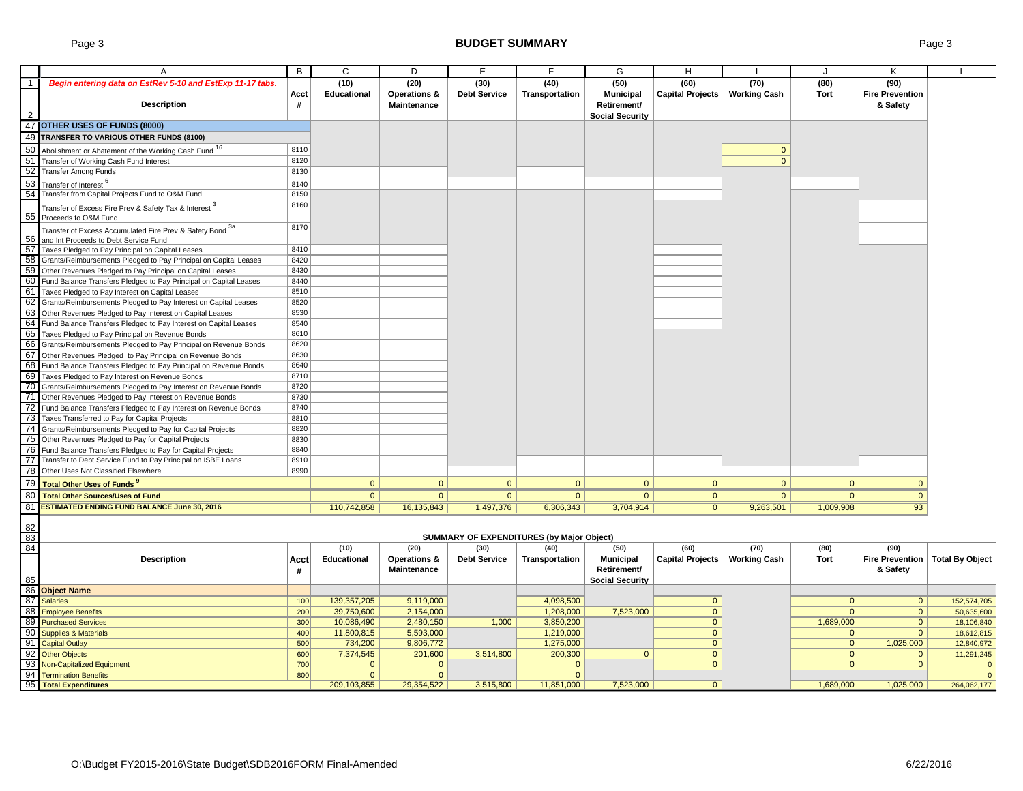# Page 3 **BUDGET SUMMARY** Page 3

|                                               | A                                                                                                                                                                                                                                                           | B    | C             | D                  | Е                   | F.                                               | G                      | H                       |                     |                | Κ                      |                        |
|-----------------------------------------------|-------------------------------------------------------------------------------------------------------------------------------------------------------------------------------------------------------------------------------------------------------------|------|---------------|--------------------|---------------------|--------------------------------------------------|------------------------|-------------------------|---------------------|----------------|------------------------|------------------------|
| $\overline{1}$                                | Begin entering data on EstRev 5-10 and EstExp 11-17 tabs.                                                                                                                                                                                                   |      | (10)          | (20)               | (30)                | (40)                                             | (50)                   | (60)                    | (70)                | (80)           | (90)                   |                        |
|                                               |                                                                                                                                                                                                                                                             | Acct | Educational   | Operations &       | <b>Debt Service</b> | Transportation                                   | <b>Municipal</b>       | <b>Capital Projects</b> | <b>Working Cash</b> | <b>Tort</b>    | <b>Fire Prevention</b> |                        |
|                                               | <b>Description</b>                                                                                                                                                                                                                                          | #    |               | <b>Maintenance</b> |                     |                                                  | Retirement/            |                         |                     |                | & Safety               |                        |
| $\overline{2}$                                |                                                                                                                                                                                                                                                             |      |               |                    |                     |                                                  | <b>Social Security</b> |                         |                     |                |                        |                        |
|                                               | 47 OTHER USES OF FUNDS (8000)                                                                                                                                                                                                                               |      |               |                    |                     |                                                  |                        |                         |                     |                |                        |                        |
|                                               | 49 TRANSFER TO VARIOUS OTHER FUNDS (8100)                                                                                                                                                                                                                   |      |               |                    |                     |                                                  |                        |                         |                     |                |                        |                        |
|                                               |                                                                                                                                                                                                                                                             |      |               |                    |                     |                                                  |                        |                         |                     |                |                        |                        |
|                                               | Abolishment or Abatement of the Working Cash Fund <sup>16</sup>                                                                                                                                                                                             | 8110 |               |                    |                     |                                                  |                        |                         | $\mathbf{0}$        |                |                        |                        |
|                                               |                                                                                                                                                                                                                                                             | 8120 |               |                    |                     |                                                  |                        |                         | $\overline{0}$      |                |                        |                        |
|                                               | <b>FOLUTION CONSUMER CONSUMING THE SET OF A SOLUTION CONSUMING TO A SOLUTION CONSUMING SET OF A SOLUTION CONSUMING SET CONSUMING SOLUTION</b><br><b>SOLUTION</b> Transfer of Working Cash Fund Interest<br><b>SOLUTION</b> Transfer of Interest <sup></sup> | 8130 |               |                    |                     |                                                  |                        |                         |                     |                |                        |                        |
|                                               |                                                                                                                                                                                                                                                             | 8140 |               |                    |                     |                                                  |                        |                         |                     |                |                        |                        |
|                                               | 54 Transfer from Capital Projects Fund to O&M Fund                                                                                                                                                                                                          | 8150 |               |                    |                     |                                                  |                        |                         |                     |                |                        |                        |
|                                               | Transfer of Excess Fire Prev & Safety Tax & Interest <sup>3</sup>                                                                                                                                                                                           | 8160 |               |                    |                     |                                                  |                        |                         |                     |                |                        |                        |
|                                               | 55 Proceeds to O&M Fund                                                                                                                                                                                                                                     |      |               |                    |                     |                                                  |                        |                         |                     |                |                        |                        |
|                                               | Transfer of Excess Accumulated Fire Prev & Safety Bond <sup>3a</sup>                                                                                                                                                                                        | 8170 |               |                    |                     |                                                  |                        |                         |                     |                |                        |                        |
|                                               |                                                                                                                                                                                                                                                             |      |               |                    |                     |                                                  |                        |                         |                     |                |                        |                        |
|                                               |                                                                                                                                                                                                                                                             | 8410 |               |                    |                     |                                                  |                        |                         |                     |                |                        |                        |
|                                               |                                                                                                                                                                                                                                                             | 8420 |               |                    |                     |                                                  |                        |                         |                     |                |                        |                        |
|                                               | 56 and Int Proceeds to Debt Service Fund<br>57 Taxes Pledged to Pay Principal on Capital Leases<br>58 Grants/Reimbursements Pledged to Pay Principal on Capital Leases<br>59 Other Revenues Pledged to Pay Principal on Capital Leases<br>                  | 8430 |               |                    |                     |                                                  |                        |                         |                     |                |                        |                        |
|                                               |                                                                                                                                                                                                                                                             | 8440 |               |                    |                     |                                                  |                        |                         |                     |                |                        |                        |
|                                               | 61 Taxes Pledged to Pay Interest on Capital Leases                                                                                                                                                                                                          | 8510 |               |                    |                     |                                                  |                        |                         |                     |                |                        |                        |
|                                               | 62 Grants/Reimbursements Pledged to Pay Interest on Capital Leases                                                                                                                                                                                          | 8520 |               |                    |                     |                                                  |                        |                         |                     |                |                        |                        |
| 63                                            | Other Revenues Pledged to Pay Interest on Capital Leases                                                                                                                                                                                                    | 8530 |               |                    |                     |                                                  |                        |                         |                     |                |                        |                        |
|                                               | 64 Fund Balance Transfers Pledged to Pay Interest on Capital Leases                                                                                                                                                                                         | 8540 |               |                    |                     |                                                  |                        |                         |                     |                |                        |                        |
| 65                                            | Taxes Pledged to Pay Principal on Revenue Bonds                                                                                                                                                                                                             | 8610 |               |                    |                     |                                                  |                        |                         |                     |                |                        |                        |
|                                               | 66 Grants/Reimbursements Pledged to Pay Principal on Revenue Bonds                                                                                                                                                                                          | 8620 |               |                    |                     |                                                  |                        |                         |                     |                |                        |                        |
|                                               | 67 Other Revenues Pledged to Pay Principal on Revenue Bonds                                                                                                                                                                                                 | 8630 |               |                    |                     |                                                  |                        |                         |                     |                |                        |                        |
|                                               | 68 Fund Balance Transfers Pledged to Pay Principal on Revenue Bonds                                                                                                                                                                                         | 8640 |               |                    |                     |                                                  |                        |                         |                     |                |                        |                        |
| 69                                            | Taxes Pledged to Pay Interest on Revenue Bonds                                                                                                                                                                                                              | 8710 |               |                    |                     |                                                  |                        |                         |                     |                |                        |                        |
| 70                                            | Grants/Reimbursements Pledged to Pay Interest on Revenue Bonds                                                                                                                                                                                              | 8720 |               |                    |                     |                                                  |                        |                         |                     |                |                        |                        |
|                                               | 71 Other Revenues Pledged to Pay Interest on Revenue Bonds                                                                                                                                                                                                  | 8730 |               |                    |                     |                                                  |                        |                         |                     |                |                        |                        |
|                                               |                                                                                                                                                                                                                                                             | 8740 |               |                    |                     |                                                  |                        |                         |                     |                |                        |                        |
|                                               | 72 Fund Balance Transfers Pledged to Pay Interest on Revenue Bonds<br>73 Taxes Transferred to Pay for Capital Projects                                                                                                                                      | 8810 |               |                    |                     |                                                  |                        |                         |                     |                |                        |                        |
|                                               | 74 Grants/Reimbursements Pledged to Pay for Capital Projects                                                                                                                                                                                                | 8820 |               |                    |                     |                                                  |                        |                         |                     |                |                        |                        |
|                                               | 75 Other Revenues Pledged to Pay for Capital Projects                                                                                                                                                                                                       | 8830 |               |                    |                     |                                                  |                        |                         |                     |                |                        |                        |
|                                               | 76 Fund Balance Transfers Pledged to Pay for Capital Projects                                                                                                                                                                                               | 8840 |               |                    |                     |                                                  |                        |                         |                     |                |                        |                        |
|                                               | 77 Transfer to Debt Service Fund to Pay Principal on ISBE Loans                                                                                                                                                                                             | 8910 |               |                    |                     |                                                  |                        |                         |                     |                |                        |                        |
|                                               | 78 Other Uses Not Classified Elsewhere                                                                                                                                                                                                                      | 8990 |               |                    |                     |                                                  |                        |                         |                     |                |                        |                        |
| 79                                            | Total Other Uses of Funds                                                                                                                                                                                                                                   |      | $\Omega$      | $\mathbf{0}$       | $\mathbf{0}$        | $\overline{0}$                                   | $\mathbf{0}$           | $\mathbf{0}$            | $\mathbf{0}$        | $\mathbf{0}$   | $\mathbf{0}$           |                        |
|                                               |                                                                                                                                                                                                                                                             |      | $\mathbf{0}$  | $\overline{0}$     | $\mathbf{0}$        | $\overline{0}$                                   | $\overline{0}$         | $\mathbf{0}$            | $\overline{0}$      | $\overline{0}$ | $\overline{0}$         |                        |
|                                               | 80 Total Other Sources/Uses of Fund<br>81 ESTIMATED ENDING FUND BALANCE June 30, 2016                                                                                                                                                                       |      |               |                    |                     |                                                  |                        |                         |                     |                |                        |                        |
|                                               |                                                                                                                                                                                                                                                             |      | 110,742,858   | 16,135,843         | 1,497,376           | 6,306,343                                        | 3,704,914              | $\mathbf{0}$            | 9,263,501           | 1,009,908      | 93                     |                        |
|                                               |                                                                                                                                                                                                                                                             |      |               |                    |                     |                                                  |                        |                         |                     |                |                        |                        |
| $\begin{array}{r} 82 \\ 83 \\ 84 \end{array}$ |                                                                                                                                                                                                                                                             |      |               |                    |                     | <b>SUMMARY OF EXPENDITURES (by Major Object)</b> |                        |                         |                     |                |                        |                        |
|                                               |                                                                                                                                                                                                                                                             |      | (10)          | (20)               | (30)                | (40)                                             | (50)                   | (60)                    | (70)                | (80)           | (90)                   |                        |
|                                               | <b>Description</b>                                                                                                                                                                                                                                          | Acct | Educational   | Operations &       | <b>Debt Service</b> | Transportation                                   | <b>Municipal</b>       | <b>Capital Projects</b> | <b>Working Cash</b> | <b>Tort</b>    | <b>Fire Prevention</b> | <b>Total By Object</b> |
|                                               |                                                                                                                                                                                                                                                             | #    |               | Maintenance        |                     |                                                  | Retirement/            |                         |                     |                | & Safety               |                        |
|                                               |                                                                                                                                                                                                                                                             |      |               |                    |                     |                                                  | <b>Social Security</b> |                         |                     |                |                        |                        |
|                                               | 85<br>86 Object Name<br>87 Salaries<br>88 Employee Benefits                                                                                                                                                                                                 |      |               |                    |                     |                                                  |                        |                         |                     |                |                        |                        |
|                                               |                                                                                                                                                                                                                                                             | 100  | 139, 357, 205 | 9,119,000          |                     | 4.098.500                                        |                        | $\overline{0}$          |                     | $\Omega$       | $\mathbf{0}$           | 152,574,705            |
|                                               |                                                                                                                                                                                                                                                             | 200  | 39,750,600    | 2,154,000          |                     | 1,208,000                                        | 7,523,000              | $\mathbf{0}$            |                     | $\mathbf{0}$   | $\mathbf{0}$           | 50,635,600             |
|                                               |                                                                                                                                                                                                                                                             | 300  | 10,086,490    | 2,480,150          | 1,000               | 3,850,200                                        |                        | $\mathbf{0}$            |                     | 1,689,000      | $\mathbf{0}$           | 18,106,840             |
|                                               |                                                                                                                                                                                                                                                             | 400  | 11,800,815    | 5,593,000          |                     | 1,219,000                                        |                        | $\mathbf{0}$            |                     | $\mathbf{0}$   | $\mathbf{0}$           | 18,612,815             |
|                                               |                                                                                                                                                                                                                                                             | 500  | 734,200       | 9,806,772          |                     | 1,275,000                                        |                        | $\Omega$                |                     | $\mathbf{0}$   | 1,025,000              | 12,840,972             |
|                                               | For a Employee Benemis<br>1990 Purchased Services<br>1990 Supplies & Materials<br>1992 Other Objects<br>1993 Non-Capitalized Equipment<br>1944 Trotal Expenditures                                                                                          | 600  | 7,374,545     | 201,600            | 3,514,800           | 200,300                                          | $\mathbf{0}$           | $\mathbf{0}$            |                     | $\mathbf{0}$   | $\mathbf{0}$           | 11,291,245             |
|                                               |                                                                                                                                                                                                                                                             | 700  | $\mathbf{0}$  | $\mathbf{0}$       |                     | $\overline{0}$                                   |                        | $\mathbf{0}$            |                     | $\mathbf{0}$   | $\mathbf{0}$           | O                      |
|                                               |                                                                                                                                                                                                                                                             | 800  | $\mathbf{0}$  | $\mathbf{0}$       |                     | $\overline{0}$                                   |                        |                         |                     |                |                        |                        |
|                                               |                                                                                                                                                                                                                                                             |      | 209, 103, 855 | 29,354,522         | 3,515,800           | 11,851,000                                       | 7,523,000              | $\mathbf{0}$            |                     | 1.689.000      | 1,025,000              | 264,062,177            |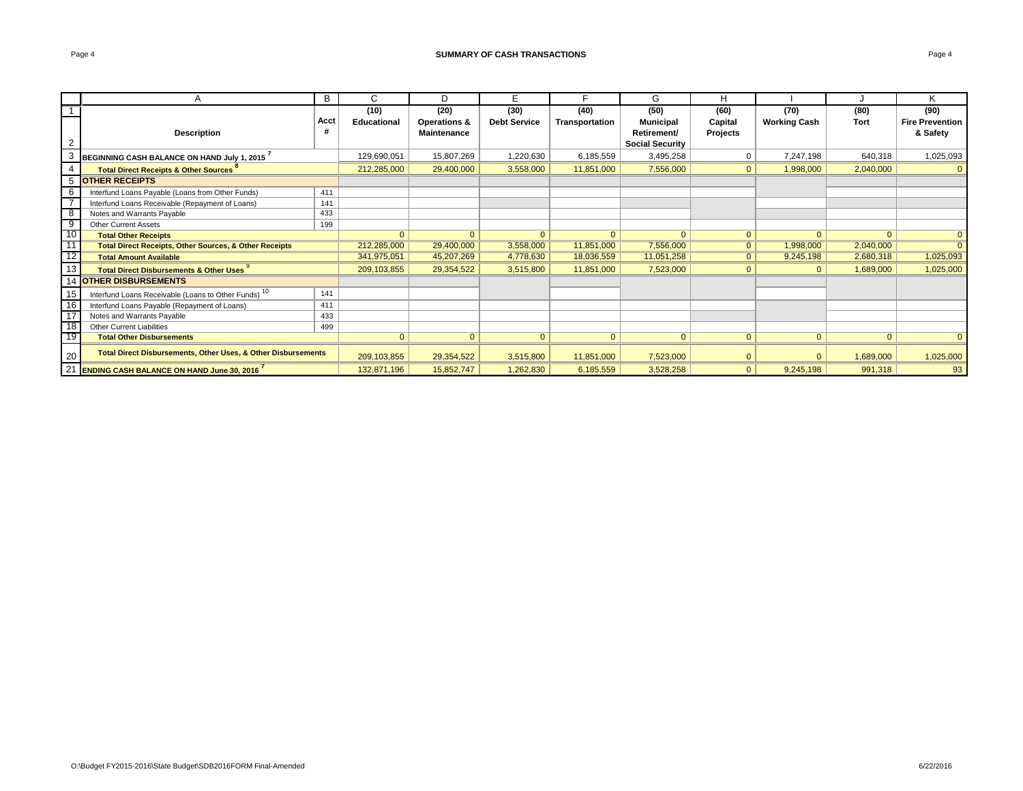|                 | $\mathsf{A}$                                                             | В    | C.           | D                       | E                   |                | G                      | н               |                     |              | K                      |
|-----------------|--------------------------------------------------------------------------|------|--------------|-------------------------|---------------------|----------------|------------------------|-----------------|---------------------|--------------|------------------------|
|                 |                                                                          |      | (10)         | (20)                    | (30)                | (40)           | (50)                   | (60)            | (70)                | (80)         | (90)                   |
|                 |                                                                          | Acct | Educational  | <b>Operations &amp;</b> | <b>Debt Service</b> | Transportation | <b>Municipal</b>       | Capital         | <b>Working Cash</b> | <b>Tort</b>  | <b>Fire Prevention</b> |
|                 | <b>Description</b>                                                       | #    |              | <b>Maintenance</b>      |                     |                | Retirement/            | <b>Projects</b> |                     |              | & Safety               |
|                 |                                                                          |      |              |                         |                     |                | <b>Social Security</b> |                 |                     |              |                        |
|                 | BEGINNING CASH BALANCE ON HAND July 1, 2015                              |      | 129,690,051  | 15,807,269              | 1,220,630           | 6,185,559      | 3,495,258              | $\Omega$        | 7,247,198           | 640,318      | 1,025,093              |
|                 | <b>Total Direct Receipts &amp; Other Sources</b>                         |      | 212,285,000  | 29,400,000              | 3,558,000           | 11,851,000     | 7,556,000              | $\mathbf{0}$    | 1,998,000           | 2,040,000    |                        |
| 5               | <b>OTHER RECEIPTS</b>                                                    |      |              |                         |                     |                |                        |                 |                     |              |                        |
| 6               | Interfund Loans Payable (Loans from Other Funds)                         | 411  |              |                         |                     |                |                        |                 |                     |              |                        |
|                 | Interfund Loans Receivable (Repayment of Loans)                          | 141  |              |                         |                     |                |                        |                 |                     |              |                        |
| 8               | Notes and Warrants Payable                                               | 433  |              |                         |                     |                |                        |                 |                     |              |                        |
| 9               | <b>Other Current Assets</b>                                              | 199  |              |                         |                     |                |                        |                 |                     |              |                        |
| 10              | <b>Total Other Receipts</b>                                              |      | $\Omega$     | $\mathbf{0}$            | $\Omega$            | $\mathbf{0}$   | $\Omega$               | $\Omega$        | $\mathbf{0}$        | $\Omega$     |                        |
| $-11$           | <b>Total Direct Receipts, Other Sources, &amp; Other Receipts</b>        |      | 212,285,000  | 29,400,000              | 3,558,000           | 11,851,000     | 7,556,000              | $\overline{0}$  | 1,998,000           | 2,040,000    |                        |
| - 12            | <b>Total Amount Available</b>                                            |      | 341,975,051  | 45,207,269              | 4,778,630           | 18,036,559     | 11,051,258             | 0               | 9,245,198           | 2,680,318    | 1,025,093              |
| 13              | <b>Total Direct Disbursements &amp; Other Uses</b>                       |      | 209,103,855  | 29,354,522              | 3,515,800           | 11,851,000     | 7,523,000              | $\Omega$        | $\mathbf{0}$        | 1,689,000    | 1,025,000              |
|                 | <b>14 OTHER DISBURSEMENTS</b>                                            |      |              |                         |                     |                |                        |                 |                     |              |                        |
| 15              | Interfund Loans Receivable (Loans to Other Funds) <sup>10</sup>          | 141  |              |                         |                     |                |                        |                 |                     |              |                        |
| 16              | Interfund Loans Payable (Repayment of Loans)                             | 411  |              |                         |                     |                |                        |                 |                     |              |                        |
| 17              | Notes and Warrants Payable                                               | 433  |              |                         |                     |                |                        |                 |                     |              |                        |
| $\overline{18}$ | <b>Other Current Liabilities</b>                                         | 499  |              |                         |                     |                |                        |                 |                     |              |                        |
| - 19            | <b>Total Other Disbursements</b>                                         |      | $\mathbf{0}$ | $\mathbf{0}$            | $\Omega$            | $\mathbf{0}$   | $\mathbf{0}$           | $\mathbf{0}$    | $\mathbf{0}$        | $\mathbf{0}$ | $\Omega$               |
| 20              | <b>Total Direct Disbursements, Other Uses, &amp; Other Disbursements</b> |      | 209,103,855  | 29,354,522              | 3,515,800           | 11,851,000     | 7,523,000              |                 | $\Omega$            | 1,689,000    | 1,025,000              |
| 21              | <b>ENDING CASH BALANCE ON HAND June 30, 2016</b>                         |      | 132,871,196  | 15,852,747              | 1,262,830           | 6,185,559      | 3,528,258              | $\overline{0}$  | 9,245,198           | 991,318      | 93                     |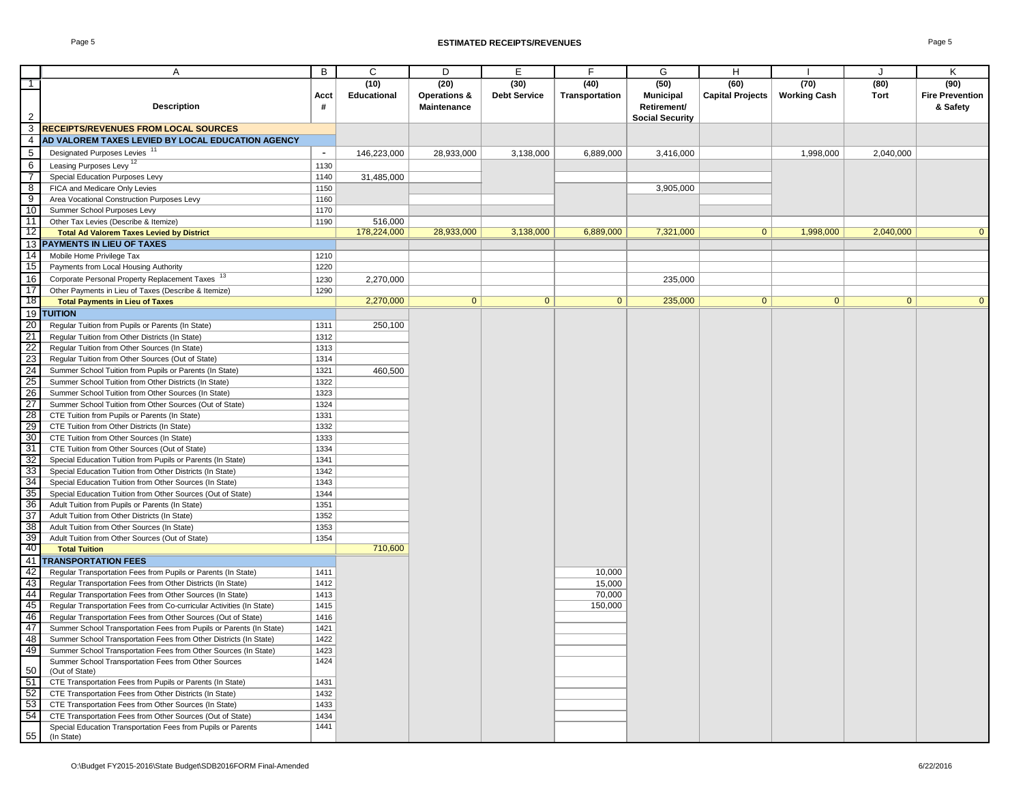|                 | A                                                                                              | B            | C           | D                       | Ε                   | F                | G                      | H                       |                     | J            | K                      |
|-----------------|------------------------------------------------------------------------------------------------|--------------|-------------|-------------------------|---------------------|------------------|------------------------|-------------------------|---------------------|--------------|------------------------|
| $\overline{1}$  |                                                                                                |              | (10)        | (20)                    | (30)                | (40)             | (50)                   | (60)                    | (70)                | (80)         | (90)                   |
|                 |                                                                                                | Acct         | Educational | <b>Operations &amp;</b> | <b>Debt Service</b> | Transportation   | <b>Municipal</b>       | <b>Capital Projects</b> | <b>Working Cash</b> | Tort         | <b>Fire Prevention</b> |
|                 | <b>Description</b>                                                                             | #            |             | <b>Maintenance</b>      |                     |                  | Retirement/            |                         |                     |              | & Safety               |
| $\overline{2}$  |                                                                                                |              |             |                         |                     |                  | <b>Social Security</b> |                         |                     |              |                        |
|                 | 3 RECEIPTS/REVENUES FROM LOCAL SOURCES                                                         |              |             |                         |                     |                  |                        |                         |                     |              |                        |
| $\overline{4}$  | AD VALOREM TAXES LEVIED BY LOCAL EDUCATION AGENCY                                              |              |             |                         |                     |                  |                        |                         |                     |              |                        |
| 5               | Designated Purposes Levies <sup>11</sup>                                                       | $\sim$       | 146,223,000 | 28,933,000              | 3,138,000           | 6,889,000        | 3,416,000              |                         | 1,998,000           | 2,040,000    |                        |
| $6\overline{6}$ | Leasing Purposes Levy <sup>12</sup>                                                            |              |             |                         |                     |                  |                        |                         |                     |              |                        |
|                 |                                                                                                | 1130         |             |                         |                     |                  |                        |                         |                     |              |                        |
| $\overline{7}$  | Special Education Purposes Levy                                                                | 1140         | 31,485,000  |                         |                     |                  |                        |                         |                     |              |                        |
| $\infty$        | FICA and Medicare Only Levies                                                                  | 1150         |             |                         |                     |                  | 3,905,000              |                         |                     |              |                        |
| 9               | Area Vocational Construction Purposes Levy                                                     | 1160         |             |                         |                     |                  |                        |                         |                     |              |                        |
| 10              | Summer School Purposes Levy                                                                    | 1170         |             |                         |                     |                  |                        |                         |                     |              |                        |
| $\overline{11}$ | Other Tax Levies (Describe & Itemize)                                                          | 1190         | 516,000     |                         |                     |                  |                        |                         |                     |              |                        |
| 12              | <b>Total Ad Valorem Taxes Levied by District</b>                                               |              | 178,224,000 | 28,933,000              | 3,138,000           | 6,889,000        | 7,321,000              | 0 <sup>1</sup>          | 1,998,000           | 2,040,000    | $\Omega$               |
|                 | 13 PAYMENTS IN LIEU OF TAXES                                                                   |              |             |                         |                     |                  |                        |                         |                     |              |                        |
| 14              | Mobile Home Privilege Tax                                                                      | 1210         |             |                         |                     |                  |                        |                         |                     |              |                        |
| 15              | Payments from Local Housing Authority                                                          | 1220         |             |                         |                     |                  |                        |                         |                     |              |                        |
| 16              | Corporate Personal Property Replacement Taxes                                                  | 1230         | 2,270,000   |                         |                     |                  | 235,000                |                         |                     |              |                        |
| 17              | Other Payments in Lieu of Taxes (Describe & Itemize)                                           | 1290         |             |                         |                     |                  |                        |                         |                     |              |                        |
| 18              | <b>Total Payments in Lieu of Taxes</b>                                                         |              | 2,270,000   | $\mathbf{0}$            | $\overline{0}$      | $\overline{0}$   | 235,000                | $\mathbf{0}$            | $\overline{0}$      | $\mathbf{0}$ | $\Omega$               |
| 19              | <b>TUITION</b>                                                                                 |              |             |                         |                     |                  |                        |                         |                     |              |                        |
| 20              | Regular Tuition from Pupils or Parents (In State)                                              | 1311         | 250,100     |                         |                     |                  |                        |                         |                     |              |                        |
| $\overline{21}$ | Regular Tuition from Other Districts (In State)                                                | 1312         |             |                         |                     |                  |                        |                         |                     |              |                        |
| -22             | Regular Tuition from Other Sources (In State)                                                  | 1313         |             |                         |                     |                  |                        |                         |                     |              |                        |
| 23              | Regular Tuition from Other Sources (Out of State)                                              | 1314         |             |                         |                     |                  |                        |                         |                     |              |                        |
| 24              | Summer School Tuition from Pupils or Parents (In State)                                        | 1321         | 460,500     |                         |                     |                  |                        |                         |                     |              |                        |
| 25              | Summer School Tuition from Other Districts (In State)                                          | 1322         |             |                         |                     |                  |                        |                         |                     |              |                        |
| 26              | Summer School Tuition from Other Sources (In State)                                            | 1323         |             |                         |                     |                  |                        |                         |                     |              |                        |
| -27             | Summer School Tuition from Other Sources (Out of State)                                        | 1324         |             |                         |                     |                  |                        |                         |                     |              |                        |
| $\overline{28}$ | CTE Tuition from Pupils or Parents (In State)                                                  | 1331         |             |                         |                     |                  |                        |                         |                     |              |                        |
| 29              | CTE Tuition from Other Districts (In State)                                                    | 1332         |             |                         |                     |                  |                        |                         |                     |              |                        |
| 30              | CTE Tuition from Other Sources (In State)                                                      | 1333         |             |                         |                     |                  |                        |                         |                     |              |                        |
| 31              | CTE Tuition from Other Sources (Out of State)                                                  | 1334         |             |                         |                     |                  |                        |                         |                     |              |                        |
| 32              | Special Education Tuition from Pupils or Parents (In State)                                    | 1341         |             |                         |                     |                  |                        |                         |                     |              |                        |
| 33              | Special Education Tuition from Other Districts (In State)                                      | 1342         |             |                         |                     |                  |                        |                         |                     |              |                        |
| 34              | Special Education Tuition from Other Sources (In State)                                        | 1343         |             |                         |                     |                  |                        |                         |                     |              |                        |
| 35              | Special Education Tuition from Other Sources (Out of State)                                    | 1344         |             |                         |                     |                  |                        |                         |                     |              |                        |
| 36              |                                                                                                |              |             |                         |                     |                  |                        |                         |                     |              |                        |
|                 | Adult Tuition from Pupils or Parents (In State)                                                | 1351         |             |                         |                     |                  |                        |                         |                     |              |                        |
| $\overline{37}$ | Adult Tuition from Other Districts (In State)                                                  | 1352<br>1353 |             |                         |                     |                  |                        |                         |                     |              |                        |
| 38<br>39        | Adult Tuition from Other Sources (In State)<br>Adult Tuition from Other Sources (Out of State) | 1354         |             |                         |                     |                  |                        |                         |                     |              |                        |
| -40             | <b>Total Tuition</b>                                                                           |              | 710,600     |                         |                     |                  |                        |                         |                     |              |                        |
|                 |                                                                                                |              |             |                         |                     |                  |                        |                         |                     |              |                        |
|                 | 41 TRANSPORTATION FEES                                                                         |              |             |                         |                     |                  |                        |                         |                     |              |                        |
| 42              | Regular Transportation Fees from Pupils or Parents (In State)                                  | 1411         |             |                         |                     | 10,000           |                        |                         |                     |              |                        |
| 43<br>44        | Regular Transportation Fees from Other Districts (In State)                                    | 1412<br>1413 |             |                         |                     | 15,000<br>70,000 |                        |                         |                     |              |                        |
|                 | Regular Transportation Fees from Other Sources (In State)                                      |              |             |                         |                     |                  |                        |                         |                     |              |                        |
| 45              | Regular Transportation Fees from Co-curricular Activities (In State)                           | 1415         |             |                         |                     | 150,000          |                        |                         |                     |              |                        |
| 46              | Regular Transportation Fees from Other Sources (Out of State)                                  | 1416         |             |                         |                     |                  |                        |                         |                     |              |                        |
| 47              | Summer School Transportation Fees from Pupils or Parents (In State)                            | 1421         |             |                         |                     |                  |                        |                         |                     |              |                        |
| $-48$           | Summer School Transportation Fees from Other Districts (In State)                              | 1422         |             |                         |                     |                  |                        |                         |                     |              |                        |
| 49              | Summer School Transportation Fees from Other Sources (In State)                                | 1423         |             |                         |                     |                  |                        |                         |                     |              |                        |
| 50              | Summer School Transportation Fees from Other Sources                                           | 1424         |             |                         |                     |                  |                        |                         |                     |              |                        |
| 51              | (Out of State)                                                                                 |              |             |                         |                     |                  |                        |                         |                     |              |                        |
| 52              | CTE Transportation Fees from Pupils or Parents (In State)                                      | 1431         |             |                         |                     |                  |                        |                         |                     |              |                        |
|                 | CTE Transportation Fees from Other Districts (In State)                                        | 1432         |             |                         |                     |                  |                        |                         |                     |              |                        |
| 53<br>54        | CTE Transportation Fees from Other Sources (In State)                                          | 1433<br>1434 |             |                         |                     |                  |                        |                         |                     |              |                        |
|                 | CTE Transportation Fees from Other Sources (Out of State)                                      | 1441         |             |                         |                     |                  |                        |                         |                     |              |                        |
| 55              | Special Education Transportation Fees from Pupils or Parents<br>(In State)                     |              |             |                         |                     |                  |                        |                         |                     |              |                        |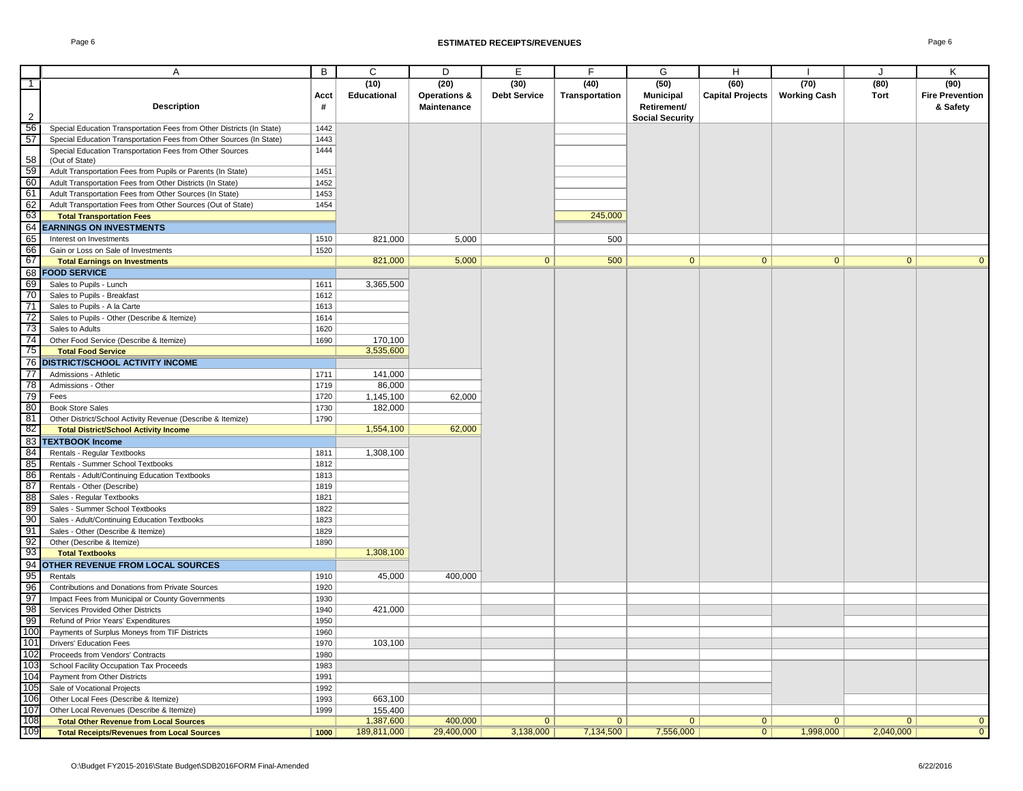|                 | Α                                                                                                           | B            | C                          | D                                              | Е                           | F                      | G                                       | H                               |                             | J            | Κ                                          |
|-----------------|-------------------------------------------------------------------------------------------------------------|--------------|----------------------------|------------------------------------------------|-----------------------------|------------------------|-----------------------------------------|---------------------------------|-----------------------------|--------------|--------------------------------------------|
| $-1$            | <b>Description</b>                                                                                          | Acct<br>#    | (10)<br><b>Educational</b> | (20)<br><b>Operations &amp;</b><br>Maintenance | (30)<br><b>Debt Service</b> | (40)<br>Transportation | (50)<br><b>Municipal</b><br>Retirement/ | (60)<br><b>Capital Projects</b> | (70)<br><b>Working Cash</b> | (80)<br>Tort | (90)<br><b>Fire Prevention</b><br>& Safety |
| $\overline{2}$  |                                                                                                             |              |                            |                                                |                             |                        | <b>Social Security</b>                  |                                 |                             |              |                                            |
| 56              | Special Education Transportation Fees from Other Districts (In State)                                       | 1442         |                            |                                                |                             |                        |                                         |                                 |                             |              |                                            |
| 57              | Special Education Transportation Fees from Other Sources (In State)                                         | 1443         |                            |                                                |                             |                        |                                         |                                 |                             |              |                                            |
| 58              | Special Education Transportation Fees from Other Sources<br>(Out of State)                                  | 1444         |                            |                                                |                             |                        |                                         |                                 |                             |              |                                            |
| 59              | Adult Transportation Fees from Pupils or Parents (In State)                                                 | 1451         |                            |                                                |                             |                        |                                         |                                 |                             |              |                                            |
| 60              | Adult Transportation Fees from Other Districts (In State)                                                   | 1452         |                            |                                                |                             |                        |                                         |                                 |                             |              |                                            |
| 61              | Adult Transportation Fees from Other Sources (In State)                                                     | 1453         |                            |                                                |                             |                        |                                         |                                 |                             |              |                                            |
| 62              | Adult Transportation Fees from Other Sources (Out of State)                                                 | 1454         |                            |                                                |                             |                        |                                         |                                 |                             |              |                                            |
| 63              | <b>Total Transportation Fees</b>                                                                            |              |                            |                                                |                             | 245,000                |                                         |                                 |                             |              |                                            |
|                 | <b>64 EARNINGS ON INVESTMENTS</b>                                                                           |              |                            |                                                |                             |                        |                                         |                                 |                             |              |                                            |
| 65              | Interest on Investments                                                                                     | 1510         | 821,000                    | 5,000                                          |                             | 500                    |                                         |                                 |                             |              |                                            |
| 66              | Gain or Loss on Sale of Investments                                                                         | 1520         |                            |                                                |                             |                        |                                         |                                 |                             |              |                                            |
| -67             | <b>Total Earnings on Investments</b>                                                                        |              | 821,000                    | 5,000                                          | $\overline{0}$              | 500                    | 0                                       | $\mathbf{0}$                    | 0                           | $\mathbf{0}$ | $\mathbf{0}$                               |
|                 | 68 FOOD SERVICE                                                                                             |              |                            |                                                |                             |                        |                                         |                                 |                             |              |                                            |
| 69              | Sales to Pupils - Lunch                                                                                     | 1611         | 3,365,500                  |                                                |                             |                        |                                         |                                 |                             |              |                                            |
| 70              | Sales to Pupils - Breakfast                                                                                 | 1612         |                            |                                                |                             |                        |                                         |                                 |                             |              |                                            |
| 71              | Sales to Pupils - A la Carte                                                                                | 1613         |                            |                                                |                             |                        |                                         |                                 |                             |              |                                            |
| 72              | Sales to Pupils - Other (Describe & Itemize)                                                                | 1614         |                            |                                                |                             |                        |                                         |                                 |                             |              |                                            |
| 73              | Sales to Adults                                                                                             | 1620         |                            |                                                |                             |                        |                                         |                                 |                             |              |                                            |
| 74              | Other Food Service (Describe & Itemize)                                                                     | 1690         | 170,100                    |                                                |                             |                        |                                         |                                 |                             |              |                                            |
| -75             | <b>Total Food Service</b>                                                                                   |              | 3,535,600                  |                                                |                             |                        |                                         |                                 |                             |              |                                            |
|                 | <b>76 DISTRICT/SCHOOL ACTIVITY INCOME</b>                                                                   |              |                            |                                                |                             |                        |                                         |                                 |                             |              |                                            |
| $\overline{77}$ | Admissions - Athletic                                                                                       | 1711         | 141,000                    |                                                |                             |                        |                                         |                                 |                             |              |                                            |
| 78              | Admissions - Other                                                                                          | 1719         | 86,000                     |                                                |                             |                        |                                         |                                 |                             |              |                                            |
| 79<br>80        | Fees                                                                                                        | 1720         | 1,145,100                  | 62,000                                         |                             |                        |                                         |                                 |                             |              |                                            |
| 81              | <b>Book Store Sales</b>                                                                                     | 1730         | 182,000                    |                                                |                             |                        |                                         |                                 |                             |              |                                            |
| -82             | Other District/School Activity Revenue (Describe & Itemize)<br><b>Total District/School Activity Income</b> | 1790         | 1,554,100                  | 62,000                                         |                             |                        |                                         |                                 |                             |              |                                            |
|                 | 83 TEXTBOOK Income                                                                                          |              |                            |                                                |                             |                        |                                         |                                 |                             |              |                                            |
| 84              | Rentals - Regular Textbooks                                                                                 | 1811         | 1,308,100                  |                                                |                             |                        |                                         |                                 |                             |              |                                            |
| 85              | Rentals - Summer School Textbooks                                                                           | 1812         |                            |                                                |                             |                        |                                         |                                 |                             |              |                                            |
| 86              | Rentals - Adult/Continuing Education Textbooks                                                              | 1813         |                            |                                                |                             |                        |                                         |                                 |                             |              |                                            |
| $\overline{87}$ | Rentals - Other (Describe)                                                                                  | 1819         |                            |                                                |                             |                        |                                         |                                 |                             |              |                                            |
| $\overline{88}$ | Sales - Regular Textbooks                                                                                   | 1821         |                            |                                                |                             |                        |                                         |                                 |                             |              |                                            |
| 89              | Sales - Summer School Textbooks                                                                             | 1822         |                            |                                                |                             |                        |                                         |                                 |                             |              |                                            |
| 90              | Sales - Adult/Continuing Education Textbooks                                                                | 1823         |                            |                                                |                             |                        |                                         |                                 |                             |              |                                            |
| 91              | Sales - Other (Describe & Itemize)                                                                          | 1829         |                            |                                                |                             |                        |                                         |                                 |                             |              |                                            |
| 92              | Other (Describe & Itemize)                                                                                  | 1890         |                            |                                                |                             |                        |                                         |                                 |                             |              |                                            |
| -93             | <b>Total Textbooks</b>                                                                                      |              | 1,308,100                  |                                                |                             |                        |                                         |                                 |                             |              |                                            |
|                 | 94 OTHER REVENUE FROM LOCAL SOURCES                                                                         |              |                            |                                                |                             |                        |                                         |                                 |                             |              |                                            |
| 95              | Rentals                                                                                                     | 1910         | 45,000                     | 400,000                                        |                             |                        |                                         |                                 |                             |              |                                            |
| 96              | Contributions and Donations from Private Sources                                                            | 1920         |                            |                                                |                             |                        |                                         |                                 |                             |              |                                            |
| 97              | Impact Fees from Municipal or County Governments                                                            | 1930         |                            |                                                |                             |                        |                                         |                                 |                             |              |                                            |
| 98              | Services Provided Other Districts                                                                           | 1940         | 421,000                    |                                                |                             |                        |                                         |                                 |                             |              |                                            |
| 99              | Refund of Prior Years' Expenditures                                                                         | 1950         |                            |                                                |                             |                        |                                         |                                 |                             |              |                                            |
| 100<br>101      | Payments of Surplus Moneys from TIF Districts                                                               | 1960         |                            |                                                |                             |                        |                                         |                                 |                             |              |                                            |
| 102             | <b>Drivers' Education Fees</b><br>Proceeds from Vendors' Contracts                                          | 1970<br>1980 | 103,100                    |                                                |                             |                        |                                         |                                 |                             |              |                                            |
| 103             | School Facility Occupation Tax Proceeds                                                                     | 1983         |                            |                                                |                             |                        |                                         |                                 |                             |              |                                            |
| 104             | Payment from Other Districts                                                                                | 1991         |                            |                                                |                             |                        |                                         |                                 |                             |              |                                            |
| 105             | Sale of Vocational Projects                                                                                 | 1992         |                            |                                                |                             |                        |                                         |                                 |                             |              |                                            |
| 106             | Other Local Fees (Describe & Itemize)                                                                       | 1993         | 663,100                    |                                                |                             |                        |                                         |                                 |                             |              |                                            |
| 107             | Other Local Revenues (Describe & Itemize)                                                                   | 1999         | 155,400                    |                                                |                             |                        |                                         |                                 |                             |              |                                            |
| 108             | <b>Total Other Revenue from Local Sources</b>                                                               |              | 1,387,600                  | 400,000                                        | $\mathbf{0}$                | $\Omega$               | $\Omega$                                | $\mathbf{0}$                    | $\mathbf{0}$                | $\Omega$     | $\overline{0}$                             |
| 109             | <b>Total Receipts/Revenues from Local Sources</b>                                                           | 1000         | 189,811,000                | 29,400,000                                     | 3,138,000                   | 7,134,500              | 7,556,000                               | $\overline{0}$                  | 1,998,000                   | 2,040,000    | $\overline{0}$                             |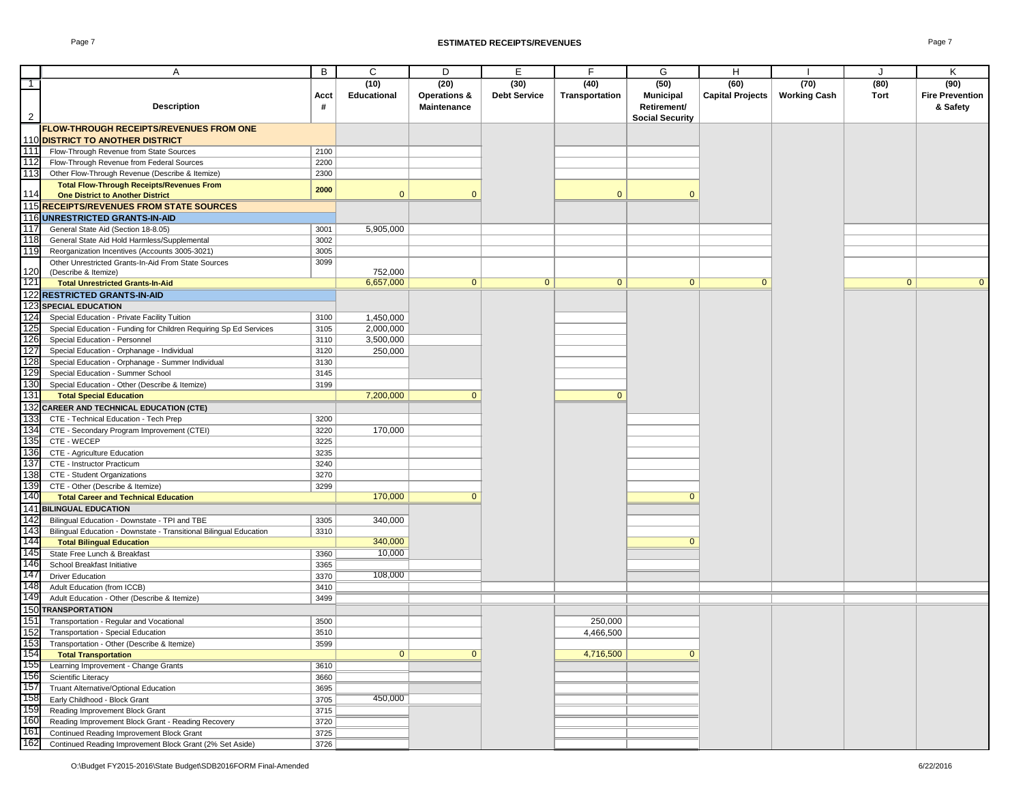|                | Α                                                                  | B    | C              | D                       | E                   | F              | G                      | H                       |                     | $\cdot$      | Κ                      |
|----------------|--------------------------------------------------------------------|------|----------------|-------------------------|---------------------|----------------|------------------------|-------------------------|---------------------|--------------|------------------------|
| $\overline{1}$ |                                                                    |      | (10)           | (20)                    | (30)                | (40)           | (50)                   | (60)                    | (70)                | (80)         | (90)                   |
|                |                                                                    | Acct | Educational    | <b>Operations &amp;</b> | <b>Debt Service</b> | Transportation | <b>Municipal</b>       | <b>Capital Projects</b> | <b>Working Cash</b> | Tort         | <b>Fire Prevention</b> |
|                | <b>Description</b>                                                 | #    |                | Maintenance             |                     |                | Retirement/            |                         |                     |              | & Safety               |
| $\overline{2}$ |                                                                    |      |                |                         |                     |                |                        |                         |                     |              |                        |
|                |                                                                    |      |                |                         |                     |                | <b>Social Security</b> |                         |                     |              |                        |
|                | <b>FLOW-THROUGH RECEIPTS/REVENUES FROM ONE</b>                     |      |                |                         |                     |                |                        |                         |                     |              |                        |
|                | 110 DISTRICT TO ANOTHER DISTRICT                                   |      |                |                         |                     |                |                        |                         |                     |              |                        |
| 111            | Flow-Through Revenue from State Sources                            | 2100 |                |                         |                     |                |                        |                         |                     |              |                        |
| 112            | Flow-Through Revenue from Federal Sources                          | 2200 |                |                         |                     |                |                        |                         |                     |              |                        |
| 113            | Other Flow-Through Revenue (Describe & Itemize)                    | 2300 |                |                         |                     |                |                        |                         |                     |              |                        |
|                | <b>Total Flow-Through Receipts/Revenues From</b>                   | 2000 |                |                         |                     |                |                        |                         |                     |              |                        |
| 114            | <b>One District to Another District</b>                            |      | $\mathbf{0}$   | $\Omega$                |                     | $\mathbf{0}$   | $\Omega$               |                         |                     |              |                        |
|                | 115 RECEIPTS/REVENUES FROM STATE SOURCES                           |      |                |                         |                     |                |                        |                         |                     |              |                        |
|                | 116 UNRESTRICTED GRANTS-IN-AID                                     |      |                |                         |                     |                |                        |                         |                     |              |                        |
| 117            | General State Aid (Section 18-8.05)                                | 3001 | 5,905,000      |                         |                     |                |                        |                         |                     |              |                        |
| 118            | General State Aid Hold Harmless/Supplemental                       | 3002 |                |                         |                     |                |                        |                         |                     |              |                        |
| 119            | Reorganization Incentives (Accounts 3005-3021)                     | 3005 |                |                         |                     |                |                        |                         |                     |              |                        |
|                | Other Unrestricted Grants-In-Aid From State Sources                | 3099 |                |                         |                     |                |                        |                         |                     |              |                        |
| 120            | (Describe & Itemize)                                               |      | 752,000        |                         |                     |                |                        |                         |                     |              |                        |
| 121            | <b>Total Unrestricted Grants-In-Aid</b>                            |      | 6,657,000      | $\mathbf{0}$            | $\mathbf{0}$        | $\mathbf{0}$   | $\mathbf{0}$           | $\mathbf{0}$            |                     | $\mathbf{0}$ | $\mathbf{0}$           |
|                | 122 RESTRICTED GRANTS-IN-AID                                       |      |                |                         |                     |                |                        |                         |                     |              |                        |
|                | 123 SPECIAL EDUCATION                                              |      |                |                         |                     |                |                        |                         |                     |              |                        |
| 124            | Special Education - Private Facility Tuition                       | 3100 | 1,450,000      |                         |                     |                |                        |                         |                     |              |                        |
| 125            | Special Education - Funding for Children Requiring Sp Ed Services  | 3105 | 2,000,000      |                         |                     |                |                        |                         |                     |              |                        |
| 126            | Special Education - Personnel                                      | 3110 | 3,500,000      |                         |                     |                |                        |                         |                     |              |                        |
| 127            | Special Education - Orphanage - Individual                         | 3120 | 250,000        |                         |                     |                |                        |                         |                     |              |                        |
| 128            | Special Education - Orphanage - Summer Individual                  | 3130 |                |                         |                     |                |                        |                         |                     |              |                        |
| 129            | Special Education - Summer School                                  | 3145 |                |                         |                     |                |                        |                         |                     |              |                        |
| 130            |                                                                    |      |                |                         |                     |                |                        |                         |                     |              |                        |
|                | Special Education - Other (Describe & Itemize)                     | 3199 |                |                         |                     |                |                        |                         |                     |              |                        |
| 131            | <b>Total Special Education</b>                                     |      | 7,200,000      | $\mathbf{0}$            |                     | $\mathbf{0}$   |                        |                         |                     |              |                        |
|                | 132 CAREER AND TECHNICAL EDUCATION (CTE)                           |      |                |                         |                     |                |                        |                         |                     |              |                        |
| 133            | CTE - Technical Education - Tech Prep                              | 3200 |                |                         |                     |                |                        |                         |                     |              |                        |
| 134            | CTE - Secondary Program Improvement (CTEI)                         | 3220 | 170,000        |                         |                     |                |                        |                         |                     |              |                        |
| 135            | CTE - WECEP                                                        | 3225 |                |                         |                     |                |                        |                         |                     |              |                        |
| 136            | CTE - Agriculture Education                                        | 3235 |                |                         |                     |                |                        |                         |                     |              |                        |
| 137            | CTE - Instructor Practicum                                         | 3240 |                |                         |                     |                |                        |                         |                     |              |                        |
| 138            | CTE - Student Organizations                                        | 3270 |                |                         |                     |                |                        |                         |                     |              |                        |
| 139            | CTE - Other (Describe & Itemize)                                   | 3299 |                |                         |                     |                |                        |                         |                     |              |                        |
| 140            | <b>Total Career and Technical Education</b>                        |      | 170,000        | $\Omega$                |                     |                | $\mathbf{0}$           |                         |                     |              |                        |
| 141            | <b>BILINGUAL EDUCATION</b>                                         |      |                |                         |                     |                |                        |                         |                     |              |                        |
| 142            | Bilingual Education - Downstate - TPI and TBE                      | 3305 | 340,000        |                         |                     |                |                        |                         |                     |              |                        |
| 143            | Bilingual Education - Downstate - Transitional Bilingual Education | 3310 |                |                         |                     |                |                        |                         |                     |              |                        |
| 144            | <b>Total Bilingual Education</b>                                   |      | 340,000        |                         |                     |                | $\mathbf{0}$           |                         |                     |              |                        |
| 145            | State Free Lunch & Breakfast                                       | 3360 | 10,000         |                         |                     |                |                        |                         |                     |              |                        |
| 146            | School Breakfast Initiative                                        | 3365 |                |                         |                     |                |                        |                         |                     |              |                        |
| 147            | <b>Driver Education</b>                                            | 3370 | 108,000        |                         |                     |                |                        |                         |                     |              |                        |
| 148            | Adult Education (from ICCB)                                        | 3410 |                |                         |                     |                |                        |                         |                     |              |                        |
| 149            | Adult Education - Other (Describe & Itemize)                       | 3499 |                |                         |                     |                |                        |                         |                     |              |                        |
|                |                                                                    |      |                |                         |                     |                |                        |                         |                     |              |                        |
|                | 150 TRANSPORTATION                                                 |      |                |                         |                     |                |                        |                         |                     |              |                        |
| 151            | Transportation - Regular and Vocational                            | 3500 |                |                         |                     | 250,000        |                        |                         |                     |              |                        |
| 152            | Transportation - Special Education                                 | 3510 |                |                         |                     | 4,466,500      |                        |                         |                     |              |                        |
| 153            | Transportation - Other (Describe & Itemize)                        | 3599 |                |                         |                     |                |                        |                         |                     |              |                        |
| 154            | <b>Total Transportation</b>                                        |      | $\overline{0}$ | $\mathbf{0}$            |                     | 4,716,500      | $\mathbf{0}$           |                         |                     |              |                        |
| 155            | Learning Improvement - Change Grants                               | 3610 |                |                         |                     |                |                        |                         |                     |              |                        |
| 156            | Scientific Literacy                                                | 3660 |                |                         |                     |                |                        |                         |                     |              |                        |
| 157            | Truant Alternative/Optional Education                              | 3695 |                |                         |                     |                |                        |                         |                     |              |                        |
| 158<br>159     | Early Childhood - Block Grant                                      | 3705 | 450,000        |                         |                     |                |                        |                         |                     |              |                        |
|                | Reading Improvement Block Grant                                    | 3715 |                |                         |                     |                |                        |                         |                     |              |                        |
| 160            | Reading Improvement Block Grant - Reading Recovery                 | 3720 |                |                         |                     |                |                        |                         |                     |              |                        |
| 161            | Continued Reading Improvement Block Grant                          | 3725 |                |                         |                     |                |                        |                         |                     |              |                        |
| 162            | Continued Reading Improvement Block Grant (2% Set Aside)           | 3726 |                |                         |                     |                |                        |                         |                     |              |                        |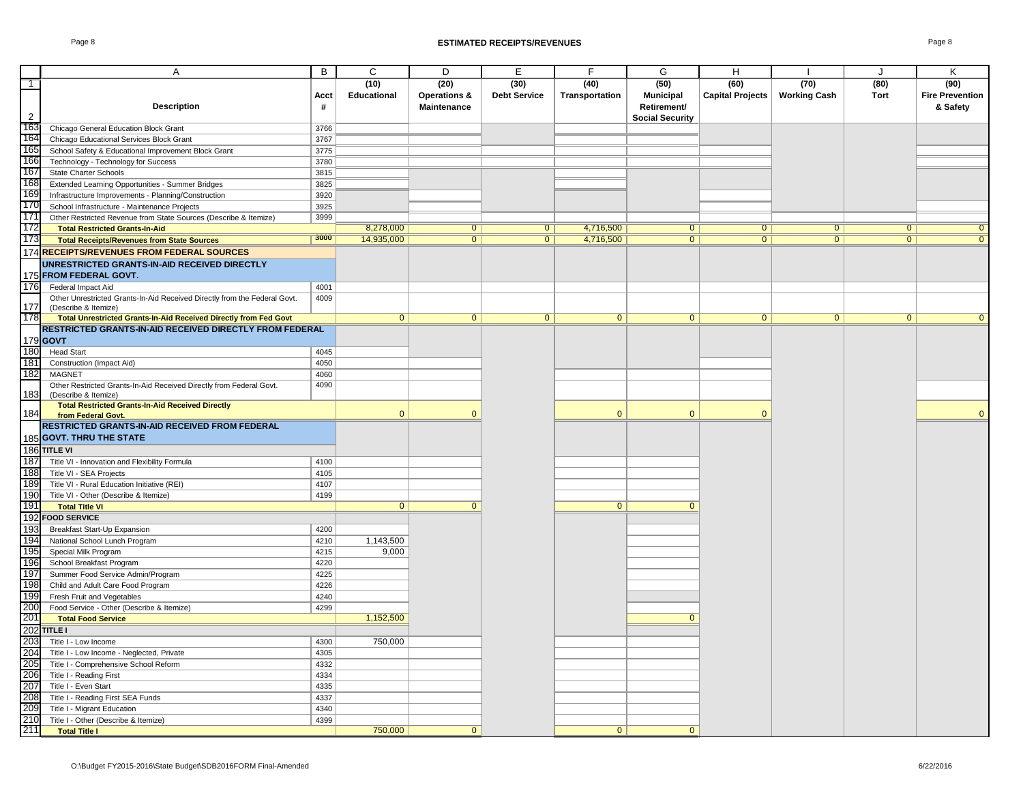|                | A                                                                         | B    | C              | D                       | $\overline{E}$      | $\overline{F}$ | G                      | H                       |                     | $\cdot$        | K                      |
|----------------|---------------------------------------------------------------------------|------|----------------|-------------------------|---------------------|----------------|------------------------|-------------------------|---------------------|----------------|------------------------|
| $\top$         |                                                                           |      | (10)           | (20)                    | (30)                | (40)           | (50)                   | (60)                    | (70)                | (80)           | (90)                   |
|                |                                                                           | Acct | Educational    | <b>Operations &amp;</b> | <b>Debt Service</b> | Transportation | <b>Municipal</b>       | <b>Capital Projects</b> | <b>Working Cash</b> | Tort           | <b>Fire Prevention</b> |
|                | <b>Description</b>                                                        | #    |                |                         |                     |                |                        |                         |                     |                |                        |
| $\overline{2}$ |                                                                           |      |                | Maintenance             |                     |                | Retirement/            |                         |                     |                | & Safety               |
| 163            | Chicago General Education Block Grant                                     | 3766 |                |                         |                     |                | <b>Social Security</b> |                         |                     |                |                        |
| 164            | Chicago Educational Services Block Grant                                  | 3767 |                |                         |                     |                |                        |                         |                     |                |                        |
| 165            | School Safety & Educational Improvement Block Grant                       | 3775 |                |                         |                     |                |                        |                         |                     |                |                        |
| 166            | Technology - Technology for Success                                       | 3780 |                |                         |                     |                |                        |                         |                     |                |                        |
| 167            | State Charter Schools                                                     | 3815 |                |                         |                     |                |                        |                         |                     |                |                        |
| 168            |                                                                           | 3825 |                |                         |                     |                |                        |                         |                     |                |                        |
| 169            | Extended Learning Opportunities - Summer Bridges                          |      |                |                         |                     |                |                        |                         |                     |                |                        |
| 170            | Infrastructure Improvements - Planning/Construction                       | 3920 |                |                         |                     |                |                        |                         |                     |                |                        |
| 171            | School Infrastructure - Maintenance Projects                              | 3925 |                |                         |                     |                |                        |                         |                     |                |                        |
|                | Other Restricted Revenue from State Sources (Describe & Itemize)          | 3999 |                |                         |                     |                |                        |                         |                     |                | $\overline{0}$         |
| 172            | <b>Total Restricted Grants-In-Aid</b>                                     | 3000 | 8,278,000      | $\overline{0}$          | $\overline{0}$      | 4,716,500      | $\overline{0}$         | $\overline{0}$          | $\overline{0}$      | $\overline{0}$ |                        |
| 173            | <b>Total Receipts/Revenues from State Sources</b>                         |      | 14,935,000     | $\overline{0}$          | $\overline{0}$      | 4,716,500      | $\overline{0}$         | $\overline{0}$          | $\overline{0}$      | $\overline{0}$ | $\overline{0}$         |
|                | 174 RECEIPTS/REVENUES FROM FEDERAL SOURCES                                |      |                |                         |                     |                |                        |                         |                     |                |                        |
|                | UNRESTRICTED GRANTS-IN-AID RECEIVED DIRECTLY                              |      |                |                         |                     |                |                        |                         |                     |                |                        |
|                | 175 FROM FEDERAL GOVT.                                                    |      |                |                         |                     |                |                        |                         |                     |                |                        |
| 176            | Federal Impact Aid                                                        | 4001 |                |                         |                     |                |                        |                         |                     |                |                        |
|                | Other Unrestricted Grants-In-Aid Received Directly from the Federal Govt. | 4009 |                |                         |                     |                |                        |                         |                     |                |                        |
| 177            | (Describe & Itemize)                                                      |      |                |                         |                     |                |                        |                         |                     |                |                        |
| 178            | Total Unrestricted Grants-In-Aid Received Directly from Fed Govt          |      | $\overline{0}$ | $\overline{0}$          | $\overline{0}$      | $\overline{0}$ | $\overline{0}$         | $\overline{0}$          | $\overline{0}$      | $\overline{0}$ | $\mathbf{0}$           |
|                | RESTRICTED GRANTS-IN-AID RECEIVED DIRECTLY FROM FEDERAL                   |      |                |                         |                     |                |                        |                         |                     |                |                        |
|                | $179$ GOVT                                                                |      |                |                         |                     |                |                        |                         |                     |                |                        |
| 180            | <b>Head Start</b>                                                         | 4045 |                |                         |                     |                |                        |                         |                     |                |                        |
| 181            | Construction (Impact Aid)                                                 | 4050 |                |                         |                     |                |                        |                         |                     |                |                        |
| 182            | <b>MAGNET</b>                                                             | 4060 |                |                         |                     |                |                        |                         |                     |                |                        |
|                | Other Restricted Grants-In-Aid Received Directly from Federal Govt.       | 4090 |                |                         |                     |                |                        |                         |                     |                |                        |
| 183            | (Describe & Itemize)                                                      |      |                |                         |                     |                |                        |                         |                     |                |                        |
|                | <b>Total Restricted Grants-In-Aid Received Directly</b>                   |      |                |                         |                     |                |                        |                         |                     |                |                        |
| 184            | from Federal Govt.                                                        |      | $\mathbf{0}$   | $\Omega$                |                     | $\mathbf{0}$   | $\mathbf{0}$           | $\Omega$                |                     |                | $\Omega$               |
|                | RESTRICTED GRANTS-IN-AID RECEIVED FROM FEDERAL                            |      |                |                         |                     |                |                        |                         |                     |                |                        |
|                | 185 GOVT. THRU THE STATE                                                  |      |                |                         |                     |                |                        |                         |                     |                |                        |
|                | 186 TITLE VI                                                              |      |                |                         |                     |                |                        |                         |                     |                |                        |
| 187            | Title VI - Innovation and Flexibility Formula                             | 4100 |                |                         |                     |                |                        |                         |                     |                |                        |
| 188            | Title VI - SEA Projects                                                   | 4105 |                |                         |                     |                |                        |                         |                     |                |                        |
| 189            | Title VI - Rural Education Initiative (REI)                               | 4107 |                |                         |                     |                |                        |                         |                     |                |                        |
| 190            | Title VI - Other (Describe & Itemize)                                     | 4199 |                |                         |                     |                |                        |                         |                     |                |                        |
| 191            | <b>Total Title VI</b>                                                     |      | $\overline{0}$ | $\mathbf{0}$            |                     | $\overline{0}$ | $\overline{0}$         |                         |                     |                |                        |
|                | 192 FOOD SERVICE                                                          |      |                |                         |                     |                |                        |                         |                     |                |                        |
| 193            | Breakfast Start-Up Expansion                                              | 4200 |                |                         |                     |                |                        |                         |                     |                |                        |
| 194            | National School Lunch Program                                             | 4210 | 1,143,500      |                         |                     |                |                        |                         |                     |                |                        |
| 195            | Special Milk Program                                                      | 4215 | 9,000          |                         |                     |                |                        |                         |                     |                |                        |
| 196            | School Breakfast Program                                                  | 4220 |                |                         |                     |                |                        |                         |                     |                |                        |
| 197            | Summer Food Service Admin/Program                                         | 4225 |                |                         |                     |                |                        |                         |                     |                |                        |
| 198            | Child and Adult Care Food Program                                         | 4226 |                |                         |                     |                |                        |                         |                     |                |                        |
| 199            | Fresh Fruit and Vegetables                                                | 4240 |                |                         |                     |                |                        |                         |                     |                |                        |
| 200            | Food Service - Other (Describe & Itemize)                                 | 4299 |                |                         |                     |                |                        |                         |                     |                |                        |
| 201            | <b>Total Food Service</b>                                                 |      | 1,152,500      |                         |                     |                | $\Omega$               |                         |                     |                |                        |
|                | 202 TITLE I                                                               |      |                |                         |                     |                |                        |                         |                     |                |                        |
| 203            | Title I - Low Income                                                      | 4300 | 750,000        |                         |                     |                |                        |                         |                     |                |                        |
| 204            | Title I - Low Income - Neglected, Private                                 | 4305 |                |                         |                     |                |                        |                         |                     |                |                        |
| 205            | Title I - Comprehensive School Reform                                     | 4332 |                |                         |                     |                |                        |                         |                     |                |                        |
| 206            | Title I - Reading First                                                   | 4334 |                |                         |                     |                |                        |                         |                     |                |                        |
| 207            | Title I - Even Start                                                      | 4335 |                |                         |                     |                |                        |                         |                     |                |                        |
| 208            | Title I - Reading First SEA Funds                                         | 4337 |                |                         |                     |                |                        |                         |                     |                |                        |
| 209            | Title I - Migrant Education                                               | 4340 |                |                         |                     |                |                        |                         |                     |                |                        |
| 210            | Title I - Other (Describe & Itemize)                                      | 4399 |                |                         |                     |                |                        |                         |                     |                |                        |
| 211            | <b>Total Title I</b>                                                      |      | 750,000        | $\overline{0}$          |                     | $\overline{0}$ | $\overline{0}$         |                         |                     |                |                        |
|                |                                                                           |      |                |                         |                     |                |                        |                         |                     |                |                        |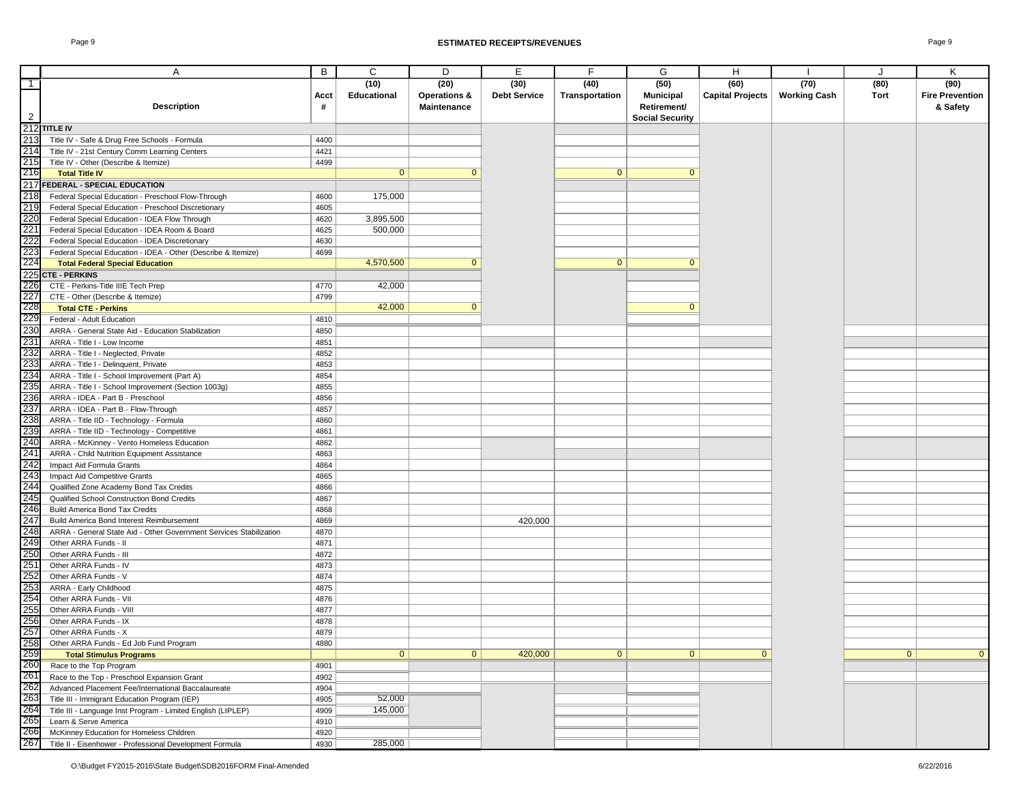|                | Α                                                                  | B    | C              | D                       | E                   | F.             | G                      | H                       |                     | $\cdot$      | Κ                      |
|----------------|--------------------------------------------------------------------|------|----------------|-------------------------|---------------------|----------------|------------------------|-------------------------|---------------------|--------------|------------------------|
| $\overline{1}$ |                                                                    |      | (10)           | (20)                    | (30)                | (40)           | (50)                   | (60)                    | (70)                | (80)         | (90)                   |
|                |                                                                    | Acct | Educational    | <b>Operations &amp;</b> | <b>Debt Service</b> | Transportation | <b>Municipal</b>       | <b>Capital Projects</b> | <b>Working Cash</b> | Tort         | <b>Fire Prevention</b> |
|                | <b>Description</b>                                                 | #    |                | Maintenance             |                     |                | Retirement/            |                         |                     |              | & Safety               |
| $\overline{2}$ |                                                                    |      |                |                         |                     |                | <b>Social Security</b> |                         |                     |              |                        |
|                | 212 TITLE IV                                                       |      |                |                         |                     |                |                        |                         |                     |              |                        |
|                |                                                                    |      |                |                         |                     |                |                        |                         |                     |              |                        |
| 213            | Title IV - Safe & Drug Free Schools - Formula                      | 4400 |                |                         |                     |                |                        |                         |                     |              |                        |
| 214            | Title IV - 21st Century Comm Learning Centers                      | 4421 |                |                         |                     |                |                        |                         |                     |              |                        |
| 215            | Title IV - Other (Describe & Itemize)                              | 4499 |                |                         |                     |                |                        |                         |                     |              |                        |
| 216            | <b>Total Title IV</b>                                              |      | $\mathbf{0}$   | $\mathbf{0}$            |                     | $\mathbf{0}$   | $\Omega$               |                         |                     |              |                        |
|                | 217 FEDERAL - SPECIAL EDUCATION                                    |      |                |                         |                     |                |                        |                         |                     |              |                        |
| 218            | Federal Special Education - Preschool Flow-Through                 | 4600 | 175,000        |                         |                     |                |                        |                         |                     |              |                        |
| 219            | Federal Special Education - Preschool Discretionary                | 4605 |                |                         |                     |                |                        |                         |                     |              |                        |
| 220            | Federal Special Education - IDEA Flow Through                      | 4620 | 3,895,500      |                         |                     |                |                        |                         |                     |              |                        |
| 221            | Federal Special Education - IDEA Room & Board                      | 4625 | 500,000        |                         |                     |                |                        |                         |                     |              |                        |
| 222            | Federal Special Education - IDEA Discretionary                     | 4630 |                |                         |                     |                |                        |                         |                     |              |                        |
| 223            | Federal Special Education - IDEA - Other (Describe & Itemize)      | 4699 |                |                         |                     |                |                        |                         |                     |              |                        |
| 224            | <b>Total Federal Special Education</b>                             |      | 4,570,500      | $\Omega$                |                     | $\mathbf{0}$   | $\Omega$               |                         |                     |              |                        |
| 225            | <b>CTE - PERKINS</b>                                               |      |                |                         |                     |                |                        |                         |                     |              |                        |
| 226            | CTE - Perkins-Title IIIE Tech Prep                                 | 4770 | 42,000         |                         |                     |                |                        |                         |                     |              |                        |
| 227            | CTE - Other (Describe & Itemize)                                   | 4799 |                |                         |                     |                |                        |                         |                     |              |                        |
| 228            |                                                                    |      | 42,000         | $\mathbf 0$             |                     |                | $\Omega$               |                         |                     |              |                        |
| 229            | <b>Total CTE - Perkins</b>                                         |      |                |                         |                     |                |                        |                         |                     |              |                        |
|                | Federal - Adult Education                                          | 4810 |                |                         |                     |                |                        |                         |                     |              |                        |
| 230            | ARRA - General State Aid - Education Stabilization                 | 4850 |                |                         |                     |                |                        |                         |                     |              |                        |
| 231            | ARRA - Title I - Low Income                                        | 4851 |                |                         |                     |                |                        |                         |                     |              |                        |
| 232            | ARRA - Title I - Neglected, Private                                | 4852 |                |                         |                     |                |                        |                         |                     |              |                        |
| 233            | ARRA - Title I - Delinquent, Private                               | 4853 |                |                         |                     |                |                        |                         |                     |              |                        |
| 234            | ARRA - Title I - School Improvement (Part A)                       | 4854 |                |                         |                     |                |                        |                         |                     |              |                        |
| 235            | ARRA - Title I - School Improvement (Section 1003g)                | 4855 |                |                         |                     |                |                        |                         |                     |              |                        |
| 236            | ARRA - IDEA - Part B - Preschool                                   | 4856 |                |                         |                     |                |                        |                         |                     |              |                        |
| 237            | ARRA - IDEA - Part B - Flow-Through                                | 4857 |                |                         |                     |                |                        |                         |                     |              |                        |
| 238            | ARRA - Title IID - Technology - Formula                            | 4860 |                |                         |                     |                |                        |                         |                     |              |                        |
| 239            | ARRA - Title IID - Technology - Competitive                        | 4861 |                |                         |                     |                |                        |                         |                     |              |                        |
| 240            | ARRA - McKinney - Vento Homeless Education                         | 4862 |                |                         |                     |                |                        |                         |                     |              |                        |
| 241            | ARRA - Child Nutrition Equipment Assistance                        | 4863 |                |                         |                     |                |                        |                         |                     |              |                        |
| 242            | Impact Aid Formula Grants                                          | 4864 |                |                         |                     |                |                        |                         |                     |              |                        |
| 243            | Impact Aid Competitive Grants                                      | 4865 |                |                         |                     |                |                        |                         |                     |              |                        |
| 244            | Qualified Zone Academy Bond Tax Credits                            | 4866 |                |                         |                     |                |                        |                         |                     |              |                        |
| 245            | Qualified School Construction Bond Credits                         | 4867 |                |                         |                     |                |                        |                         |                     |              |                        |
| 246            | <b>Build America Bond Tax Credits</b>                              | 4868 |                |                         |                     |                |                        |                         |                     |              |                        |
| 247            | Build America Bond Interest Reimbursement                          | 4869 |                |                         | 420,000             |                |                        |                         |                     |              |                        |
| 248            | ARRA - General State Aid - Other Government Services Stabilization | 4870 |                |                         |                     |                |                        |                         |                     |              |                        |
| 249            | Other ARRA Funds - II                                              | 4871 |                |                         |                     |                |                        |                         |                     |              |                        |
|                |                                                                    |      |                |                         |                     |                |                        |                         |                     |              |                        |
| 250            | Other ARRA Funds - III                                             | 4872 |                |                         |                     |                |                        |                         |                     |              |                        |
| 251            | Other ARRA Funds - IV                                              | 4873 |                |                         |                     |                |                        |                         |                     |              |                        |
| 252            | Other ARRA Funds - V                                               | 4874 |                |                         |                     |                |                        |                         |                     |              |                        |
| 253            | ARRA - Early Childhood                                             | 4875 |                |                         |                     |                |                        |                         |                     |              |                        |
| 254            | Other ARRA Funds - VII                                             | 4876 |                |                         |                     |                |                        |                         |                     |              |                        |
| 255            | Other ARRA Funds - VIII                                            | 4877 |                |                         |                     |                |                        |                         |                     |              |                        |
| 256            | Other ARRA Funds - IX                                              | 4878 |                |                         |                     |                |                        |                         |                     |              |                        |
| 257            | Other ARRA Funds - X                                               | 4879 |                |                         |                     |                |                        |                         |                     |              |                        |
| 258            | Other ARRA Funds - Ed Job Fund Program                             | 4880 |                |                         |                     |                |                        |                         |                     |              |                        |
| 259            | <b>Total Stimulus Programs</b>                                     |      | $\overline{0}$ | $\mathbf{0}$            | 420,000             | $\mathbf{0}$   | $\mathbf{0}$           | $\mathbf{0}$            |                     | $\mathbf{0}$ | $\mathbf 0$            |
| 260            | Race to the Top Program                                            | 4901 |                |                         |                     |                |                        |                         |                     |              |                        |
| 261            | Race to the Top - Preschool Expansion Grant                        | 4902 |                |                         |                     |                |                        |                         |                     |              |                        |
| 262            | Advanced Placement Fee/International Baccalaureate                 | 4904 |                |                         |                     |                |                        |                         |                     |              |                        |
|                | Title III - Immigrant Education Program (IEP)                      | 4905 | 52,000         |                         |                     |                |                        |                         |                     |              |                        |
| 263<br>264     | Title III - Language Inst Program - Limited English (LIPLEP)       | 4909 | 145,000        |                         |                     |                |                        |                         |                     |              |                        |
| 265<br>266     | Learn & Serve America                                              | 4910 |                |                         |                     |                |                        |                         |                     |              |                        |
|                | McKinney Education for Homeless Children                           | 4920 |                |                         |                     |                |                        |                         |                     |              |                        |
| 267            | Title II - Eisenhower - Professional Development Formula           | 4930 | 285,000        |                         |                     |                |                        |                         |                     |              |                        |
|                |                                                                    |      |                |                         |                     |                |                        |                         |                     |              |                        |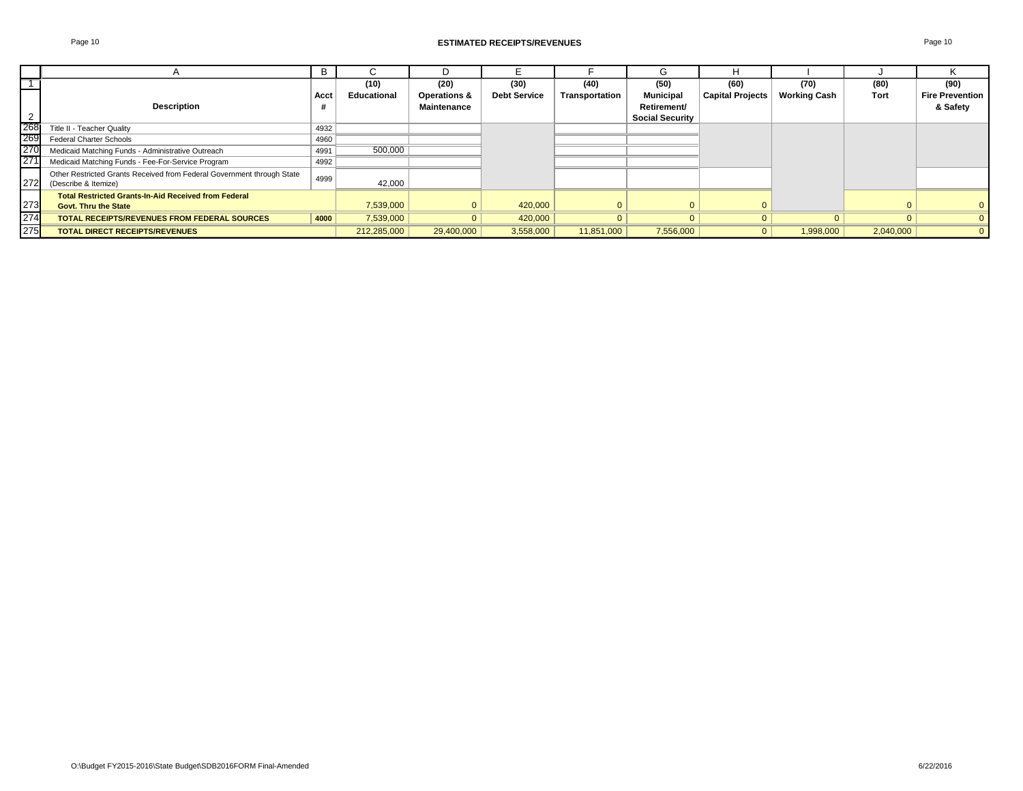|     |                                                                                                    | B    |             | D.                                 | E                   |                | G                                                         | н                       |                     |           |                                    |
|-----|----------------------------------------------------------------------------------------------------|------|-------------|------------------------------------|---------------------|----------------|-----------------------------------------------------------|-------------------------|---------------------|-----------|------------------------------------|
|     |                                                                                                    |      | (10)        | (20)                               | (30)                | (40)           | (50)                                                      | (60)                    | (70)                | (80)      | (90)                               |
|     | <b>Description</b>                                                                                 | Acct | Educational | Operations &<br><b>Maintenance</b> | <b>Debt Service</b> | Transportation | <b>Municipal</b><br>Retirement/<br><b>Social Security</b> | <b>Capital Projects</b> | <b>Working Cash</b> | Tort      | <b>Fire Prevention</b><br>& Safety |
| 268 | Title II - Teacher Quality                                                                         | 4932 |             |                                    |                     |                |                                                           |                         |                     |           |                                    |
| 269 | Federal Charter Schools                                                                            | 4960 |             |                                    |                     |                |                                                           |                         |                     |           |                                    |
| 270 | Medicaid Matching Funds - Administrative Outreach                                                  | 4991 | 500,000     |                                    |                     |                |                                                           |                         |                     |           |                                    |
| 271 | Medicaid Matching Funds - Fee-For-Service Program                                                  | 4992 |             |                                    |                     |                |                                                           |                         |                     |           |                                    |
|     | Other Restricted Grants Received from Federal Government through State<br>272 (Describe & Itemize) | 4999 | 42,000      |                                    |                     |                |                                                           |                         |                     |           |                                    |
| 273 | <b>Total Restricted Grants-In-Aid Received from Federal</b><br><b>Govt. Thru the State</b>         |      | 7,539,000   |                                    | 420,000             | $\Omega$       |                                                           | $\Omega$                |                     |           | $\Omega$                           |
| 274 | <b>TOTAL RECEIPTS/REVENUES FROM FEDERAL SOURCES</b>                                                | 4000 | 7,539,000   |                                    | 420,000             | $\Omega$       | $\Omega$                                                  | $\mathbf{0}$            |                     |           | $\Omega$                           |
| 275 | <b>TOTAL DIRECT RECEIPTS/REVENUES</b>                                                              |      | 212,285,000 | 29,400,000                         | 3,558,000           | 11,851,000     | 7,556,000                                                 | 0 <sup>1</sup>          | 1,998,000           | 2,040,000 | $\Omega$                           |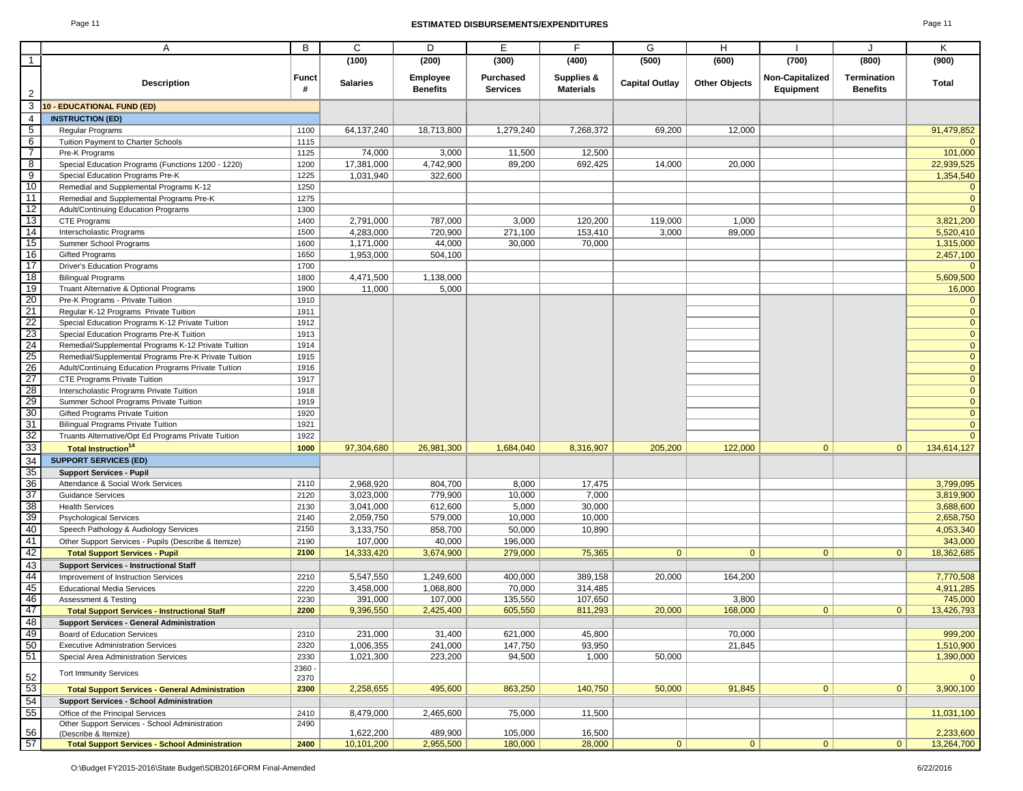#### Page 11 **ESTIMATED DISBURSEMENTS/EXPENDITURES** Page 11

|                 | Α                                                                                                | B                 | C                     | D                           | E                                   | F                              | G                     | H                    |                              | J                              | Κ                            |
|-----------------|--------------------------------------------------------------------------------------------------|-------------------|-----------------------|-----------------------------|-------------------------------------|--------------------------------|-----------------------|----------------------|------------------------------|--------------------------------|------------------------------|
| $\mathbf{1}$    |                                                                                                  |                   | (100)                 | (200)                       | (300)                               | (400)                          | (500)                 | (600)                | (700)                        | (800)                          | (900)                        |
|                 |                                                                                                  |                   |                       |                             |                                     |                                |                       |                      |                              |                                |                              |
| $\overline{2}$  | <b>Description</b>                                                                               | <b>Funct</b><br># | <b>Salaries</b>       | Employee<br><b>Benefits</b> | <b>Purchased</b><br><b>Services</b> | Supplies &<br><b>Materials</b> | <b>Capital Outlay</b> | <b>Other Objects</b> | Non-Capitalized<br>Equipment | Termination<br><b>Benefits</b> | <b>Total</b>                 |
| 3               | <b>10 - EDUCATIONAL FUND (ED)</b>                                                                |                   |                       |                             |                                     |                                |                       |                      |                              |                                |                              |
| 4               | <b>INSTRUCTION (ED)</b>                                                                          |                   |                       |                             |                                     |                                |                       |                      |                              |                                |                              |
| $5\overline{)}$ | Regular Programs                                                                                 | 1100              | 64,137,240            | 18,713,800                  | 1,279,240                           | 7,268,372                      | 69,200                | 12,000               |                              |                                | 91,479,852                   |
| $6 \overline{}$ | Tuition Payment to Charter Schools                                                               | 1115              |                       |                             |                                     |                                |                       |                      |                              |                                |                              |
| $\overline{7}$  | Pre-K Programs                                                                                   | 1125              | 74,000                | 3,000                       | 11,500                              | 12,500                         |                       |                      |                              |                                | 101,000                      |
| $\frac{8}{ }$   | Special Education Programs (Functions 1200 - 1220)                                               | 1200              | 17,381,000            | 4,742,900                   | 89,200                              | 692,425                        | 14,000                | 20,000               |                              |                                | 22,939,525                   |
| $\overline{9}$  | Special Education Programs Pre-K                                                                 | 1225              | 1,031,940             | 322,600                     |                                     |                                |                       |                      |                              |                                | 1,354,540                    |
| 10              | Remedial and Supplemental Programs K-12                                                          | 1250              |                       |                             |                                     |                                |                       |                      |                              |                                | $\mathbf{0}$                 |
| 11              | Remedial and Supplemental Programs Pre-K                                                         | 1275              |                       |                             |                                     |                                |                       |                      |                              |                                | $\mathbf{0}$                 |
| $\frac{12}{13}$ | Adult/Continuing Education Programs                                                              | 1300              |                       |                             |                                     |                                |                       |                      |                              |                                | $\Omega$                     |
|                 | <b>CTE Programs</b>                                                                              | 1400              | 2,791,000             | 787,000                     | 3,000                               | 120,200                        | 119,000               | 1,000                |                              |                                | 3,821,200                    |
| 14              | Interscholastic Programs                                                                         | 1500              | 4,283,000             | 720,900                     | 271,100                             | 153,410                        | 3,000                 | 89,000               |                              |                                | 5,520,410                    |
| 15              | Summer School Programs                                                                           | 1600              | 1,171,000             | 44,000                      | 30,000                              | 70,000                         |                       |                      |                              |                                | 1,315,000                    |
| 16              | <b>Gifted Programs</b>                                                                           | 1650              | 1,953,000             | 504,100                     |                                     |                                |                       |                      |                              |                                | 2,457,100                    |
| 17              | <b>Driver's Education Programs</b>                                                               | 1700              |                       |                             |                                     |                                |                       |                      |                              |                                | $\Omega$                     |
| 18              | <b>Bilingual Programs</b>                                                                        | 1800              | 4,471,500             | 1,138,000                   |                                     |                                |                       |                      |                              |                                | 5,609,500                    |
| 19              | Truant Alternative & Optional Programs                                                           | 1900              | 11,000                | 5,000                       |                                     |                                |                       |                      |                              |                                | 16,000                       |
| 20              | Pre-K Programs - Private Tuition                                                                 | 1910              |                       |                             |                                     |                                |                       |                      |                              |                                | $\mathbf{0}$                 |
| 21              | Regular K-12 Programs Private Tuition                                                            | 1911              |                       |                             |                                     |                                |                       |                      |                              |                                | $\mathbf{0}$                 |
| $\overline{22}$ | Special Education Programs K-12 Private Tuition                                                  | 1912              |                       |                             |                                     |                                |                       |                      |                              |                                | $\mathbf{0}$                 |
| 23              | Special Education Programs Pre-K Tuition                                                         | 1913              |                       |                             |                                     |                                |                       |                      |                              |                                | $\mathbf{0}$                 |
| 24              | Remedial/Supplemental Programs K-12 Private Tuition                                              | 1914              |                       |                             |                                     |                                |                       |                      |                              |                                | $\mathbf{0}$                 |
| $\frac{25}{26}$ | Remedial/Supplemental Programs Pre-K Private Tuition                                             | 1915              |                       |                             |                                     |                                |                       |                      |                              |                                | $\mathbf{0}$                 |
| 27              | Adult/Continuing Education Programs Private Tuition                                              | 1916              |                       |                             |                                     |                                |                       |                      |                              |                                | $\mathbf{0}$                 |
| $\frac{28}{ }$  | CTE Programs Private Tuition                                                                     | 1917              |                       |                             |                                     |                                |                       |                      |                              |                                | $\mathbf{0}$                 |
|                 | Interscholastic Programs Private Tuition                                                         | 1918              |                       |                             |                                     |                                |                       |                      |                              |                                | $\mathbf{0}$<br>$\mathbf{0}$ |
| $\frac{29}{30}$ | Summer School Programs Private Tuition                                                           | 1919              |                       |                             |                                     |                                |                       |                      |                              |                                |                              |
| 31              | Gifted Programs Private Tuition                                                                  | 1920              |                       |                             |                                     |                                |                       |                      |                              |                                | $\mathbf{0}$<br>$\mathbf{0}$ |
| 32              | <b>Bilingual Programs Private Tuition</b><br>Truants Alternative/Opt Ed Programs Private Tuition | 1921<br>1922      |                       |                             |                                     |                                |                       |                      |                              |                                | $\Omega$                     |
| 33              | <b>Total Instruction<sup>14</sup></b>                                                            | 1000              | 97,304,680            | 26,981,300                  | 1,684,040                           | 8,316,907                      | 205,200               | 122,000              | $\overline{0}$               | $\mathbf{0}$                   | 134,614,127                  |
| 34              |                                                                                                  |                   |                       |                             |                                     |                                |                       |                      |                              |                                |                              |
|                 | <b>SUPPORT SERVICES (ED)</b>                                                                     |                   |                       |                             |                                     |                                |                       |                      |                              |                                |                              |
| 35<br>36        | <b>Support Services - Pupil</b>                                                                  |                   |                       |                             |                                     |                                |                       |                      |                              |                                |                              |
| 37              | Attendance & Social Work Services                                                                | 2110              | 2,968,920             | 804,700                     | 8,000                               | 17,475<br>7,000                |                       |                      |                              |                                | 3,799,095                    |
| 38              | <b>Guidance Services</b>                                                                         | 2120              | 3,023,000             | 779,900                     | 10,000<br>5,000                     | 30,000                         |                       |                      |                              |                                | 3,819,900                    |
| 39              | <b>Health Services</b>                                                                           | 2130              | 3,041,000             | 612,600                     |                                     |                                |                       |                      |                              |                                | 3,688,600                    |
| 40              | <b>Psychological Services</b>                                                                    | 2140<br>2150      | 2,059,750             | 579,000                     | 10,000                              | 10,000                         |                       |                      |                              |                                | 2,658,750                    |
| 41              | Speech Pathology & Audiology Services                                                            |                   | 3,133,750             | 858,700                     | 50,000                              | 10,890                         |                       |                      |                              |                                | 4,053,340                    |
| 42              | Other Support Services - Pupils (Describe & Itemize)                                             | 2190<br>2100      | 107,000<br>14,333,420 | 40,000<br>3,674,900         | 196,000<br>279,000                  | 75,365                         | $\mathbf{0}$          | $\mathbf{0}$         | $\mathbf{0}$                 | $\mathbf{0}$                   | 343,000<br>18,362,685        |
| 43              | <b>Total Support Services - Pupil</b>                                                            |                   |                       |                             |                                     |                                |                       |                      |                              |                                |                              |
| 44              | <b>Support Services - Instructional Staff</b>                                                    |                   |                       |                             |                                     |                                |                       |                      |                              |                                |                              |
|                 | Improvement of Instruction Services                                                              | 2210              | 5,547,550             | 1,249,600                   | 400,000                             | 389,158                        | 20,000                | 164,200              |                              |                                | 7,770,508                    |
| $\frac{45}{46}$ | <b>Educational Media Services</b>                                                                | 2220              | 3,458,000             | 1,068,800                   | 70,000                              | 314,485                        |                       |                      |                              |                                | 4,911,285<br>745,000         |
| 47              | <b>Assessment &amp; Testing</b><br><b>Total Support Services - Instructional Staff</b>           | 2230<br>2200      | 391,000<br>9,396,550  | 107,000<br>2,425,400        | 135,550<br>605,550                  | 107,650<br>811,293             | 20,000                | 3,800<br>168,000     | 0                            | $\mathbf{0}$                   | 13,426,793                   |
| 48              | <b>Support Services - General Administration</b>                                                 |                   |                       |                             |                                     |                                |                       |                      |                              |                                |                              |
| 49              | Board of Education Services                                                                      | 2310              | 231,000               | 31,400                      | 621,000                             | 45,800                         |                       | 70,000               |                              |                                | 999,200                      |
| 50              | <b>Executive Administration Services</b>                                                         | 2320              | 1,006,355             | 241,000                     | 147,750                             | 93,950                         |                       | 21,845               |                              |                                | 1,510,900                    |
| 51              | Special Area Administration Services                                                             | 2330              | 1,021,300             | 223,200                     | 94,500                              | 1,000                          | 50,000                |                      |                              |                                | 1,390,000                    |
|                 |                                                                                                  | 2360 -            |                       |                             |                                     |                                |                       |                      |                              |                                |                              |
| 52              | <b>Tort Immunity Services</b>                                                                    | 2370              |                       |                             |                                     |                                |                       |                      |                              |                                | $\mathbf 0$                  |
| 53              | <b>Total Support Services - General Administration</b>                                           | 2300              | 2,258,655             | 495,600                     | 863,250                             | 140,750                        | 50,000                | 91,845               | $\mathbf{0}$                 | $\mathbf{0}$                   | 3,900,100                    |
| 54              | <b>Support Services - School Administration</b>                                                  |                   |                       |                             |                                     |                                |                       |                      |                              |                                |                              |
| 55              | Office of the Principal Services                                                                 | 2410              | 8,479,000             | 2,465,600                   | 75,000                              | 11,500                         |                       |                      |                              |                                | 11,031,100                   |
|                 | Other Support Services - School Administration                                                   | 2490              |                       |                             |                                     |                                |                       |                      |                              |                                |                              |
| 56              | (Describe & Itemize)                                                                             |                   | 1,622,200             | 489,900                     | 105,000                             | 16,500                         |                       |                      |                              |                                | 2,233,600                    |
| 57              | <b>Total Support Services - School Administration</b>                                            | 2400              | 10,101,200            | 2,955,500                   | 180,000                             | 28,000                         | $\mathbf{0}$          | 0                    | 0                            | 0                              | 13,264,700                   |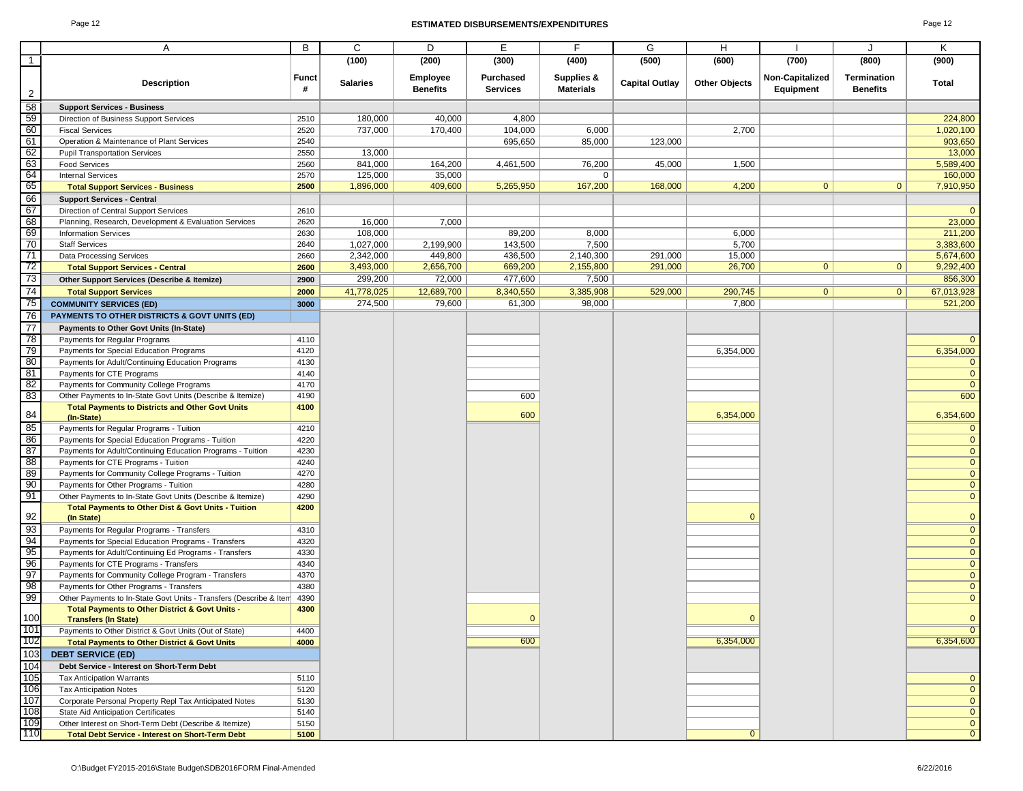#### Page 12 **ESTIMATED DISBURSEMENTS/EXPENDITURES** Page 12

| ıс<br>аσ<br>۰ |  |
|---------------|--|
|---------------|--|

|                                                             | Α                                                                              | B          | C          | D                                  | Е                            | F                              | G                     | H                    |                              | J                              | Κ                     |
|-------------------------------------------------------------|--------------------------------------------------------------------------------|------------|------------|------------------------------------|------------------------------|--------------------------------|-----------------------|----------------------|------------------------------|--------------------------------|-----------------------|
|                                                             |                                                                                |            | (100)      | (200)                              | (300)                        | (400)                          | (500)                 | (600)                | (700)                        | (800)                          | (900)                 |
|                                                             |                                                                                |            |            |                                    |                              |                                |                       |                      |                              |                                |                       |
| $\overline{2}$                                              | <b>Description</b>                                                             | Funct<br># | Salaries   | <b>Employee</b><br><b>Benefits</b> | Purchased<br><b>Services</b> | Supplies &<br><b>Materials</b> | <b>Capital Outlay</b> | <b>Other Objects</b> | Non-Capitalized<br>Equipment | Termination<br><b>Benefits</b> | Total                 |
| 58                                                          | <b>Support Services - Business</b>                                             |            |            |                                    |                              |                                |                       |                      |                              |                                |                       |
| $\frac{59}{60}$                                             | Direction of Business Support Services                                         | 2510       | 180,000    | 40,000                             | 4,800                        |                                |                       |                      |                              |                                | 224,800               |
|                                                             | <b>Fiscal Services</b>                                                         | 2520       | 737,000    | 170,400                            | 104,000                      | 6,000                          |                       | 2,700                |                              |                                | 1,020,100             |
|                                                             | Operation & Maintenance of Plant Services                                      | 2540       |            |                                    | 695,650                      | 85,000                         | 123,000               |                      |                              |                                | 903,650               |
|                                                             | <b>Pupil Transportation Services</b>                                           | 2550       | 13,000     |                                    |                              |                                |                       |                      |                              |                                | 13,000                |
|                                                             | <b>Food Services</b>                                                           | 2560       | 841,000    | 164,200                            | 4,461,500                    | 76,200                         | 45,000                | 1,500                |                              |                                | 5,589,400             |
| $\frac{61}{62}$<br>$\frac{62}{63}$<br>$\frac{64}{65}$       | <b>Internal Services</b>                                                       | 2570       | 125,000    | 35,000                             |                              | $\mathbf 0$                    |                       |                      |                              |                                | 160,000               |
|                                                             | <b>Total Support Services - Business</b>                                       | 2500       | 1,896,000  | 409,600                            | 5,265,950                    | 167,200                        | 168,000               | 4,200                | $\mathbf{0}$                 | $\mathbf{0}$                   | 7,910,950             |
| $\frac{66}{67}$                                             | <b>Support Services - Central</b>                                              |            |            |                                    |                              |                                |                       |                      |                              |                                |                       |
|                                                             | Direction of Central Support Services                                          | 2610       |            |                                    |                              |                                |                       |                      |                              |                                | $\mathbf{0}$          |
| $\frac{68}{69}$                                             | Planning, Research, Development & Evaluation Services                          | 2620       | 16,000     | 7,000                              |                              |                                |                       |                      |                              |                                | 23,000                |
|                                                             | <b>Information Services</b>                                                    | 2630       | 108,000    |                                    | 89,200                       | 8,000                          |                       | 6,000                |                              |                                | 211,200               |
| 70                                                          | <b>Staff Services</b>                                                          | 2640       | 1,027,000  | 2,199,900                          | 143,500                      | 7,500                          |                       | 5,700                |                              |                                | 3,383,600             |
| 71                                                          | Data Processing Services                                                       | 2660       | 2,342,000  | 449,800                            | 436,500                      | 2,140,300                      | 291,000               | 15,000               |                              |                                | 5,674,600             |
| 72                                                          | <b>Total Support Services - Central</b>                                        | 2600       | 3,493,000  | 2,656,700                          | 669,200                      | 2,155,800                      | 291,000               | 26,700               | $\mathbf{0}$                 | $\overline{0}$                 | 9,292,400             |
| 73                                                          | Other Support Services (Describe & Itemize)                                    | 2900       | 299,200    | 72,000                             | 477,600                      | 7,500                          |                       |                      |                              |                                | 856,300               |
| 74                                                          | <b>Total Support Services</b>                                                  | 2000       | 41,778,025 | 12,689,700                         | 8,340,550                    | 3,385,908                      | 529,000               | 290,745              | $\mathbf{0}$                 | $\overline{0}$                 | 67,013,928            |
| 75                                                          | <b>COMMUNITY SERVICES (ED)</b>                                                 | 3000       | 274,500    | 79,600                             | 61,300                       | 98,000                         |                       | 7,800                |                              |                                | 521,200               |
| 76                                                          | PAYMENTS TO OTHER DISTRICTS & GOVT UNITS (ED)                                  |            |            |                                    |                              |                                |                       |                      |                              |                                |                       |
| 77                                                          | Payments to Other Govt Units (In-State)                                        |            |            |                                    |                              |                                |                       |                      |                              |                                |                       |
| $\frac{78}{79}$                                             | Payments for Regular Programs                                                  | 4110       |            |                                    |                              |                                |                       |                      |                              |                                | $\mathbf{0}$          |
|                                                             | Payments for Special Education Programs                                        | 4120       |            |                                    |                              |                                |                       | 6,354,000            |                              |                                | 6,354,000             |
| 80                                                          | Payments for Adult/Continuing Education Programs                               | 4130       |            |                                    |                              |                                |                       |                      |                              |                                | $\mathbf{0}$          |
| 81                                                          | Payments for CTE Programs                                                      | 4140       |            |                                    |                              |                                |                       |                      |                              |                                | $\pmb{0}$             |
| 82                                                          | Payments for Community College Programs                                        | 4170       |            |                                    |                              |                                |                       |                      |                              |                                | $\mathbf{0}$          |
| 83                                                          | Other Payments to In-State Govt Units (Describe & Itemize)                     | 4190       |            |                                    | 600                          |                                |                       |                      |                              |                                | 600                   |
| 84                                                          | <b>Total Payments to Districts and Other Govt Units</b><br>(In-State)          | 4100       |            |                                    | 600                          |                                |                       | 6,354,000            |                              |                                | 6,354,600             |
| 85                                                          | Payments for Regular Programs - Tuition                                        | 4210       |            |                                    |                              |                                |                       |                      |                              |                                | $\mathbf 0$           |
| 86                                                          | Payments for Special Education Programs - Tuition                              | 4220       |            |                                    |                              |                                |                       |                      |                              |                                | $\overline{0}$        |
| 87                                                          | Payments for Adult/Continuing Education Programs - Tuition                     | 4230       |            |                                    |                              |                                |                       |                      |                              |                                | $\mathbf 0$           |
| 88<br>89                                                    | Payments for CTE Programs - Tuition                                            | 4240       |            |                                    |                              |                                |                       |                      |                              |                                | $\overline{0}$        |
|                                                             | Payments for Community College Programs - Tuition                              | 4270       |            |                                    |                              |                                |                       |                      |                              |                                | $\mathbf 0$           |
| 90                                                          | Payments for Other Programs - Tuition                                          | 4280       |            |                                    |                              |                                |                       |                      |                              |                                | $\mathbf{0}$          |
| 91                                                          | Other Payments to In-State Govt Units (Describe & Itemize)                     | 4290       |            |                                    |                              |                                |                       |                      |                              |                                | $\mathbf{0}$          |
| 92<br>93<br>94<br>95<br>96<br>97                            | <b>Total Payments to Other Dist &amp; Govt Units - Tuition</b><br>(In State)   | 4200       |            |                                    |                              |                                |                       | $\Omega$             |                              |                                | $\mathbf{0}$          |
|                                                             | Payments for Regular Programs - Transfers                                      | 4310       |            |                                    |                              |                                |                       |                      |                              |                                | $\mathbf{0}$          |
|                                                             | Payments for Special Education Programs - Transfers                            | 4320       |            |                                    |                              |                                |                       |                      |                              |                                | $\mathbf 0$           |
|                                                             | Payments for Adult/Continuing Ed Programs - Transfers                          | 4330       |            |                                    |                              |                                |                       |                      |                              |                                | $\mathbf 0$           |
|                                                             | Payments for CTE Programs - Transfers                                          | 4340       |            |                                    |                              |                                |                       |                      |                              |                                | $\overline{\text{o}}$ |
|                                                             | Payments for Community College Program - Transfers                             | 4370       |            |                                    |                              |                                |                       |                      |                              |                                | $\mathbf 0$           |
| 98                                                          | Payments for Other Programs - Transfers                                        | 4380       |            |                                    |                              |                                |                       |                      |                              |                                | $\mathbf 0$           |
| 99                                                          | Other Payments to In-State Govt Units - Transfers (Describe & Item             | 4390       |            |                                    |                              |                                |                       |                      |                              |                                | $\mathbf 0$           |
| 100                                                         | Total Payments to Other District & Govt Units -<br><b>Transfers (In State)</b> | 4300       |            |                                    | 0                            |                                |                       |                      |                              |                                | $\mathbf{0}$          |
| 101                                                         | Payments to Other District & Govt Units (Out of State)                         | 4400       |            |                                    |                              |                                |                       |                      |                              |                                | $\overline{0}$        |
| 102                                                         | <b>Total Payments to Other District &amp; Govt Units</b>                       | 4000       |            |                                    | 600                          |                                |                       | 6,354,000            |                              |                                | 6,354,600             |
| 103                                                         | <b>DEBT SERVICE (ED)</b>                                                       |            |            |                                    |                              |                                |                       |                      |                              |                                |                       |
| $\frac{104}{104}$<br>$\frac{105}{106}$<br>$\frac{107}{108}$ | Debt Service - Interest on Short-Term Debt                                     |            |            |                                    |                              |                                |                       |                      |                              |                                |                       |
|                                                             | <b>Tax Anticipation Warrants</b>                                               | 5110       |            |                                    |                              |                                |                       |                      |                              |                                | $\mathbf 0$           |
|                                                             | <b>Tax Anticipation Notes</b>                                                  | 5120       |            |                                    |                              |                                |                       |                      |                              |                                | $\mathbf 0$           |
|                                                             | Corporate Personal Property Repl Tax Anticipated Notes                         | 5130       |            |                                    |                              |                                |                       |                      |                              |                                | $\overline{0}$        |
|                                                             | State Aid Anticipation Certificates                                            | 5140       |            |                                    |                              |                                |                       |                      |                              |                                | $\overline{0}$        |
| 109                                                         | Other Interest on Short-Term Debt (Describe & Itemize)                         | 5150       |            |                                    |                              |                                |                       |                      |                              |                                | $\overline{0}$        |
| 110                                                         | <b>Total Debt Service - Interest on Short-Term Debt</b>                        | 5100       |            |                                    |                              |                                |                       | $\mathbf{0}$         |                              |                                | $\overline{0}$        |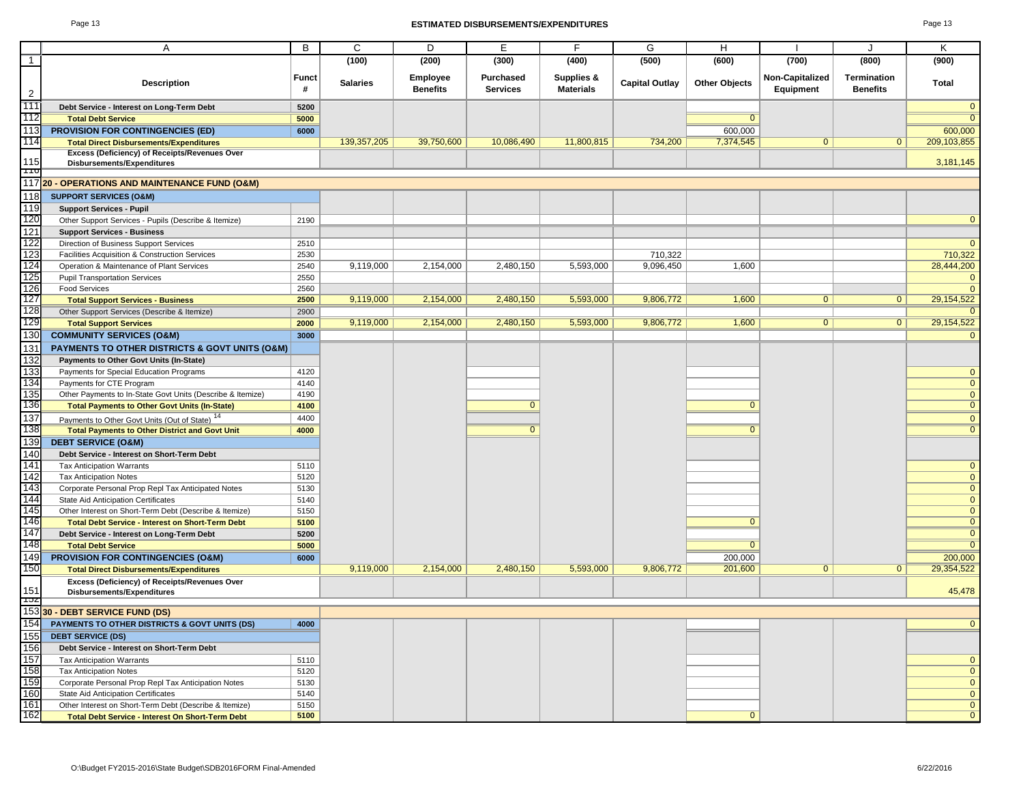#### Page 13 **ESTIMATED DISBURSEMENTS/EXPENDITURES** Page 13

| ٠<br>c |  |
|--------|--|
|--------|--|

|                                                       | A                                                             | B                 | C               | D                           | E                                   | F                              | G                     | н                    |                              | IJ                                    | Κ                        |
|-------------------------------------------------------|---------------------------------------------------------------|-------------------|-----------------|-----------------------------|-------------------------------------|--------------------------------|-----------------------|----------------------|------------------------------|---------------------------------------|--------------------------|
| $\overline{1}$                                        |                                                               |                   | (100)           | (200)                       | (300)                               | (400)                          | (500)                 | (600)                | (700)                        | (800)                                 | (900)                    |
| $\overline{2}$                                        | <b>Description</b>                                            | <b>Funct</b><br># | <b>Salaries</b> | Employee<br><b>Benefits</b> | <b>Purchased</b><br><b>Services</b> | Supplies &<br><b>Materials</b> | <b>Capital Outlay</b> | <b>Other Objects</b> | Non-Capitalized<br>Equipment | <b>Termination</b><br><b>Benefits</b> | <b>Total</b>             |
| 111                                                   | Debt Service - Interest on Long-Term Debt                     | 5200              |                 |                             |                                     |                                |                       |                      |                              |                                       | $\mathbf{0}$             |
| 112                                                   | <b>Total Debt Service</b>                                     | 5000              |                 |                             |                                     |                                |                       | $\overline{0}$       |                              |                                       | $\overline{0}$           |
| 113                                                   | <b>PROVISION FOR CONTINGENCIES (ED)</b>                       | 6000              |                 |                             |                                     |                                |                       | 600,000              |                              |                                       | 600,000                  |
| 114                                                   | <b>Total Direct Disbursements/Expenditures</b>                |                   | 139,357,205     | 39,750,600                  | 10,086,490                          | 11,800,815                     | 734,200               | 7,374,545            | $\mathbf{0}$                 | 0                                     | 209,103,855              |
|                                                       | Excess (Deficiency) of Receipts/Revenues Over                 |                   |                 |                             |                                     |                                |                       |                      |                              |                                       |                          |
| 115                                                   | Disbursements/Expenditures                                    |                   |                 |                             |                                     |                                |                       |                      |                              |                                       | 3,181,145                |
| $\overline{110}$                                      |                                                               |                   |                 |                             |                                     |                                |                       |                      |                              |                                       |                          |
|                                                       | 11720 - OPERATIONS AND MAINTENANCE FUND (O&M)                 |                   |                 |                             |                                     |                                |                       |                      |                              |                                       |                          |
| $\sqrt{118}$                                          | <b>SUPPORT SERVICES (O&amp;M)</b>                             |                   |                 |                             |                                     |                                |                       |                      |                              |                                       |                          |
| 119                                                   | <b>Support Services - Pupil</b>                               |                   |                 |                             |                                     |                                |                       |                      |                              |                                       |                          |
| 120                                                   | Other Support Services - Pupils (Describe & Itemize)          | 2190              |                 |                             |                                     |                                |                       |                      |                              |                                       | $\mathbf{0}$             |
| 121                                                   | <b>Support Services - Business</b>                            |                   |                 |                             |                                     |                                |                       |                      |                              |                                       |                          |
| $\frac{122}{123}$ $\frac{123}{124}$                   | Direction of Business Support Services                        | 2510              |                 |                             |                                     |                                |                       |                      |                              |                                       | $\mathbf{0}$             |
|                                                       | Facilities Acquisition & Construction Services                | 2530              |                 |                             |                                     |                                | 710,322               |                      |                              |                                       | 710,322                  |
|                                                       | Operation & Maintenance of Plant Services                     | 2540              | 9,119,000       | 2,154,000                   | 2,480,150                           | 5,593,000                      | 9,096,450             | 1,600                |                              |                                       | 28,444,200               |
|                                                       | <b>Pupil Transportation Services</b>                          | 2550              |                 |                             |                                     |                                |                       |                      |                              |                                       | $\mathbf{0}$             |
| 126<br>127                                            | <b>Food Services</b>                                          | 2560              | 9,119,000       | 2,154,000                   | 2,480,150                           | 5,593,000                      | 9,806,772             | 1,600                | $\mathbf{0}$                 | $\mathbf{0}$                          | $\Omega$                 |
| 128                                                   | <b>Total Support Services - Business</b>                      | 2500              |                 |                             |                                     |                                |                       |                      |                              |                                       | 29, 154, 522             |
| 129                                                   | Other Support Services (Describe & Itemize)                   | 2900              | 9,119,000       | 2,154,000                   | 2,480,150                           | 5,593,000                      | 9,806,772             | 1,600                | $\overline{0}$               | 0                                     | $\Omega$<br>29, 154, 522 |
|                                                       | <b>Total Support Services</b>                                 | 2000              |                 |                             |                                     |                                |                       |                      |                              |                                       |                          |
| 130                                                   | <b>COMMUNITY SERVICES (O&amp;M)</b>                           | 3000              |                 |                             |                                     |                                |                       |                      |                              |                                       | $\mathbf{0}$             |
| 131                                                   | <b>PAYMENTS TO OTHER DISTRICTS &amp; GOVT UNITS (O&amp;M)</b> |                   |                 |                             |                                     |                                |                       |                      |                              |                                       |                          |
| 132                                                   | Payments to Other Govt Units (In-State)                       |                   |                 |                             |                                     |                                |                       |                      |                              |                                       |                          |
|                                                       | Payments for Special Education Programs                       | 4120              |                 |                             |                                     |                                |                       |                      |                              |                                       | $\mathbf{0}$             |
|                                                       | Payments for CTE Program                                      | 4140              |                 |                             |                                     |                                |                       |                      |                              |                                       | $\mathbf{0}$             |
| 133<br>134<br>135<br>135<br>136                       | Other Payments to In-State Govt Units (Describe & Itemize)    | 4190              |                 |                             |                                     |                                |                       |                      |                              |                                       | $\mathbf{0}$             |
|                                                       | <b>Total Payments to Other Govt Units (In-State)</b>          | 4100              |                 |                             | $\mathbf{0}$                        |                                |                       | $\overline{0}$       |                              |                                       | $\mathbf{0}$             |
| 137                                                   | Payments to Other Govt Units (Out of State) 14                | 4400              |                 |                             |                                     |                                |                       |                      |                              |                                       | $\mathbf{0}$             |
| 138                                                   | <b>Total Payments to Other District and Govt Unit</b>         | 4000              |                 |                             | $\overline{0}$                      |                                |                       | $\overline{0}$       |                              |                                       | $\overline{0}$           |
| 139                                                   | <b>DEBT SERVICE (O&amp;M)</b>                                 |                   |                 |                             |                                     |                                |                       |                      |                              |                                       |                          |
| 140                                                   | Debt Service - Interest on Short-Term Debt                    |                   |                 |                             |                                     |                                |                       |                      |                              |                                       |                          |
| $\overline{141}$                                      | <b>Tax Anticipation Warrants</b>                              | 5110              |                 |                             |                                     |                                |                       |                      |                              |                                       | $\mathbf{0}$             |
|                                                       | <b>Tax Anticipation Notes</b>                                 | 5120              |                 |                             |                                     |                                |                       |                      |                              |                                       | $\mathbf{0}$             |
|                                                       | Corporate Personal Prop Repl Tax Anticipated Notes            | 5130              |                 |                             |                                     |                                |                       |                      |                              |                                       | $\mathbf{0}$             |
|                                                       | State Aid Anticipation Certificates                           | 5140              |                 |                             |                                     |                                |                       |                      |                              |                                       | $\mathbf{0}$             |
| $\frac{142}{143}$ $\frac{144}{145}$ $\frac{145}{146}$ | Other Interest on Short-Term Debt (Describe & Itemize)        | 5150              |                 |                             |                                     |                                |                       |                      |                              |                                       | $\mathbf{0}$             |
|                                                       | <b>Total Debt Service - Interest on Short-Term Debt</b>       | 5100              |                 |                             |                                     |                                |                       | $\overline{0}$       |                              |                                       | $\mathbf{0}$             |
| 147                                                   | Debt Service - Interest on Long-Term Debt                     | 5200              |                 |                             |                                     |                                |                       |                      |                              |                                       | $\mathbf{0}$             |
| 148                                                   | <b>Total Debt Service</b>                                     | 5000              |                 |                             |                                     |                                |                       | $\Omega$             |                              |                                       | $\overline{0}$           |
| 149                                                   | PROVISION FOR CONTINGENCIES (O&M)                             | 6000              |                 |                             |                                     |                                |                       | 200,000              |                              |                                       | 200,000                  |
| 150                                                   | <b>Total Direct Disbursements/Expenditures</b>                |                   | 9,119,000       | 2,154,000                   | 2,480,150                           | 5,593,000                      | 9,806,772             | 201,600              | $\mathbf{0}$                 | $\mathbf{0}$                          | 29,354,522               |
|                                                       | Excess (Deficiency) of Receipts/Revenues Over                 |                   |                 |                             |                                     |                                |                       |                      |                              |                                       |                          |
| 151<br>אטר                                            | <b>Disbursements/Expenditures</b>                             |                   |                 |                             |                                     |                                |                       |                      |                              |                                       | 45,478                   |
|                                                       | 153330 - DEBT SERVICE FUND (DS)                               |                   |                 |                             |                                     |                                |                       |                      |                              |                                       |                          |
| 154                                                   | PAYMENTS TO OTHER DISTRICTS & GOVT UNITS (DS)                 | 4000              |                 |                             |                                     |                                |                       |                      |                              |                                       | $\mathbf{0}$             |
| 155                                                   | <b>DEBT SERVICE (DS)</b>                                      |                   |                 |                             |                                     |                                |                       |                      |                              |                                       |                          |
| 156                                                   | Debt Service - Interest on Short-Term Debt                    |                   |                 |                             |                                     |                                |                       |                      |                              |                                       |                          |
|                                                       | <b>Tax Anticipation Warrants</b>                              | 5110              |                 |                             |                                     |                                |                       |                      |                              |                                       | $\mathbf{0}$             |
| $\frac{157}{158}$                                     | <b>Tax Anticipation Notes</b>                                 | 5120              |                 |                             |                                     |                                |                       |                      |                              |                                       | $\mathbf{0}$             |
| 159                                                   | Corporate Personal Prop Repl Tax Anticipation Notes           | 5130              |                 |                             |                                     |                                |                       |                      |                              |                                       | $\mathbf{0}$             |
| 160                                                   | State Aid Anticipation Certificates                           | 5140              |                 |                             |                                     |                                |                       |                      |                              |                                       | $\mathbf{0}$             |
| 161                                                   | Other Interest on Short-Term Debt (Describe & Itemize)        | 5150              |                 |                             |                                     |                                |                       |                      |                              |                                       | $\mathbf{0}$             |
| 162                                                   | Total Debt Service - Interest On Short-Term Debt              | 5100              |                 |                             |                                     |                                |                       | $\mathbf{0}$         |                              |                                       | $\mathbf{0}$             |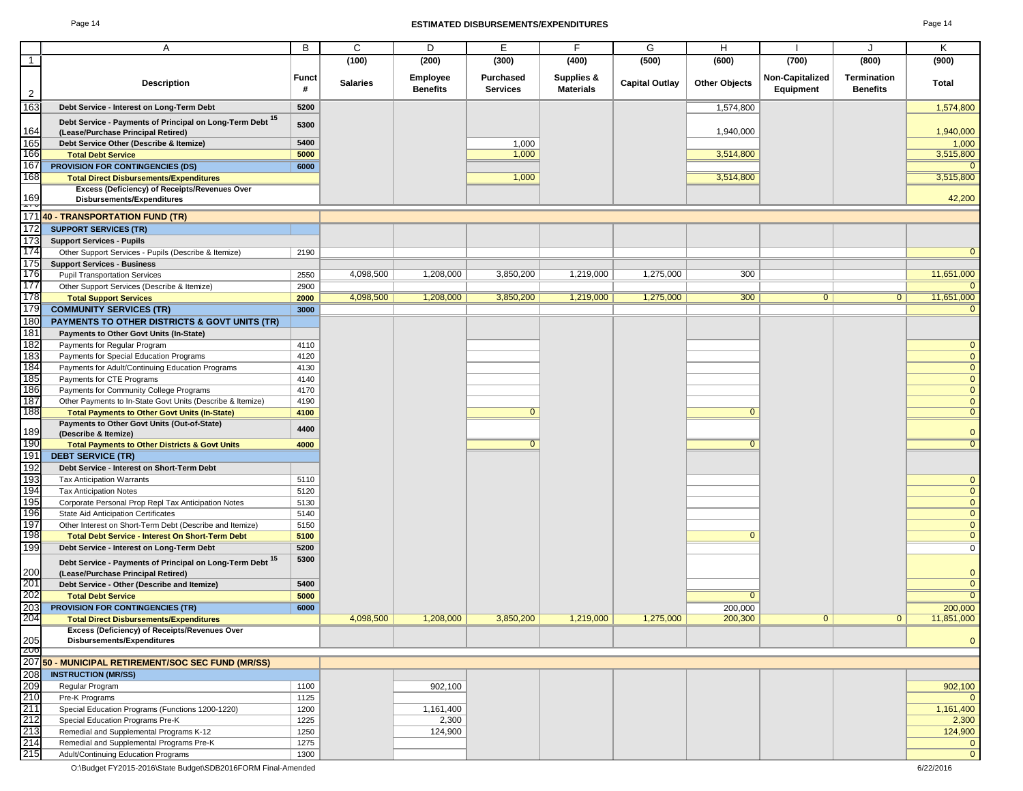#### Page 14 **ESTIMATED DISBURSEMENTS/EXPENDITURES** Page 14

|                                                             | $\overline{A}$                                                                                                                                                                                                                                           | B            | $\mathsf{C}$    | D               | E                | F                | G                     | H                    |                 | J               | Κ                                |
|-------------------------------------------------------------|----------------------------------------------------------------------------------------------------------------------------------------------------------------------------------------------------------------------------------------------------------|--------------|-----------------|-----------------|------------------|------------------|-----------------------|----------------------|-----------------|-----------------|----------------------------------|
| $\overline{1}$                                              |                                                                                                                                                                                                                                                          |              | (100)           | (200)           | (300)            | (400)            | (500)                 | (600)                | (700)           | (800)           | (900)                            |
|                                                             |                                                                                                                                                                                                                                                          | <b>Funct</b> |                 | <b>Employee</b> | <b>Purchased</b> | Supplies &       |                       |                      | Non-Capitalized | Termination     |                                  |
| $\overline{2}$                                              | <b>Description</b>                                                                                                                                                                                                                                       | #            | <b>Salaries</b> | <b>Benefits</b> | <b>Services</b>  | <b>Materials</b> | <b>Capital Outlay</b> | <b>Other Objects</b> | Equipment       | <b>Benefits</b> | Total                            |
| 163                                                         | Debt Service - Interest on Long-Term Debt                                                                                                                                                                                                                | 5200         |                 |                 |                  |                  |                       | 1,574,800            |                 |                 | 1,574,800                        |
|                                                             | Debt Service - Payments of Principal on Long-Term Debt 15                                                                                                                                                                                                | 5300         |                 |                 |                  |                  |                       |                      |                 |                 |                                  |
| 164<br>165<br>166<br>167                                    | (Lease/Purchase Principal Retired)                                                                                                                                                                                                                       |              |                 |                 |                  |                  |                       | 1.940.000            |                 |                 | 1,940,000                        |
|                                                             | Debt Service Other (Describe & Itemize)                                                                                                                                                                                                                  | 5400<br>5000 |                 |                 | 1,000            |                  |                       |                      |                 |                 | 1,000                            |
|                                                             | <b>Total Debt Service</b><br>PROVISION FOR CONTINGENCIES (DS)                                                                                                                                                                                            |              |                 |                 | 1,000            |                  |                       | 3,514,800            |                 |                 | 3,515,800<br>$\mathbf{0}$        |
| 168                                                         | <b>Total Direct Disbursements/Expenditures</b>                                                                                                                                                                                                           | 6000         |                 |                 | 1,000            |                  |                       | 3,514,800            |                 |                 | 3,515,800                        |
|                                                             | Excess (Deficiency) of Receipts/Revenues Over                                                                                                                                                                                                            |              |                 |                 |                  |                  |                       |                      |                 |                 |                                  |
|                                                             |                                                                                                                                                                                                                                                          |              |                 |                 |                  |                  |                       |                      |                 |                 | 42,200                           |
|                                                             | 169 Disbursements/Expenditures<br>171 40 - TRANSPORTATION FUND (TR)                                                                                                                                                                                      |              |                 |                 |                  |                  |                       |                      |                 |                 |                                  |
| 172                                                         | <b>SUPPORT SERVICES (TR)</b>                                                                                                                                                                                                                             |              |                 |                 |                  |                  |                       |                      |                 |                 |                                  |
| 173                                                         | <b>Support Services - Pupils</b>                                                                                                                                                                                                                         |              |                 |                 |                  |                  |                       |                      |                 |                 |                                  |
| 174                                                         | Other Support Services - Pupils (Describe & Itemize)                                                                                                                                                                                                     | 2190         |                 |                 |                  |                  |                       |                      |                 |                 | $\overline{0}$                   |
| 175                                                         | <b>Support Services - Business</b>                                                                                                                                                                                                                       |              |                 |                 |                  |                  |                       |                      |                 |                 |                                  |
| 176                                                         | <b>Pupil Transportation Services</b>                                                                                                                                                                                                                     | 2550         | 4,098,500       | 1,208,000       | 3,850,200        | 1,219,000        | 1,275,000             | 300                  |                 |                 | 11,651,000                       |
| 177                                                         | Other Support Services (Describe & Itemize)                                                                                                                                                                                                              | 2900         |                 |                 |                  |                  |                       |                      |                 |                 | $\overline{0}$                   |
| 178<br>179                                                  | <b>Total Support Services</b>                                                                                                                                                                                                                            | 2000         | 4,098,500       | 1,208,000       | 3,850,200        | 1,219,000        | 1,275,000             | 300                  | $\overline{0}$  | $\overline{0}$  | 11,651,000                       |
|                                                             | <b>COMMUNITY SERVICES (TR)</b>                                                                                                                                                                                                                           | 3000         |                 |                 |                  |                  |                       |                      |                 |                 | $\overline{0}$                   |
| 180                                                         | <b>PAYMENTS TO OTHER DISTRICTS &amp; GOVT UNITS (TR)</b>                                                                                                                                                                                                 |              |                 |                 |                  |                  |                       |                      |                 |                 |                                  |
| 181                                                         | Payments to Other Govt Units (In-State)                                                                                                                                                                                                                  |              |                 |                 |                  |                  |                       |                      |                 |                 |                                  |
| 182                                                         | Payments for Regular Program                                                                                                                                                                                                                             | 4110         |                 |                 |                  |                  |                       |                      |                 |                 | $\mathbf{0}$                     |
| 183<br>184<br>185<br>186                                    | Payments for Special Education Programs                                                                                                                                                                                                                  | 4120         |                 |                 |                  |                  |                       |                      |                 |                 | $\overline{0}$                   |
|                                                             | Payments for Adult/Continuing Education Programs                                                                                                                                                                                                         | 4130         |                 |                 |                  |                  |                       |                      |                 |                 | $\overline{0}$                   |
|                                                             | Payments for CTE Programs<br>Payments for Community College Programs                                                                                                                                                                                     | 4140<br>4170 |                 |                 |                  |                  |                       |                      |                 |                 | $\overline{0}$<br>$\overline{0}$ |
|                                                             | Other Payments to In-State Govt Units (Describe & Itemize)                                                                                                                                                                                               | 4190         |                 |                 |                  |                  |                       |                      |                 |                 | $\overline{0}$                   |
| $\frac{187}{188}$                                           | <b>Total Payments to Other Govt Units (In-State)</b>                                                                                                                                                                                                     | 4100         |                 |                 | $\mathbf{0}$     |                  |                       | $\mathbf{0}$         |                 |                 | $\overline{0}$                   |
|                                                             | Payments to Other Govt Units (Out-of-State)                                                                                                                                                                                                              |              |                 |                 |                  |                  |                       |                      |                 |                 |                                  |
|                                                             | (Describe & Itemize)                                                                                                                                                                                                                                     | 4400         |                 |                 |                  |                  |                       |                      |                 |                 | $\overline{0}$                   |
|                                                             | <b>Total Payments to Other Districts &amp; Govt Units</b>                                                                                                                                                                                                | 4000         |                 |                 | $\overline{0}$   |                  |                       | $\overline{0}$       |                 |                 | $\overline{0}$                   |
|                                                             | <b>DEBT SERVICE (TR)</b>                                                                                                                                                                                                                                 |              |                 |                 |                  |                  |                       |                      |                 |                 |                                  |
|                                                             | Debt Service - Interest on Short-Term Debt                                                                                                                                                                                                               |              |                 |                 |                  |                  |                       |                      |                 |                 |                                  |
|                                                             | <b>Tax Anticipation Warrants</b>                                                                                                                                                                                                                         | 5110         |                 |                 |                  |                  |                       |                      |                 |                 | $\overline{0}$                   |
|                                                             | <b>Tax Anticipation Notes</b>                                                                                                                                                                                                                            | 5120         |                 |                 |                  |                  |                       |                      |                 |                 | $\overline{0}$                   |
| 189<br>190<br>191<br>192<br>193<br>195<br>196<br>197<br>197 | Corporate Personal Prop Repl Tax Anticipation Notes<br>State Aid Anticipation Certificates                                                                                                                                                               | 5130<br>5140 |                 |                 |                  |                  |                       |                      |                 |                 | $\overline{0}$<br>$\overline{0}$ |
|                                                             | Other Interest on Short-Term Debt (Describe and Itemize)                                                                                                                                                                                                 | 5150         |                 |                 |                  |                  |                       |                      |                 |                 | $\overline{0}$                   |
| 198                                                         | <b>Total Debt Service - Interest On Short-Term Debt</b>                                                                                                                                                                                                  | 5100         |                 |                 |                  |                  |                       | $\Omega$             |                 |                 | $\overline{0}$                   |
| 199                                                         | Debt Service - Interest on Long-Term Debt                                                                                                                                                                                                                | 5200         |                 |                 |                  |                  |                       |                      |                 |                 | $\overline{0}$                   |
|                                                             | Debt Service - Payments of Principal on Long-Term Debt 15                                                                                                                                                                                                | 5300         |                 |                 |                  |                  |                       |                      |                 |                 |                                  |
| 200<br>201<br>202<br>203<br>204                             | (Lease/Purchase Principal Retired)                                                                                                                                                                                                                       |              |                 |                 |                  |                  |                       |                      |                 |                 | $\overline{0}$                   |
|                                                             | Debt Service - Other (Describe and Itemize)                                                                                                                                                                                                              | 5400         |                 |                 |                  |                  |                       | $\overline{0}$       |                 |                 | $\overline{0}$<br>$\overline{0}$ |
|                                                             | <b>Total Debt Service</b>                                                                                                                                                                                                                                | 5000         |                 |                 |                  |                  |                       |                      |                 |                 |                                  |
|                                                             | <b>PROVISION FOR CONTINGENCIES (TR)</b><br><b>Total Direct Disbursements/Expenditures</b>                                                                                                                                                                | 6000         | 4,098,500       | 1,208,000       | 3,850,200        | 1,219,000        | 1,275,000             | 200,000<br>200,300   | $\Omega$        | $\overline{0}$  | 200,000<br>11,851,000            |
|                                                             | Excess (Deficiency) of Receipts/Revenues Over                                                                                                                                                                                                            |              |                 |                 |                  |                  |                       |                      |                 |                 |                                  |
|                                                             |                                                                                                                                                                                                                                                          |              |                 |                 |                  |                  |                       |                      |                 |                 | $\overline{0}$                   |
|                                                             |                                                                                                                                                                                                                                                          |              |                 |                 |                  |                  |                       |                      |                 |                 |                                  |
|                                                             | Excess (Deficiency) of Receipts/Revenues Over<br>2005<br>2007<br>2007<br>2007 <b>50 - MUNICIPAL RETIREMENT/SOC SEC FUND (MR/SS)</b><br>2008 <b>INSTRUCTION (MR/SS)</b><br>2009 Regular Program<br>210 Pre-K Programs<br>211 Special Education Programs ( |              |                 |                 |                  |                  |                       |                      |                 |                 |                                  |
|                                                             |                                                                                                                                                                                                                                                          |              |                 |                 |                  |                  |                       |                      |                 |                 |                                  |
|                                                             |                                                                                                                                                                                                                                                          | 1100         |                 | 902,100         |                  |                  |                       |                      |                 |                 | 902,100                          |
|                                                             |                                                                                                                                                                                                                                                          | 1125         |                 |                 |                  |                  |                       |                      |                 |                 | $\mathbf{0}$                     |
|                                                             |                                                                                                                                                                                                                                                          | 1200         |                 | 1,161,400       |                  |                  |                       |                      |                 |                 | 1,161,400                        |
|                                                             |                                                                                                                                                                                                                                                          | 1225         |                 | 2,300           |                  |                  |                       |                      |                 |                 | 2,300                            |
|                                                             |                                                                                                                                                                                                                                                          | 1250         |                 | 124,900         |                  |                  |                       |                      |                 |                 | 124,900                          |
|                                                             |                                                                                                                                                                                                                                                          | 1275         |                 |                 |                  |                  |                       |                      |                 |                 | $\overline{0}$                   |
|                                                             |                                                                                                                                                                                                                                                          | 1300         |                 |                 |                  |                  |                       |                      |                 |                 | $\overline{0}$                   |

O:\Budget FY2015-2016\State Budget\SDB2016FORM Final-Amended 6/22/2016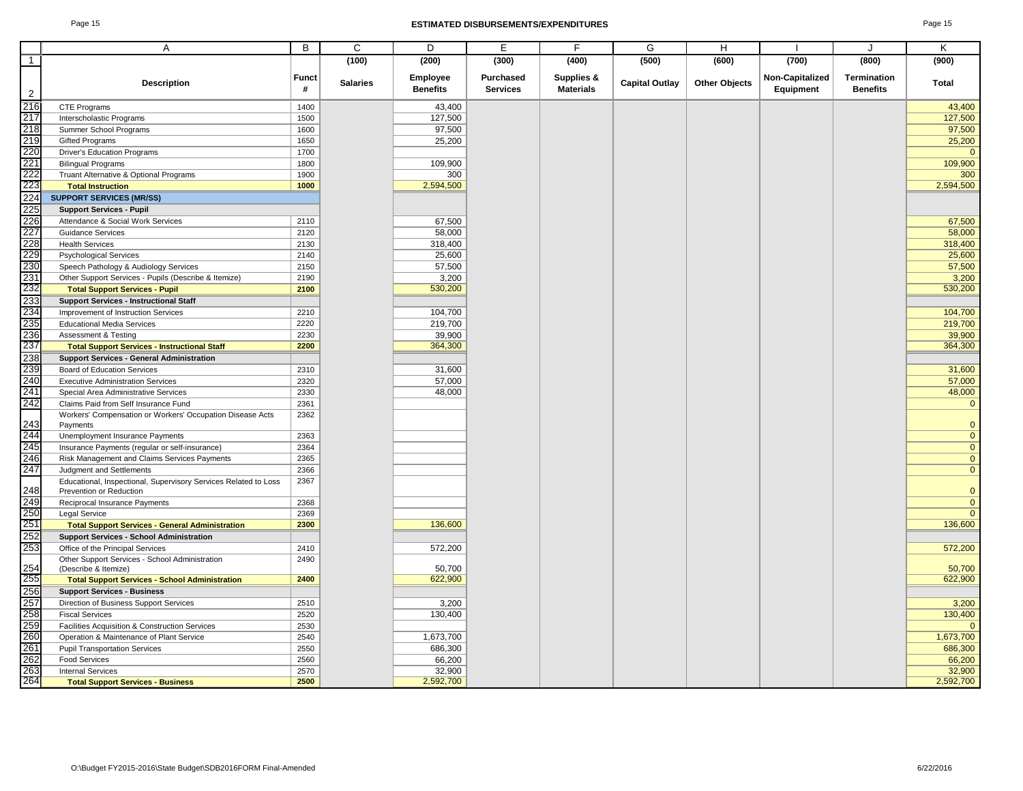#### Page 15 **ESTIMATED DISBURSEMENTS/EXPENDITURES** Page 15

|                                 | Α                                                                                          | B                 | C               | D                                  | E                                   | F                              | G                     | H                    |                              | J                                     | Κ                   |
|---------------------------------|--------------------------------------------------------------------------------------------|-------------------|-----------------|------------------------------------|-------------------------------------|--------------------------------|-----------------------|----------------------|------------------------------|---------------------------------------|---------------------|
| $\overline{1}$                  |                                                                                            |                   | (100)           | (200)                              | (300)                               | (400)                          | (500)                 | (600)                | (700)                        | (800)                                 | (900)               |
|                                 |                                                                                            |                   |                 |                                    |                                     |                                |                       |                      |                              |                                       |                     |
| $\overline{c}$                  | <b>Description</b>                                                                         | <b>Funct</b><br># | <b>Salaries</b> | <b>Employee</b><br><b>Benefits</b> | <b>Purchased</b><br><b>Services</b> | Supplies &<br><b>Materials</b> | <b>Capital Outlay</b> | <b>Other Objects</b> | Non-Capitalized<br>Equipment | <b>Termination</b><br><b>Benefits</b> | <b>Total</b>        |
| 216                             | CTE Programs                                                                               | 1400              |                 | 43,400                             |                                     |                                |                       |                      |                              |                                       | 43,400              |
| 217                             | Interscholastic Programs                                                                   | 1500              |                 | 127,500                            |                                     |                                |                       |                      |                              |                                       | 127,500             |
| 218<br>219<br>220               | Summer School Programs                                                                     | 1600              |                 | 97,500                             |                                     |                                |                       |                      |                              |                                       | 97,500              |
|                                 | <b>Gifted Programs</b>                                                                     | 1650              |                 | 25,200                             |                                     |                                |                       |                      |                              |                                       | 25,200              |
|                                 | <b>Driver's Education Programs</b>                                                         | 1700              |                 |                                    |                                     |                                |                       |                      |                              |                                       | $\mathbf{0}$        |
| $\frac{1}{221}$                 | <b>Bilingual Programs</b>                                                                  | 1800              |                 | 109,900                            |                                     |                                |                       |                      |                              |                                       | 109,900             |
| 222                             | Truant Alternative & Optional Programs                                                     | 1900              |                 | 300                                |                                     |                                |                       |                      |                              |                                       | 300                 |
| $\frac{1}{223}$                 | <b>Total Instruction</b>                                                                   | 1000              |                 | 2,594,500                          |                                     |                                |                       |                      |                              |                                       | 2,594,500           |
| 224                             | <b>SUPPORT SERVICES (MR/SS)</b>                                                            |                   |                 |                                    |                                     |                                |                       |                      |                              |                                       |                     |
| 225<br>226                      | <b>Support Services - Pupil</b>                                                            |                   |                 |                                    |                                     |                                |                       |                      |                              |                                       |                     |
|                                 | Attendance & Social Work Services                                                          | 2110              |                 | 67,500                             |                                     |                                |                       |                      |                              |                                       | 67,500              |
| 227                             | <b>Guidance Services</b>                                                                   | 2120              |                 | 58,000                             |                                     |                                |                       |                      |                              |                                       | 58,000              |
| 228                             | <b>Health Services</b>                                                                     | 2130              |                 | 318,400                            |                                     |                                |                       |                      |                              |                                       | 318,400             |
| 229                             | <b>Psychological Services</b>                                                              | 2140              |                 | 25,600                             |                                     |                                |                       |                      |                              |                                       | 25,600              |
| 230                             | Speech Pathology & Audiology Services                                                      | 2150              |                 | 57,500                             |                                     |                                |                       |                      |                              |                                       | 57,500              |
| $\frac{231}{232}$               | Other Support Services - Pupils (Describe & Itemize)                                       | 2190              |                 | 3,200                              |                                     |                                |                       |                      |                              |                                       | 3,200               |
|                                 | <b>Total Support Services - Pupil</b>                                                      | 2100              |                 | 530,200                            |                                     |                                |                       |                      |                              |                                       | 530,200             |
|                                 | <b>Support Services - Instructional Staff</b>                                              |                   |                 |                                    |                                     |                                |                       |                      |                              |                                       |                     |
|                                 | Improvement of Instruction Services                                                        | 2210              |                 | 104,700                            |                                     |                                |                       |                      |                              |                                       | 104,700             |
|                                 | <b>Educational Media Services</b>                                                          | 2220              |                 | 219,700                            |                                     |                                |                       |                      |                              |                                       | 219,700             |
| 233<br>234<br>235<br>236<br>237 | Assessment & Testing                                                                       | 2230              |                 | 39,900                             |                                     |                                |                       |                      |                              |                                       | 39,900              |
|                                 | <b>Total Support Services - Instructional Staff</b>                                        | 2200              |                 | 364,300                            |                                     |                                |                       |                      |                              |                                       | 364,300             |
| 238                             | <b>Support Services - General Administration</b>                                           |                   |                 |                                    |                                     |                                |                       |                      |                              |                                       |                     |
| 239                             | <b>Board of Education Services</b>                                                         | 2310              |                 | 31,600                             |                                     |                                |                       |                      |                              |                                       | 31,600              |
| 240                             | <b>Executive Administration Services</b>                                                   | 2320              |                 | 57,000                             |                                     |                                |                       |                      |                              |                                       | 57,000              |
| $\frac{241}{242}$               | Special Area Administrative Services                                                       | 2330              |                 | 48,000                             |                                     |                                |                       |                      |                              |                                       | 48,000              |
|                                 | Claims Paid from Self Insurance Fund                                                       | 2361              |                 |                                    |                                     |                                |                       |                      |                              |                                       | $\mathbf{0}$        |
| 243                             | Workers' Compensation or Workers' Occupation Disease Acts<br>Payments                      | 2362              |                 |                                    |                                     |                                |                       |                      |                              |                                       | $\Omega$            |
| 244<br>245                      | Unemployment Insurance Payments                                                            | 2363              |                 |                                    |                                     |                                |                       |                      |                              |                                       | $\mathbf 0$         |
|                                 | Insurance Payments (regular or self-insurance)                                             | 2364              |                 |                                    |                                     |                                |                       |                      |                              |                                       | $\mathbf{0}$        |
| 246                             | Risk Management and Claims Services Payments                                               | 2365              |                 |                                    |                                     |                                |                       |                      |                              |                                       | $\mathbf{0}$        |
| 247                             | Judgment and Settlements                                                                   | 2366              |                 |                                    |                                     |                                |                       |                      |                              |                                       | $\mathbf{0}$        |
| 248                             | Educational, Inspectional, Supervisory Services Related to Loss<br>Prevention or Reduction | 2367              |                 |                                    |                                     |                                |                       |                      |                              |                                       | $\mathbf{0}$        |
| 249                             | Reciprocal Insurance Payments                                                              | 2368              |                 |                                    |                                     |                                |                       |                      |                              |                                       | $\mathbf 0$         |
| 250                             | <b>Legal Service</b>                                                                       | 2369              |                 |                                    |                                     |                                |                       |                      |                              |                                       | $\Omega$            |
| $\overline{251}$                | <b>Total Support Services - General Administration</b>                                     | 2300              |                 | 136,600                            |                                     |                                |                       |                      |                              |                                       | 136,600             |
| 252                             | <b>Support Services - School Administration</b>                                            |                   |                 |                                    |                                     |                                |                       |                      |                              |                                       |                     |
| 253                             | Office of the Principal Services                                                           | 2410              |                 | 572,200                            |                                     |                                |                       |                      |                              |                                       | 572,200             |
|                                 | Other Support Services - School Administration                                             | 2490              |                 |                                    |                                     |                                |                       |                      |                              |                                       |                     |
| 254<br>255                      | (Describe & Itemize)                                                                       |                   |                 | 50,700                             |                                     |                                |                       |                      |                              |                                       | 50,700              |
|                                 | <b>Total Support Services - School Administration</b>                                      | 2400              |                 | 622,900                            |                                     |                                |                       |                      |                              |                                       | 622,900             |
| 256                             | <b>Support Services - Business</b>                                                         |                   |                 |                                    |                                     |                                |                       |                      |                              |                                       |                     |
| $\frac{257}{258}$               | Direction of Business Support Services                                                     | 2510              |                 | 3,200                              |                                     |                                |                       |                      |                              |                                       | 3,200               |
|                                 | <b>Fiscal Services</b>                                                                     | 2520              |                 | 130,400                            |                                     |                                |                       |                      |                              |                                       | 130,400             |
| 25 <sub>S</sub>                 | Facilities Acquisition & Construction Services                                             | 2530              |                 |                                    |                                     |                                |                       |                      |                              |                                       | $\Omega$            |
| 260<br>261                      | Operation & Maintenance of Plant Service                                                   | 2540              |                 | 1,673,700                          |                                     |                                |                       |                      |                              |                                       | 1,673,700           |
|                                 | <b>Pupil Transportation Services</b>                                                       | 2550              |                 | 686,300                            |                                     |                                |                       |                      |                              |                                       | 686,300             |
| 262<br>263                      | <b>Food Services</b>                                                                       | 2560              |                 | 66,200                             |                                     |                                |                       |                      |                              |                                       | 66,200              |
| 264                             | <b>Internal Services</b>                                                                   | 2570<br>2500      |                 | 32,900<br>2,592,700                |                                     |                                |                       |                      |                              |                                       | 32,900<br>2,592,700 |
|                                 | <b>Total Support Services - Business</b>                                                   |                   |                 |                                    |                                     |                                |                       |                      |                              |                                       |                     |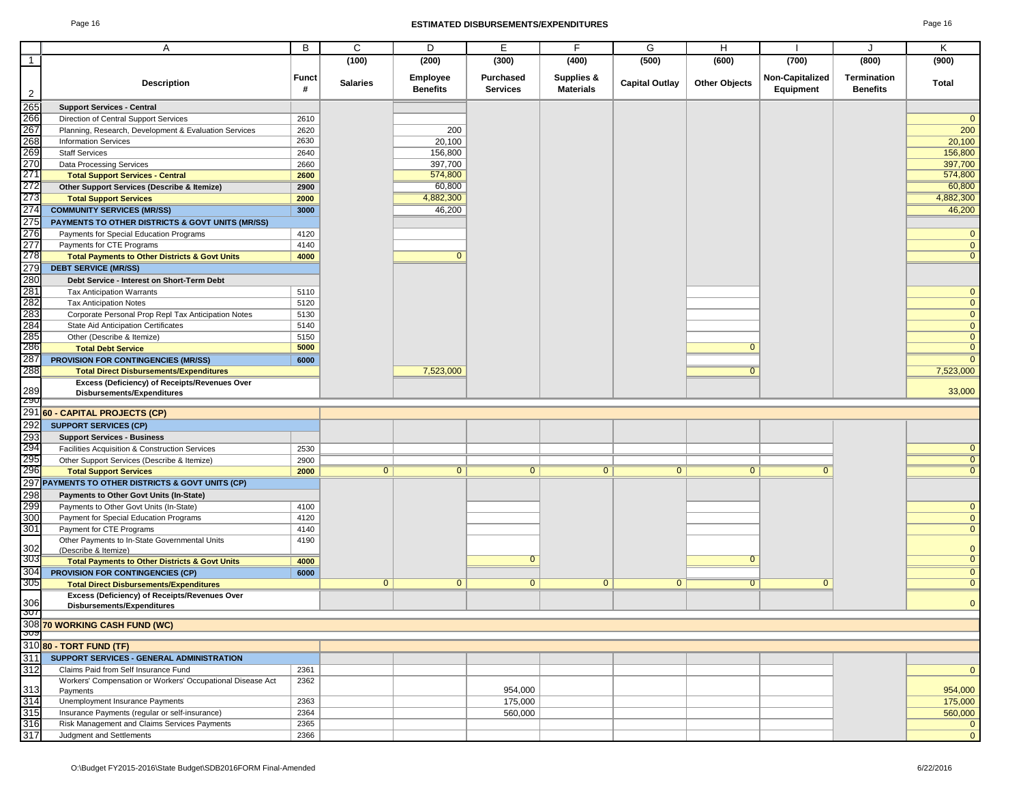#### Page 16 **ESTIMATED DISBURSEMENTS/EXPENDITURES** Page 16

|                   | Α                                                                  | B            | C               | D                                  | Ε                                   | F                              | G                     | H                    |                              | $\cdot$                               | K                                |
|-------------------|--------------------------------------------------------------------|--------------|-----------------|------------------------------------|-------------------------------------|--------------------------------|-----------------------|----------------------|------------------------------|---------------------------------------|----------------------------------|
| $\overline{1}$    |                                                                    |              | (100)           | (200)                              | (300)                               | (400)                          | (500)                 | (600)                | (700)                        | (800)                                 | (900)                            |
|                   |                                                                    |              |                 |                                    |                                     |                                |                       |                      |                              |                                       |                                  |
| $\frac{2}{265}$   | <b>Description</b>                                                 | Funct<br>#   | <b>Salaries</b> | <b>Employee</b><br><b>Benefits</b> | <b>Purchased</b><br><b>Services</b> | Supplies &<br><b>Materials</b> | <b>Capital Outlay</b> | <b>Other Objects</b> | Non-Capitalized<br>Equipment | <b>Termination</b><br><b>Benefits</b> | Total                            |
|                   | <b>Support Services - Central</b>                                  |              |                 |                                    |                                     |                                |                       |                      |                              |                                       |                                  |
| 266               | Direction of Central Support Services                              | 2610         |                 |                                    |                                     |                                |                       |                      |                              |                                       | $\Omega$                         |
| 267               | Planning, Research, Development & Evaluation Services              | 2620         |                 | 200                                |                                     |                                |                       |                      |                              |                                       | 200                              |
| 268               | <b>Information Services</b>                                        | 2630         |                 | 20,100                             |                                     |                                |                       |                      |                              |                                       | 20,100                           |
| 269               | <b>Staff Services</b>                                              | 2640         |                 | 156,800                            |                                     |                                |                       |                      |                              |                                       | 156,800                          |
| 270               | <b>Data Processing Services</b>                                    | 2660         |                 | 397,700                            |                                     |                                |                       |                      |                              |                                       | 397,700                          |
| 271               | <b>Total Support Services - Central</b>                            | 2600         |                 | 574,800                            |                                     |                                |                       |                      |                              |                                       | 574,800                          |
| 272               | Other Support Services (Describe & Itemize)                        | 2900         |                 | 60,800                             |                                     |                                |                       |                      |                              |                                       | 60,800                           |
| 273               | <b>Total Support Services</b>                                      | 2000         |                 | 4,882,300                          |                                     |                                |                       |                      |                              |                                       | 4,882,300                        |
| 274               | <b>COMMUNITY SERVICES (MR/SS)</b>                                  | 3000         |                 | 46,200                             |                                     |                                |                       |                      |                              |                                       | 46,200                           |
| 275               | PAYMENTS TO OTHER DISTRICTS & GOVT UNITS (MR/SS)                   |              |                 |                                    |                                     |                                |                       |                      |                              |                                       |                                  |
| 276               | Payments for Special Education Programs                            | 4120         |                 |                                    |                                     |                                |                       |                      |                              |                                       | $\mathbf 0$                      |
| 277               | Payments for CTE Programs                                          | 4140         |                 |                                    |                                     |                                |                       |                      |                              |                                       | $\mathbf 0$                      |
| 278               | <b>Total Payments to Other Districts &amp; Govt Units</b>          | 4000         |                 | $\mathbf{0}$                       |                                     |                                |                       |                      |                              |                                       | $\overline{0}$                   |
| 279               | <b>DEBT SERVICE (MR/SS)</b>                                        |              |                 |                                    |                                     |                                |                       |                      |                              |                                       |                                  |
| 280               | Debt Service - Interest on Short-Term Debt                         |              |                 |                                    |                                     |                                |                       |                      |                              |                                       |                                  |
| 281               | <b>Tax Anticipation Warrants</b>                                   | 5110         |                 |                                    |                                     |                                |                       |                      |                              |                                       | $\mathbf 0$                      |
| 282               | <b>Tax Anticipation Notes</b>                                      | 5120         |                 |                                    |                                     |                                |                       |                      |                              |                                       | $\Omega$                         |
| 283<br>284        | Corporate Personal Prop Repl Tax Anticipation Notes                | 5130         |                 |                                    |                                     |                                |                       |                      |                              |                                       | $\Omega$<br>$\Omega$             |
| 285               | <b>State Aid Anticipation Certificates</b>                         | 5140<br>5150 |                 |                                    |                                     |                                |                       |                      |                              |                                       | $\mathbf 0$                      |
| 286               | Other (Describe & Itemize)<br><b>Total Debt Service</b>            | 5000         |                 |                                    |                                     |                                |                       | $\mathbf{0}$         |                              |                                       | $\mathbf 0$                      |
| 287               | PROVISION FOR CONTINGENCIES (MR/SS)                                | 6000         |                 |                                    |                                     |                                |                       |                      |                              |                                       | $\overline{0}$                   |
| 288               | <b>Total Direct Disbursements/Expenditures</b>                     |              |                 | 7,523,000                          |                                     |                                |                       | $\overline{0}$       |                              |                                       | 7,523,000                        |
|                   | Excess (Deficiency) of Receipts/Revenues Over                      |              |                 |                                    |                                     |                                |                       |                      |                              |                                       |                                  |
| 289               | Disbursements/Expenditures                                         |              |                 |                                    |                                     |                                |                       |                      |                              |                                       | 33,000                           |
| zyt               |                                                                    |              |                 |                                    |                                     |                                |                       |                      |                              |                                       |                                  |
|                   | 291 60 - CAPITAL PROJECTS (CP)                                     |              |                 |                                    |                                     |                                |                       |                      |                              |                                       |                                  |
| 292               | <b>SUPPORT SERVICES (CP)</b>                                       |              |                 |                                    |                                     |                                |                       |                      |                              |                                       |                                  |
| 293               | <b>Support Services - Business</b>                                 |              |                 |                                    |                                     |                                |                       |                      |                              |                                       |                                  |
| 294               | Facilities Acquisition & Construction Services                     | 2530         |                 |                                    |                                     |                                |                       |                      |                              |                                       | $\mathbf 0$                      |
| 295<br>296        | Other Support Services (Describe & Itemize)                        | 2900         |                 |                                    |                                     |                                |                       |                      | $\overline{0}$               |                                       | $\overline{0}$                   |
|                   | <b>Total Support Services</b>                                      | 2000         | $\overline{0}$  | $\overline{0}$                     | $\overline{0}$                      | $\overline{0}$                 | $\overline{0}$        | $\overline{0}$       |                              |                                       | $\overline{0}$                   |
|                   | 297 PAYMENTS TO OTHER DISTRICTS & GOVT UNITS (CP)                  |              |                 |                                    |                                     |                                |                       |                      |                              |                                       |                                  |
| 298               | Payments to Other Govt Units (In-State)                            |              |                 |                                    |                                     |                                |                       |                      |                              |                                       |                                  |
| 299               | Payments to Other Govt Units (In-State)                            | 4100         |                 |                                    |                                     |                                |                       |                      |                              |                                       | $\mathbf 0$                      |
| <b>300</b><br>301 | Payment for Special Education Programs<br>Payment for CTE Programs | 4120<br>4140 |                 |                                    |                                     |                                |                       |                      |                              |                                       | $\overline{0}$<br>$\overline{0}$ |
|                   | Other Payments to In-State Governmental Units                      | 4190         |                 |                                    |                                     |                                |                       |                      |                              |                                       |                                  |
| 302               | (Describe & Itemize)                                               |              |                 |                                    |                                     |                                |                       |                      |                              |                                       | $\Omega$                         |
| 303               | <b>Total Payments to Other Districts &amp; Govt Units</b>          | 4000         |                 |                                    | $\overline{0}$                      |                                |                       | $\overline{0}$       |                              |                                       | $\overline{0}$                   |
| 304               | <b>PROVISION FOR CONTINGENCIES (CP)</b>                            | 6000         |                 |                                    |                                     |                                |                       |                      |                              |                                       | $\overline{0}$                   |
| 305               | <b>Total Direct Disbursements/Expenditures</b>                     |              | $\mathbf{0}$    | $\mathbf{0}$                       | $\overline{0}$                      | $\mathbf{0}$                   | $\mathbf{0}$          | $\overline{0}$       | $\mathbf{0}$                 |                                       | $\overline{0}$                   |
|                   | Excess (Deficiency) of Receipts/Revenues Over                      |              |                 |                                    |                                     |                                |                       |                      |                              |                                       |                                  |
| 306               | Disbursements/Expenditures                                         |              |                 |                                    |                                     |                                |                       |                      |                              |                                       | $\overline{0}$                   |
|                   | 308 70 WORKING CASH FUND (WC)                                      |              |                 |                                    |                                     |                                |                       |                      |                              |                                       |                                  |
| 30S               |                                                                    |              |                 |                                    |                                     |                                |                       |                      |                              |                                       |                                  |
|                   | 31080 - TORT FUND (TF)                                             |              |                 |                                    |                                     |                                |                       |                      |                              |                                       |                                  |
| 311               | SUPPORT SERVICES - GENERAL ADMINISTRATION                          |              |                 |                                    |                                     |                                |                       |                      |                              |                                       |                                  |
| 312               | Claims Paid from Self Insurance Fund                               | 2361         |                 |                                    |                                     |                                |                       |                      |                              |                                       | $\mathbf{0}$                     |
|                   | Workers' Compensation or Workers' Occupational Disease Act         | 2362         |                 |                                    |                                     |                                |                       |                      |                              |                                       |                                  |
| 313               | Payments                                                           |              |                 |                                    | 954,000                             |                                |                       |                      |                              |                                       | 954,000                          |
| 314               | Unemployment Insurance Payments                                    | 2363         |                 |                                    | 175,000                             |                                |                       |                      |                              |                                       | 175,000                          |
| 315               | Insurance Payments (regular or self-insurance)                     | 2364         |                 |                                    | 560,000                             |                                |                       |                      |                              |                                       | 560,000                          |
| 316               | Risk Management and Claims Services Payments                       | 2365         |                 |                                    |                                     |                                |                       |                      |                              |                                       | $\mathbf 0$                      |
| 317               | Judgment and Settlements                                           | 2366         |                 |                                    |                                     |                                |                       |                      |                              |                                       | $\mathbf 0$                      |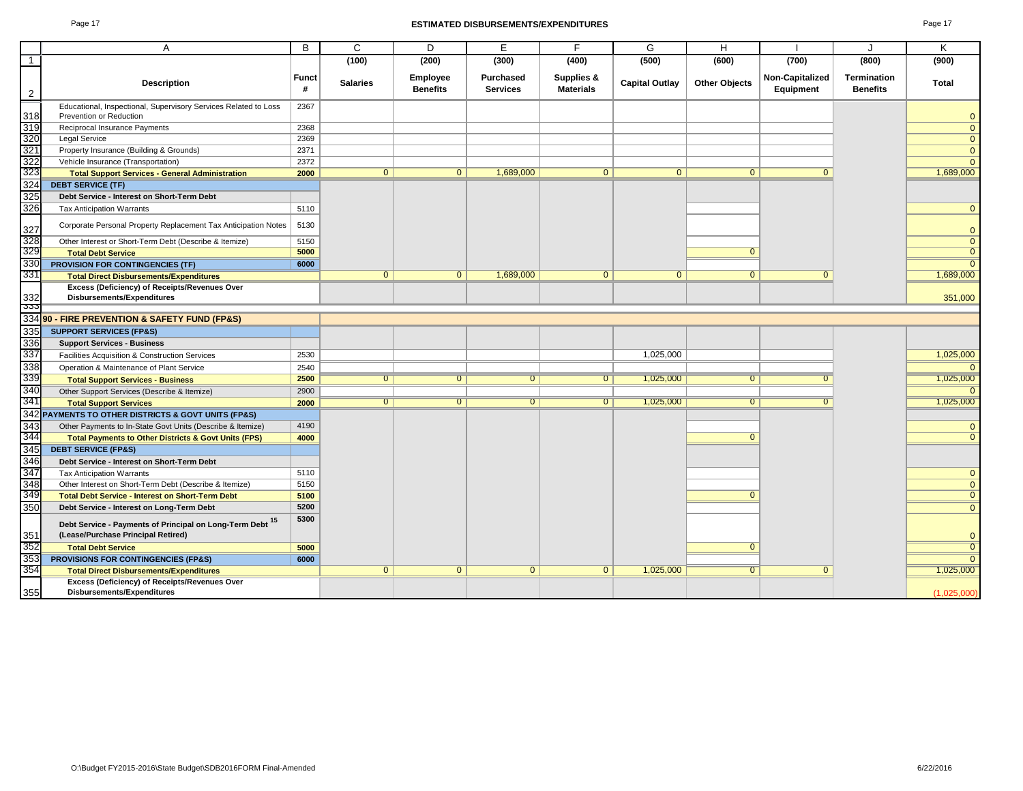## Page 17 **ESTIMATED DISBURSEMENTS/EXPENDITURES** Page 17

|                                 | A                                                                                               | B                 | C               | D                           | E                                   | F                              | G                     | H.                   |                              | J                                     | K              |
|---------------------------------|-------------------------------------------------------------------------------------------------|-------------------|-----------------|-----------------------------|-------------------------------------|--------------------------------|-----------------------|----------------------|------------------------------|---------------------------------------|----------------|
| $\overline{1}$                  |                                                                                                 |                   | (100)           | (200)                       | (300)                               | (400)                          | (500)                 | (600)                | (700)                        | (800)                                 | (900)          |
| $\overline{2}$                  | <b>Description</b>                                                                              | <b>Funct</b><br># | <b>Salaries</b> | Employee<br><b>Benefits</b> | <b>Purchased</b><br><b>Services</b> | Supplies &<br><b>Materials</b> | <b>Capital Outlay</b> | <b>Other Objects</b> | Non-Capitalized<br>Equipment | <b>Termination</b><br><b>Benefits</b> | Total          |
| 318                             | Educational, Inspectional, Supervisory Services Related to Loss<br>Prevention or Reduction      | 2367              |                 |                             |                                     |                                |                       |                      |                              |                                       | $\mathbf{0}$   |
| 319                             | Reciprocal Insurance Payments                                                                   | 2368              |                 |                             |                                     |                                |                       |                      |                              |                                       | $\overline{0}$ |
| 320                             | Legal Service                                                                                   | 2369              |                 |                             |                                     |                                |                       |                      |                              |                                       | $\overline{0}$ |
| 321                             | Property Insurance (Building & Grounds)                                                         | 2371              |                 |                             |                                     |                                |                       |                      |                              |                                       | $\mathbf{0}$   |
| $rac{322}{323}$                 | Vehicle Insurance (Transportation)                                                              | 2372              |                 |                             |                                     |                                |                       |                      |                              |                                       | $\overline{0}$ |
|                                 | <b>Total Support Services - General Administration</b>                                          | 2000              | $\overline{0}$  | $\mathbf{0}$                | 1,689,000                           | $\overline{0}$                 | $\mathbf{0}$          | $\overline{0}$       | $\Omega$                     |                                       | 1,689,000      |
| 324                             | <b>DEBT SERVICE (TF)</b>                                                                        |                   |                 |                             |                                     |                                |                       |                      |                              |                                       |                |
| 325                             | Debt Service - Interest on Short-Term Debt                                                      |                   |                 |                             |                                     |                                |                       |                      |                              |                                       |                |
| 326                             | <b>Tax Anticipation Warrants</b>                                                                | 5110              |                 |                             |                                     |                                |                       |                      |                              |                                       | $\overline{0}$ |
| 327                             | Corporate Personal Property Replacement Tax Anticipation Notes                                  | 5130              |                 |                             |                                     |                                |                       |                      |                              |                                       | $\overline{0}$ |
| 328<br>329                      | Other Interest or Short-Term Debt (Describe & Itemize)                                          | 5150              |                 |                             |                                     |                                |                       |                      |                              |                                       | $\overline{0}$ |
|                                 | <b>Total Debt Service</b>                                                                       | 5000              |                 |                             |                                     |                                |                       | $\mathbf{0}$         |                              |                                       | $\overline{0}$ |
| 330                             | PROVISION FOR CONTINGENCIES (TF)                                                                | 6000              |                 |                             |                                     |                                |                       |                      |                              |                                       | $\overline{0}$ |
| 331                             | <b>Total Direct Disbursements/Expenditures</b>                                                  |                   | $\mathbf{0}$    | $\overline{0}$              | 1,689,000                           | $\overline{0}$                 | $\mathbf{0}$          | $\overline{0}$       | $\mathbf{0}$                 |                                       | 1,689,000      |
| 332                             | Excess (Deficiency) of Receipts/Revenues Over<br>Disbursements/Expenditures                     |                   |                 |                             |                                     |                                |                       |                      |                              |                                       | 351,000        |
| -333                            |                                                                                                 |                   |                 |                             |                                     |                                |                       |                      |                              |                                       |                |
|                                 | 334 90 - FIRE PREVENTION & SAFETY FUND (FP&S)                                                   |                   |                 |                             |                                     |                                |                       |                      |                              |                                       |                |
| 335                             | <b>SUPPORT SERVICES (FP&amp;S)</b>                                                              |                   |                 |                             |                                     |                                |                       |                      |                              |                                       |                |
| $\frac{336}{337}$               | <b>Support Services - Business</b>                                                              |                   |                 |                             |                                     |                                |                       |                      |                              |                                       |                |
|                                 | Facilities Acquisition & Construction Services                                                  | 2530              |                 |                             |                                     |                                | 1,025,000             |                      |                              |                                       | 1,025,000      |
| 338<br>339                      | Operation & Maintenance of Plant Service                                                        | 2540              |                 |                             |                                     |                                |                       |                      |                              |                                       | $\mathbf{0}$   |
|                                 | <b>Total Support Services - Business</b>                                                        | 2500              | $\overline{0}$  | $\overline{0}$              | $\overline{0}$                      | $\overline{0}$                 | 1,025,000             | $\overline{0}$       |                              |                                       | 1,025,000      |
| 340<br>341                      | Other Support Services (Describe & Itemize)                                                     | 2900              |                 |                             |                                     |                                |                       |                      |                              |                                       | $\Omega$       |
|                                 | <b>Total Support Services</b>                                                                   | 2000              | $\overline{0}$  | $\overline{0}$              | $\overline{0}$                      | $\overline{0}$                 | 1,025,000             | $\overline{0}$       | $\overline{0}$               |                                       | 1,025,000      |
|                                 | 342 PAYMENTS TO OTHER DISTRICTS & GOVT UNITS (FP&S)                                             |                   |                 |                             |                                     |                                |                       |                      |                              |                                       |                |
| 343<br>344                      | Other Payments to In-State Govt Units (Describe & Itemize)                                      | 4190              |                 |                             |                                     |                                |                       |                      |                              |                                       | $\mathbf{0}$   |
|                                 | <b>Total Payments to Other Districts &amp; Govt Units (FPS)</b>                                 | 4000              |                 |                             |                                     |                                |                       | $\Omega$             |                              |                                       | $\overline{0}$ |
| 345                             | <b>DEBT SERVICE (FP&amp;S)</b>                                                                  |                   |                 |                             |                                     |                                |                       |                      |                              |                                       |                |
|                                 | Debt Service - Interest on Short-Term Debt                                                      |                   |                 |                             |                                     |                                |                       |                      |                              |                                       |                |
|                                 | <b>Tax Anticipation Warrants</b>                                                                | 5110              |                 |                             |                                     |                                |                       |                      |                              |                                       | $\overline{0}$ |
| 346<br>346<br>347<br>348<br>349 | Other Interest on Short-Term Debt (Describe & Itemize)                                          | 5150              |                 |                             |                                     |                                |                       |                      |                              |                                       | $\overline{0}$ |
|                                 | <b>Total Debt Service - Interest on Short-Term Debt</b>                                         | 5100              |                 |                             |                                     |                                |                       | $\Omega$             |                              |                                       | $\overline{0}$ |
| 350                             | Debt Service - Interest on Long-Term Debt                                                       | 5200              |                 |                             |                                     |                                |                       |                      |                              |                                       | $\overline{0}$ |
| 351                             | Debt Service - Payments of Principal on Long-Term Debt 15<br>(Lease/Purchase Principal Retired) | 5300              |                 |                             |                                     |                                |                       |                      |                              |                                       | $\overline{0}$ |
| 352                             | <b>Total Debt Service</b>                                                                       | 5000              |                 |                             |                                     |                                |                       | $\mathbf{0}$         |                              |                                       | $\overline{0}$ |
| 353                             | PROVISIONS FOR CONTINGENCIES (FP&S)                                                             | 6000              |                 |                             |                                     |                                |                       |                      |                              |                                       | $\overline{0}$ |
| 354                             | <b>Total Direct Disbursements/Expenditures</b>                                                  |                   | $\mathbf{0}$    | $\overline{0}$              | $\mathbf{0}$                        | $\Omega$                       | 1,025,000             | $\overline{0}$       | $\Omega$                     |                                       | 1,025,000      |
|                                 | Excess (Deficiency) of Receipts/Revenues Over                                                   |                   |                 |                             |                                     |                                |                       |                      |                              |                                       |                |
| 355                             | Disbursements/Expenditures                                                                      |                   |                 |                             |                                     |                                |                       |                      |                              |                                       | (1,025,000)    |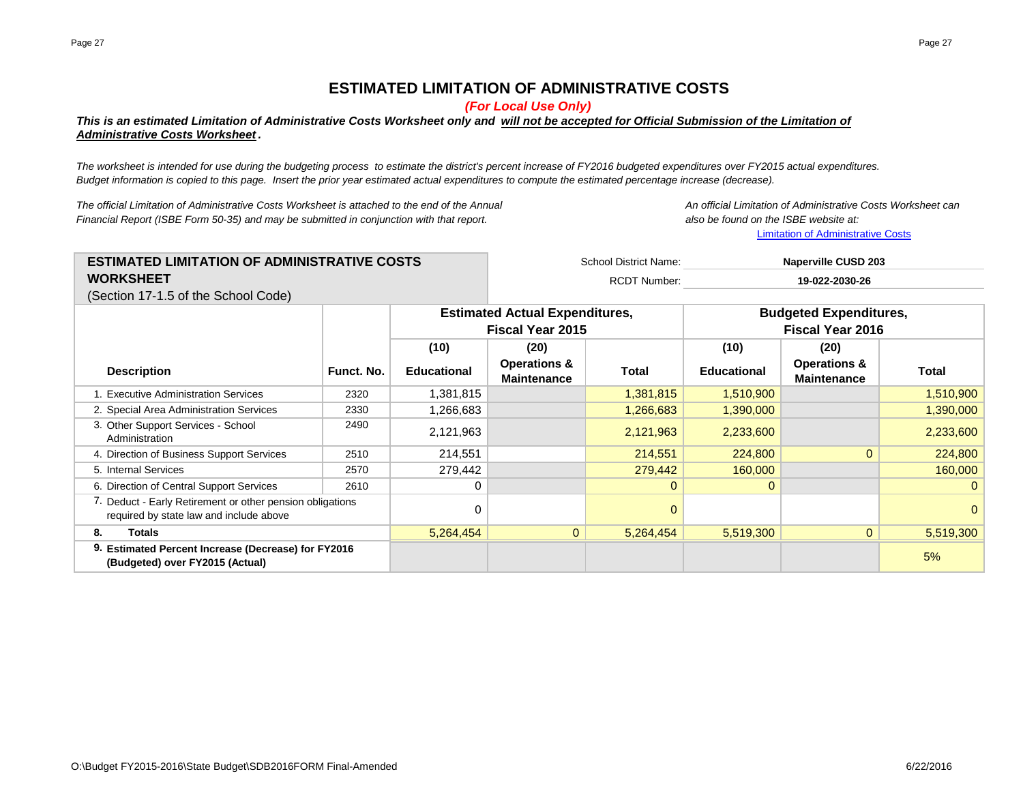# **ESTIMATED LIMITATION OF ADMINISTRATIVE COSTS**

*(For Local Use Only)*

## *This is an estimated Limitation of Administrative Costs Worksheet only and will not be accepted for Official Submission of the Limitation of Administrative Costs Worksheet .*

*The worksheet is intended for use during the budgeting process to estimate the district's percent increase of FY2016 budgeted expenditures over FY2015 actual expenditures. Budget information is copied to this page. Insert the prior year estimated actual expenditures to compute the estimated percentage increase (decrease).*

*The official Limitation of Administrative Costs Worksheet is attached to the end of the Annual An official Limitation of Administrative Costs Worksheet can Financial Report (ISBE Form 50-35) and may be submitted in conjunction with that report. also be found on the ISBE website at:*

[Limita](http://www.isbe.net/sfms/AdminCaps/AdminCaps.htm)tion of Administrative Costs

School District Name: RCDT Number: **ESTIMATED LIMITATION OF ADMINISTRATIVE COSTS WORKSHEET Naperville CUSD 203 19-022-2030-26**

(Section 17-1.5 of the School Code)

|                                                                                                      |            | <b>Estimated Actual Expenditures,</b><br><b>Fiscal Year 2015</b> |                                               |           | <b>Budgeted Expenditures,</b><br><b>Fiscal Year 2016</b> |                                               |              |  |  |
|------------------------------------------------------------------------------------------------------|------------|------------------------------------------------------------------|-----------------------------------------------|-----------|----------------------------------------------------------|-----------------------------------------------|--------------|--|--|
|                                                                                                      |            | (10)                                                             | (20)                                          |           | (10)                                                     | (20)                                          |              |  |  |
| <b>Description</b>                                                                                   | Funct. No. | <b>Educational</b>                                               | <b>Operations &amp;</b><br><b>Maintenance</b> | Total     | <b>Educational</b>                                       | <b>Operations &amp;</b><br><b>Maintenance</b> | <b>Total</b> |  |  |
| 1. Executive Administration Services                                                                 | 2320       | 1,381,815                                                        |                                               | 1,381,815 | 1,510,900                                                |                                               | 1,510,900    |  |  |
| 2. Special Area Administration Services                                                              | 2330       | 1,266,683                                                        |                                               | 1,266,683 | 1,390,000                                                |                                               | 1,390,000    |  |  |
| 3. Other Support Services - School<br>Administration                                                 | 2490       | 2,121,963                                                        |                                               | 2,121,963 | 2,233,600                                                |                                               | 2,233,600    |  |  |
| 4. Direction of Business Support Services                                                            | 2510       | 214,551                                                          |                                               | 214,551   | 224,800                                                  | $\Omega$                                      | 224,800      |  |  |
| 5. Internal Services                                                                                 | 2570       | 279,442                                                          |                                               | 279,442   | 160,000                                                  |                                               | 160,000      |  |  |
| 6. Direction of Central Support Services                                                             | 2610       | 0                                                                |                                               | $\Omega$  | $\Omega$                                                 |                                               |              |  |  |
| 7. Deduct - Early Retirement or other pension obligations<br>required by state law and include above |            |                                                                  |                                               |           |                                                          |                                               |              |  |  |
| Totals<br>8.                                                                                         |            | 5,264,454                                                        | $\overline{0}$                                | 5,264,454 | 5,519,300                                                | $\overline{0}$                                | 5,519,300    |  |  |
| 9. Estimated Percent Increase (Decrease) for FY2016<br>(Budgeted) over FY2015 (Actual)               |            |                                                                  |                                               |           |                                                          |                                               | 5%           |  |  |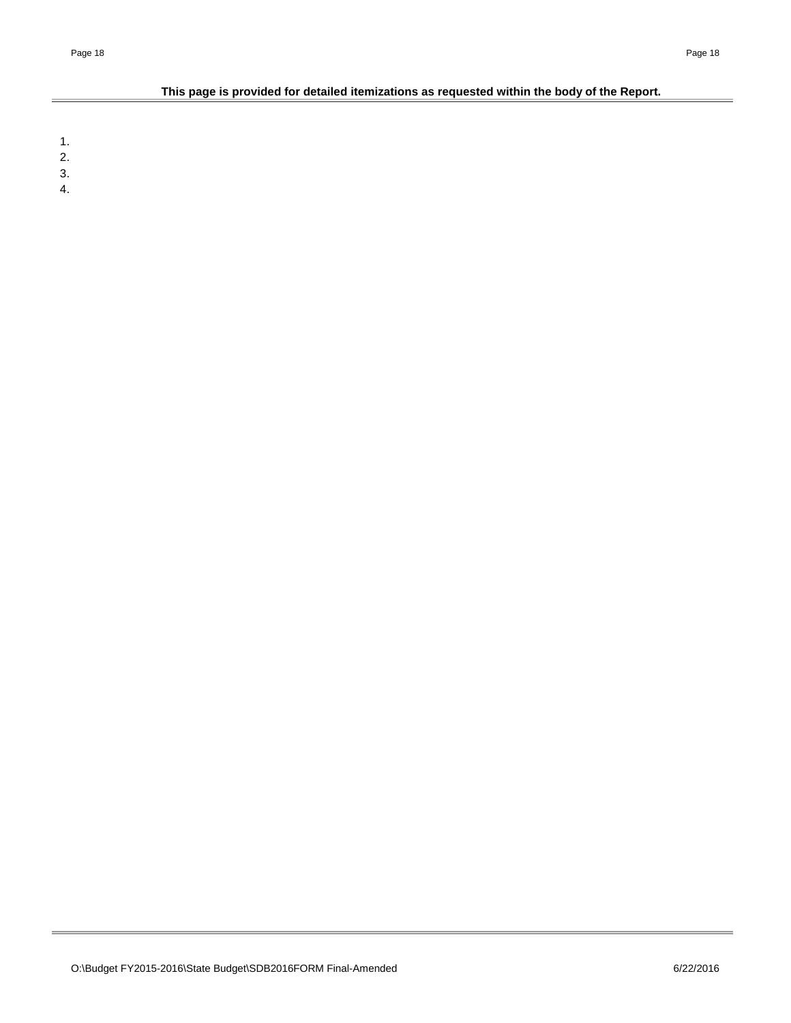# **This page is provided for detailed itemizations as requested within the body of the Report.**

1.

2.

3. 4.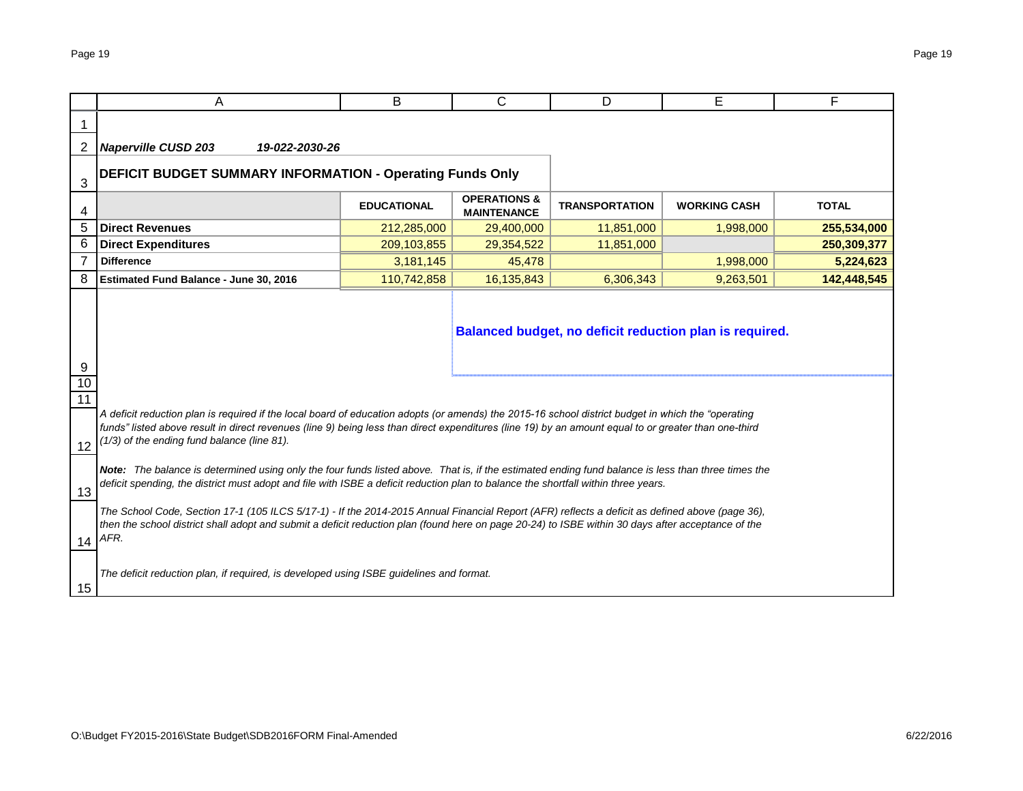|               | A                                                                                                                                                                                                                                                                                                             | B                  | C                                             | D                     | Е                   | F            |  |  |  |  |  |  |
|---------------|---------------------------------------------------------------------------------------------------------------------------------------------------------------------------------------------------------------------------------------------------------------------------------------------------------------|--------------------|-----------------------------------------------|-----------------------|---------------------|--------------|--|--|--|--|--|--|
|               |                                                                                                                                                                                                                                                                                                               |                    |                                               |                       |                     |              |  |  |  |  |  |  |
| 2             | <b>Naperville CUSD 203</b><br>19-022-2030-26                                                                                                                                                                                                                                                                  |                    |                                               |                       |                     |              |  |  |  |  |  |  |
|               | DEFICIT BUDGET SUMMARY INFORMATION - Operating Funds Only                                                                                                                                                                                                                                                     |                    |                                               |                       |                     |              |  |  |  |  |  |  |
| 3<br>4        |                                                                                                                                                                                                                                                                                                               | <b>EDUCATIONAL</b> | <b>OPERATIONS &amp;</b><br><b>MAINTENANCE</b> | <b>TRANSPORTATION</b> | <b>WORKING CASH</b> | <b>TOTAL</b> |  |  |  |  |  |  |
| 5             | <b>Direct Revenues</b>                                                                                                                                                                                                                                                                                        | 212,285,000        | 29,400,000                                    | 11,851,000            | 1,998,000           | 255,534,000  |  |  |  |  |  |  |
| 6             | <b>Direct Expenditures</b>                                                                                                                                                                                                                                                                                    | 209,103,855        | 29,354,522                                    | 11,851,000            |                     | 250,309,377  |  |  |  |  |  |  |
| 7             | <b>Difference</b>                                                                                                                                                                                                                                                                                             | 3,181,145          | 45,478                                        |                       | 1,998,000           | 5,224,623    |  |  |  |  |  |  |
| 8             | Estimated Fund Balance - June 30, 2016                                                                                                                                                                                                                                                                        | 110,742,858        | 16,135,843                                    | 6,306,343             | 9,263,501           | 142,448,545  |  |  |  |  |  |  |
| 9<br>10<br>11 | Balanced budget, no deficit reduction plan is required.<br>A deficit reduction plan is required if the local board of education adopts (or amends) the 2015-16 school district budget in which the "operating                                                                                                 |                    |                                               |                       |                     |              |  |  |  |  |  |  |
| 12            | funds" listed above result in direct revenues (line 9) being less than direct expenditures (line 19) by an amount equal to or greater than one-third<br>(1/3) of the ending fund balance (line 81).                                                                                                           |                    |                                               |                       |                     |              |  |  |  |  |  |  |
| 13            | Note: The balance is determined using only the four funds listed above. That is, if the estimated ending fund balance is less than three times the<br>deficit spending, the district must adopt and file with ISBE a deficit reduction plan to balance the shortfall within three years.                      |                    |                                               |                       |                     |              |  |  |  |  |  |  |
| 14            | The School Code, Section 17-1 (105 ILCS 5/17-1) - If the 2014-2015 Annual Financial Report (AFR) reflects a deficit as defined above (page 36),<br>then the school district shall adopt and submit a deficit reduction plan (found here on page 20-24) to ISBE within 30 days after acceptance of the<br>AFR. |                    |                                               |                       |                     |              |  |  |  |  |  |  |
| 15            | The deficit reduction plan, if required, is developed using ISBE guidelines and format.                                                                                                                                                                                                                       |                    |                                               |                       |                     |              |  |  |  |  |  |  |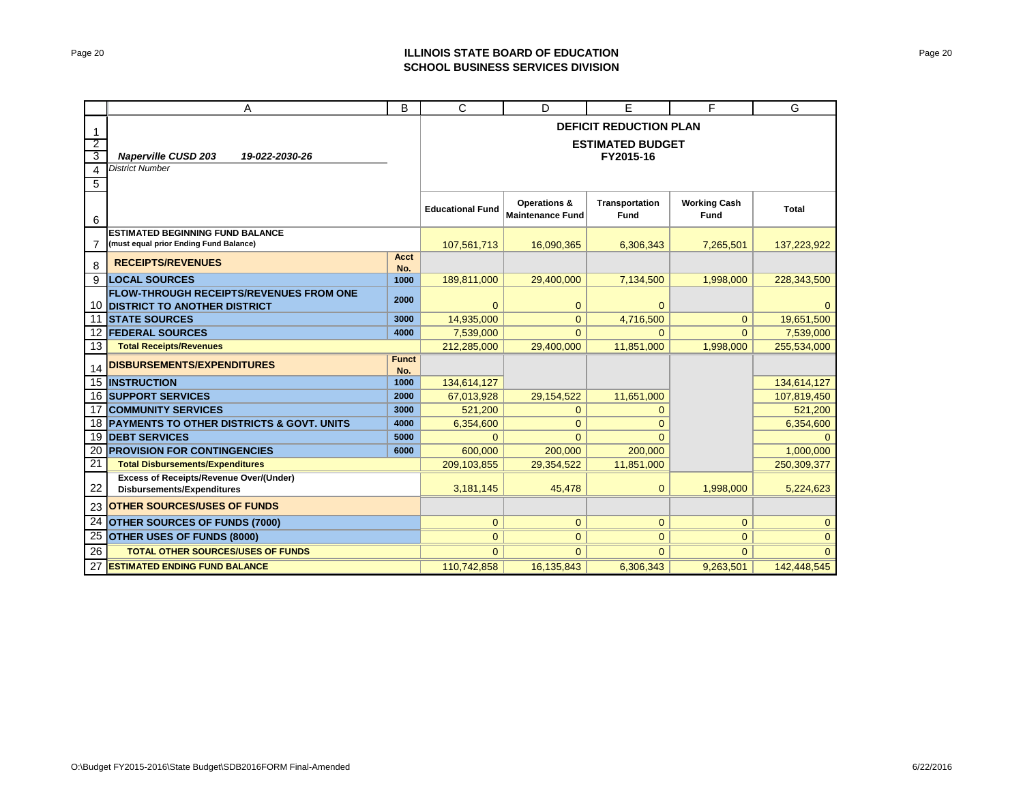#### Page 20 **ILLINOIS STATE BOARD OF EDUCATION SCHOOL BUSINESS SERVICES DIVISION**

|                | A                                                                             | B            | C                        | D                                                  | E                                    | F                           | G                        |  |  |  |  |  |  |
|----------------|-------------------------------------------------------------------------------|--------------|--------------------------|----------------------------------------------------|--------------------------------------|-----------------------------|--------------------------|--|--|--|--|--|--|
| $\mathbf{1}$   |                                                                               |              |                          |                                                    | <b>DEFICIT REDUCTION PLAN</b>        |                             |                          |  |  |  |  |  |  |
| $\overline{2}$ |                                                                               |              |                          |                                                    | <b>ESTIMATED BUDGET</b>              |                             |                          |  |  |  |  |  |  |
| $\overline{3}$ | <b>Naperville CUSD 203</b><br>19-022-2030-26                                  |              |                          |                                                    | FY2015-16                            |                             |                          |  |  |  |  |  |  |
| 4              | <b>District Number</b>                                                        |              |                          |                                                    |                                      |                             |                          |  |  |  |  |  |  |
| $\overline{5}$ |                                                                               |              |                          |                                                    |                                      |                             |                          |  |  |  |  |  |  |
| 6              |                                                                               |              | <b>Educational Fund</b>  | <b>Operations &amp;</b><br><b>Maintenance Fund</b> | <b>Transportation</b><br><b>Fund</b> | <b>Working Cash</b><br>Fund | Total                    |  |  |  |  |  |  |
|                | <b>ESTIMATED BEGINNING FUND BALANCE</b>                                       |              |                          |                                                    |                                      |                             |                          |  |  |  |  |  |  |
| 7              | (must equal prior Ending Fund Balance)                                        |              | 107,561,713              | 16,090,365                                         | 6,306,343                            | 7,265,501                   | 137,223,922              |  |  |  |  |  |  |
| 8              | <b>RECEIPTS/REVENUES</b>                                                      | Acct<br>No.  |                          |                                                    |                                      |                             |                          |  |  |  |  |  |  |
| 9              | <b>LOCAL SOURCES</b>                                                          | 1000         | 189,811,000              | 29.400.000                                         | 7,134,500                            | 1.998.000                   | 228.343.500              |  |  |  |  |  |  |
|                | <b>FLOW-THROUGH RECEIPTS/REVENUES FROM ONE</b>                                | 2000         |                          |                                                    |                                      |                             |                          |  |  |  |  |  |  |
|                | <b>10 DISTRICT TO ANOTHER DISTRICT</b>                                        |              | $\mathbf{0}$             | $\mathbf{0}$                                       | $\mathbf{0}$                         |                             |                          |  |  |  |  |  |  |
|                | <b>11 STATE SOURCES</b>                                                       | 3000         | 14,935,000               | $\Omega$                                           | 4,716,500                            | $\Omega$                    | 19,651,500               |  |  |  |  |  |  |
| 13             | 12 <b>FEDERAL SOURCES</b><br><b>Total Receipts/Revenues</b>                   | 4000         | 7,539,000<br>212,285,000 | $\Omega$                                           | $\Omega$<br>11,851,000               | $\Omega$<br>1,998,000       | 7,539,000<br>255,534,000 |  |  |  |  |  |  |
|                |                                                                               | <b>Funct</b> |                          | 29,400,000                                         |                                      |                             |                          |  |  |  |  |  |  |
| 14             | <b>DISBURSEMENTS/EXPENDITURES</b>                                             | No.          |                          |                                                    |                                      |                             |                          |  |  |  |  |  |  |
|                | <b>15 INSTRUCTION</b>                                                         | 1000         | 134,614,127              |                                                    |                                      |                             | 134,614,127              |  |  |  |  |  |  |
|                | <b>16 SUPPORT SERVICES</b>                                                    | 2000         | 67,013,928               | 29,154,522                                         | 11,651,000                           |                             | 107,819,450              |  |  |  |  |  |  |
|                | <b>17 COMMUNITY SERVICES</b>                                                  | 3000         | 521,200                  | $\mathbf{0}$                                       | $\Omega$                             |                             | 521,200                  |  |  |  |  |  |  |
|                | <b>18 PAYMENTS TO OTHER DISTRICTS &amp; GOVT. UNITS</b>                       | 4000         | 6,354,600                | $\mathbf{0}$                                       | $\mathbf{0}$                         |                             | 6,354,600                |  |  |  |  |  |  |
| 19             | <b>DEBT SERVICES</b>                                                          | 5000         | $\Omega$                 | $\Omega$                                           | $\Omega$                             |                             |                          |  |  |  |  |  |  |
| 20<br>21       | <b>PROVISION FOR CONTINGENCIES</b><br><b>Total Disbursements/Expenditures</b> | 6000         | 600,000                  | 200,000                                            | 200,000                              |                             | 1,000,000                |  |  |  |  |  |  |
|                | <b>Excess of Receipts/Revenue Over/(Under)</b>                                |              | 209,103,855              | 29,354,522                                         | 11,851,000                           |                             | 250,309,377              |  |  |  |  |  |  |
| 22             | <b>Disbursements/Expenditures</b>                                             |              | 3.181.145                | 45.478                                             | $\mathbf{0}$                         | 1.998.000                   | 5,224,623                |  |  |  |  |  |  |
| 23             | <b>OTHER SOURCES/USES OF FUNDS</b>                                            |              |                          |                                                    |                                      |                             |                          |  |  |  |  |  |  |
|                | 24 OTHER SOURCES OF FUNDS (7000)                                              |              | $\overline{0}$           | $\mathbf{0}$                                       | $\overline{0}$                       | $\overline{0}$              | $\mathbf{0}$             |  |  |  |  |  |  |
| 25             | <b>OTHER USES OF FUNDS (8000)</b>                                             |              | $\overline{0}$           | $\overline{0}$                                     | $\mathbf{0}$                         | $\mathbf{0}$                | $\mathbf{0}$             |  |  |  |  |  |  |
| 26             | <b>TOTAL OTHER SOURCES/USES OF FUNDS</b>                                      |              | $\mathbf{0}$             | $\Omega$                                           | $\Omega$                             | $\overline{0}$              | $\Omega$                 |  |  |  |  |  |  |
| 27             | <b>ESTIMATED ENDING FUND BALANCE</b>                                          |              | 110,742,858              | 16,135,843                                         | 6,306,343                            | 9,263,501                   | 142,448,545              |  |  |  |  |  |  |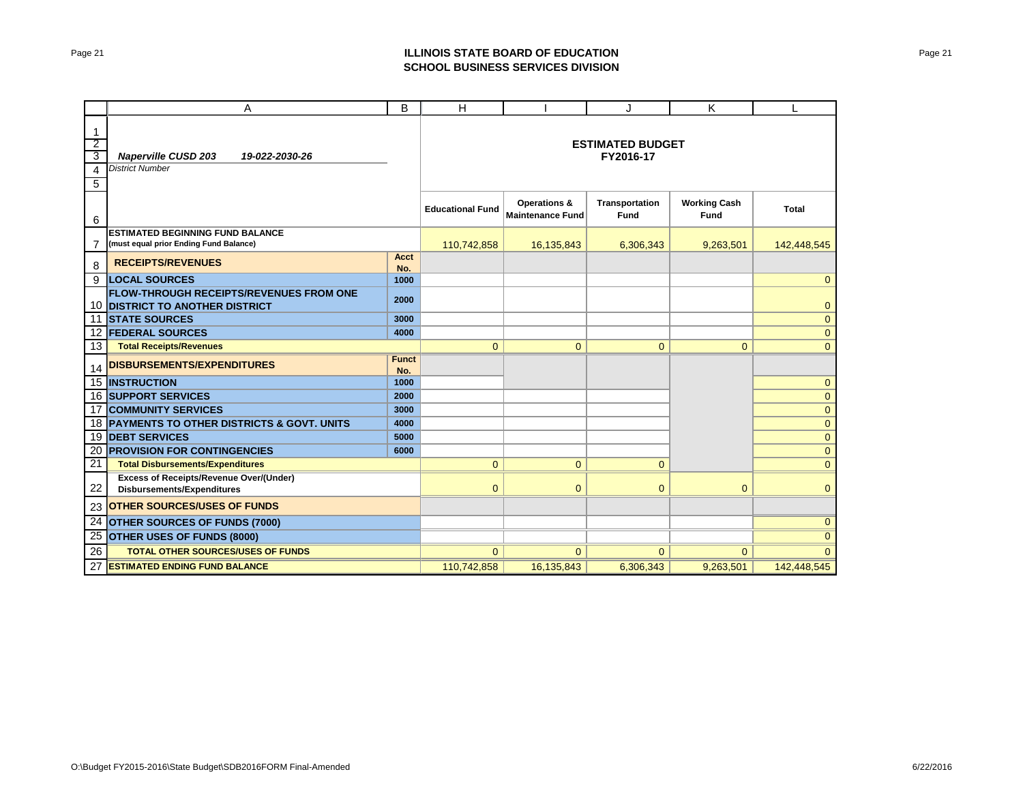#### Page 21 **ILLINOIS STATE BOARD OF EDUCATION SCHOOL BUSINESS SERVICES DIVISION**

|                                                                                  | A                                                                                        | B                   | H                                    |                                                    | J                             | K                                  | L              |  |  |  |  |
|----------------------------------------------------------------------------------|------------------------------------------------------------------------------------------|---------------------|--------------------------------------|----------------------------------------------------|-------------------------------|------------------------------------|----------------|--|--|--|--|
| $\mathbf{1}$<br>$\overline{2}$<br>$\overline{\mathbf{3}}$<br>4<br>$\overline{5}$ | <b>Naperville CUSD 203</b><br>19-022-2030-26<br><b>District Number</b>                   |                     | <b>ESTIMATED BUDGET</b><br>FY2016-17 |                                                    |                               |                                    |                |  |  |  |  |
| 6                                                                                |                                                                                          |                     | <b>Educational Fund</b>              | <b>Operations &amp;</b><br><b>Maintenance Fund</b> | Transportation<br><b>Fund</b> | <b>Working Cash</b><br><b>Fund</b> | <b>Total</b>   |  |  |  |  |
|                                                                                  | <b>ESTIMATED BEGINNING FUND BALANCE</b>                                                  |                     |                                      |                                                    |                               |                                    |                |  |  |  |  |
| 7                                                                                | (must equal prior Ending Fund Balance)                                                   |                     | 110,742,858                          | 16,135,843                                         | 6,306,343                     | 9,263,501                          | 142,448,545    |  |  |  |  |
| 8                                                                                | <b>RECEIPTS/REVENUES</b>                                                                 | Acct<br>No.         |                                      |                                                    |                               |                                    |                |  |  |  |  |
| 9                                                                                | <b>LOCAL SOURCES</b>                                                                     | 1000                |                                      |                                                    |                               |                                    | $\mathbf{0}$   |  |  |  |  |
|                                                                                  | <b>FLOW-THROUGH RECEIPTS/REVENUES FROM ONE</b><br><b>10 DISTRICT TO ANOTHER DISTRICT</b> | 2000                |                                      |                                                    |                               |                                    | $\mathbf{0}$   |  |  |  |  |
|                                                                                  | 11 STATE SOURCES                                                                         | 3000                |                                      |                                                    |                               |                                    | $\mathbf{0}$   |  |  |  |  |
|                                                                                  | 12 <b>FEDERAL SOURCES</b>                                                                | 4000                |                                      |                                                    |                               |                                    | $\mathbf{0}$   |  |  |  |  |
| 13                                                                               | <b>Total Receipts/Revenues</b>                                                           |                     | $\mathbf{0}$                         | $\mathbf{0}$                                       | $\mathbf{0}$                  | $\mathbf{0}$                       | $\overline{0}$ |  |  |  |  |
| 14                                                                               | <b>DISBURSEMENTS/EXPENDITURES</b>                                                        | <b>Funct</b><br>No. |                                      |                                                    |                               |                                    |                |  |  |  |  |
|                                                                                  | <b>15 INSTRUCTION</b>                                                                    | 1000                |                                      |                                                    |                               |                                    | $\mathbf{0}$   |  |  |  |  |
|                                                                                  | <b>16 SUPPORT SERVICES</b>                                                               | 2000                |                                      |                                                    |                               |                                    | $\mathbf{0}$   |  |  |  |  |
|                                                                                  | <b>17 COMMUNITY SERVICES</b>                                                             | 3000                |                                      |                                                    |                               |                                    | $\mathbf{0}$   |  |  |  |  |
|                                                                                  | 18 PAYMENTS TO OTHER DISTRICTS & GOVT. UNITS                                             | 4000                |                                      |                                                    |                               |                                    | $\mathbf{0}$   |  |  |  |  |
|                                                                                  | <b>19 DEBT SERVICES</b>                                                                  | 5000                |                                      |                                                    |                               |                                    | $\mathbf{0}$   |  |  |  |  |
|                                                                                  | 20 <b>PROVISION FOR CONTINGENCIES</b>                                                    | 6000                |                                      |                                                    |                               |                                    | $\mathbf{0}$   |  |  |  |  |
| 21                                                                               | <b>Total Disbursements/Expenditures</b>                                                  |                     | $\mathbf{0}$                         | $\overline{0}$                                     | $\mathbf{0}$                  |                                    | $\mathbf{0}$   |  |  |  |  |
| 22                                                                               | <b>Excess of Receipts/Revenue Over/(Under)</b><br><b>Disbursements/Expenditures</b>      |                     | $\mathbf{0}$                         | $\mathbf{0}$                                       | $\mathbf{0}$                  | $\mathbf{0}$                       | $\mathbf{0}$   |  |  |  |  |
| 23                                                                               | <b>OTHER SOURCES/USES OF FUNDS</b>                                                       |                     |                                      |                                                    |                               |                                    |                |  |  |  |  |
|                                                                                  | 24 OTHER SOURCES OF FUNDS (7000)                                                         |                     |                                      |                                                    |                               |                                    | $\overline{0}$ |  |  |  |  |
| $\overline{25}$                                                                  | <b>OTHER USES OF FUNDS (8000)</b>                                                        |                     |                                      |                                                    |                               |                                    | $\mathbf{0}$   |  |  |  |  |
| 26                                                                               | <b>TOTAL OTHER SOURCES/USES OF FUNDS</b>                                                 |                     | $\Omega$                             | $\Omega$                                           | $\Omega$                      | $\Omega$                           | $\Omega$       |  |  |  |  |
| 27                                                                               | <b>ESTIMATED ENDING FUND BALANCE</b>                                                     |                     | 110,742,858                          | 16,135,843                                         | 6,306,343                     | 9,263,501                          | 142,448,545    |  |  |  |  |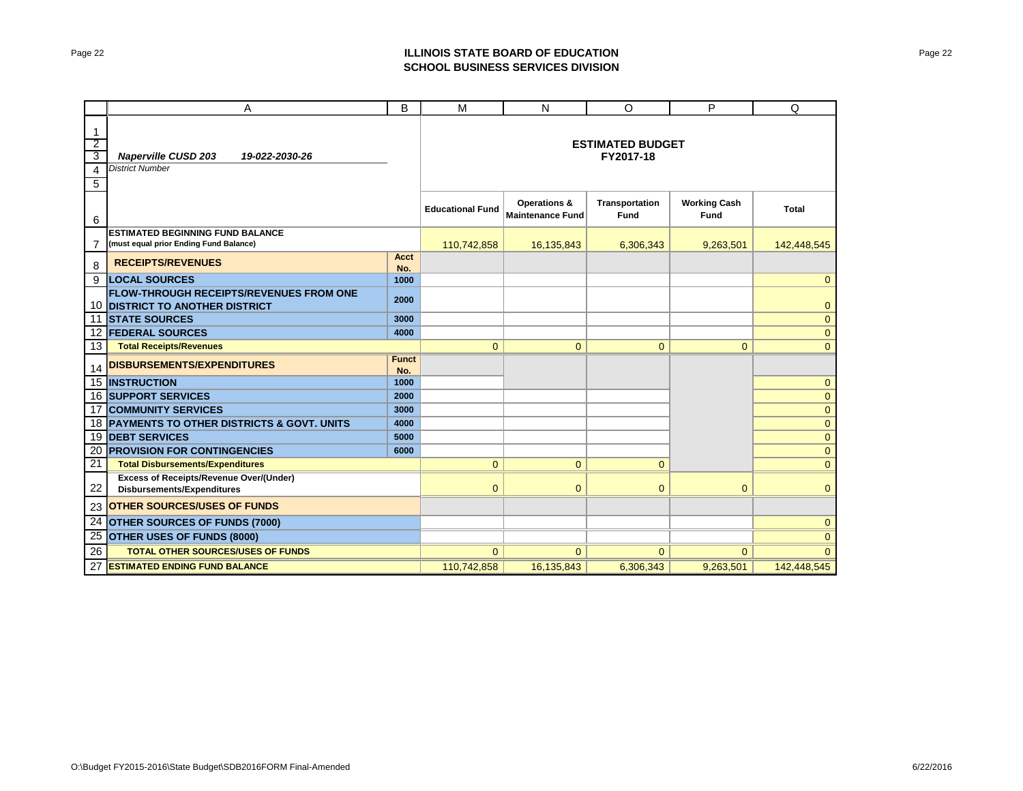#### Page 22 **ILLINOIS STATE BOARD OF EDUCATION SCHOOL BUSINESS SERVICES DIVISION**

|                                                                                  | Α                                                                                         | B                   | M                       | N                                                  | O                                    | P                           | Q            |
|----------------------------------------------------------------------------------|-------------------------------------------------------------------------------------------|---------------------|-------------------------|----------------------------------------------------|--------------------------------------|-----------------------------|--------------|
| $\mathbf{1}$<br>$\overline{2}$<br>$\overline{\mathbf{3}}$<br>4<br>$\overline{5}$ | <b>Naperville CUSD 203</b><br>19-022-2030-26<br><b>District Number</b>                    |                     |                         |                                                    | <b>ESTIMATED BUDGET</b><br>FY2017-18 |                             |              |
| 6                                                                                |                                                                                           |                     | <b>Educational Fund</b> | <b>Operations &amp;</b><br><b>Maintenance Fund</b> | Transportation<br><b>Fund</b>        | <b>Working Cash</b><br>Fund | <b>Total</b> |
|                                                                                  | <b>ESTIMATED BEGINNING FUND BALANCE</b>                                                   |                     |                         |                                                    |                                      |                             |              |
| 7                                                                                | (must equal prior Ending Fund Balance)                                                    |                     | 110,742,858             | 16,135,843                                         | 6,306,343                            | 9,263,501                   | 142,448,545  |
| 8                                                                                | <b>RECEIPTS/REVENUES</b>                                                                  | Acct<br>No.         |                         |                                                    |                                      |                             |              |
| 9                                                                                | <b>LOCAL SOURCES</b>                                                                      | 1000                |                         |                                                    |                                      |                             | $\Omega$     |
|                                                                                  | <b>FLOW-THROUGH RECEIPTS/REVENUES FROM ONE</b><br><b>10 DISTRICT TO ANOTHER DISTRICT</b>  | 2000                |                         |                                                    |                                      |                             | $\mathbf{0}$ |
|                                                                                  | 11 STATE SOURCES                                                                          | 3000                |                         |                                                    |                                      |                             | $\mathbf{0}$ |
|                                                                                  | 12 <b>FEDERAL SOURCES</b>                                                                 | 4000                |                         |                                                    |                                      |                             | $\mathbf{0}$ |
| 13                                                                               | <b>Total Receipts/Revenues</b>                                                            |                     | $\mathbf{0}$            | $\overline{0}$                                     | $\overline{0}$                       | $\mathbf{0}$                | $\mathbf{0}$ |
| 14                                                                               | <b>DISBURSEMENTS/EXPENDITURES</b>                                                         | <b>Funct</b><br>No. |                         |                                                    |                                      |                             |              |
|                                                                                  | <b>15 INSTRUCTION</b>                                                                     | 1000                |                         |                                                    |                                      |                             | $\mathbf{0}$ |
|                                                                                  | <b>16 SUPPORT SERVICES</b>                                                                | 2000                |                         |                                                    |                                      |                             | $\mathbf{0}$ |
|                                                                                  | <b>17 COMMUNITY SERVICES</b>                                                              | 3000                |                         |                                                    |                                      |                             | $\mathbf{0}$ |
|                                                                                  | 18 PAYMENTS TO OTHER DISTRICTS & GOVT. UNITS                                              | 4000                |                         |                                                    |                                      |                             | $\mathbf{0}$ |
|                                                                                  | <b>19 DEBT SERVICES</b>                                                                   | 5000                |                         |                                                    |                                      |                             | $\mathbf{0}$ |
|                                                                                  | 20 <b>PROVISION FOR CONTINGENCIES</b>                                                     | 6000                |                         |                                                    |                                      |                             | $\mathbf{0}$ |
| 21                                                                               | <b>Total Disbursements/Expenditures</b><br><b>Excess of Receipts/Revenue Over/(Under)</b> |                     | $\mathbf{0}$            | $\mathbf{0}$                                       | $\mathbf{0}$                         |                             | $\mathbf{0}$ |
| 22                                                                               | <b>Disbursements/Expenditures</b>                                                         |                     | $\mathbf{0}$            | $\mathbf{0}$                                       | $\mathbf{0}$                         | $\overline{0}$              | $\mathbf{0}$ |
| 23                                                                               | <b>OTHER SOURCES/USES OF FUNDS</b>                                                        |                     |                         |                                                    |                                      |                             |              |
|                                                                                  | 24 OTHER SOURCES OF FUNDS (7000)                                                          |                     |                         |                                                    |                                      |                             | $\mathbf{0}$ |
| $\overline{25}$                                                                  | <b>OTHER USES OF FUNDS (8000)</b>                                                         |                     |                         |                                                    |                                      |                             | $\mathbf{0}$ |
| 26                                                                               | <b>TOTAL OTHER SOURCES/USES OF FUNDS</b>                                                  |                     | $\mathbf{0}$            | $\mathbf{0}$                                       | $\mathbf{0}$                         | $\Omega$                    | $\Omega$     |
| 27                                                                               | <b>ESTIMATED ENDING FUND BALANCE</b>                                                      |                     | 110,742,858             | 16,135,843                                         | 6,306,343                            | 9,263,501                   | 142,448,545  |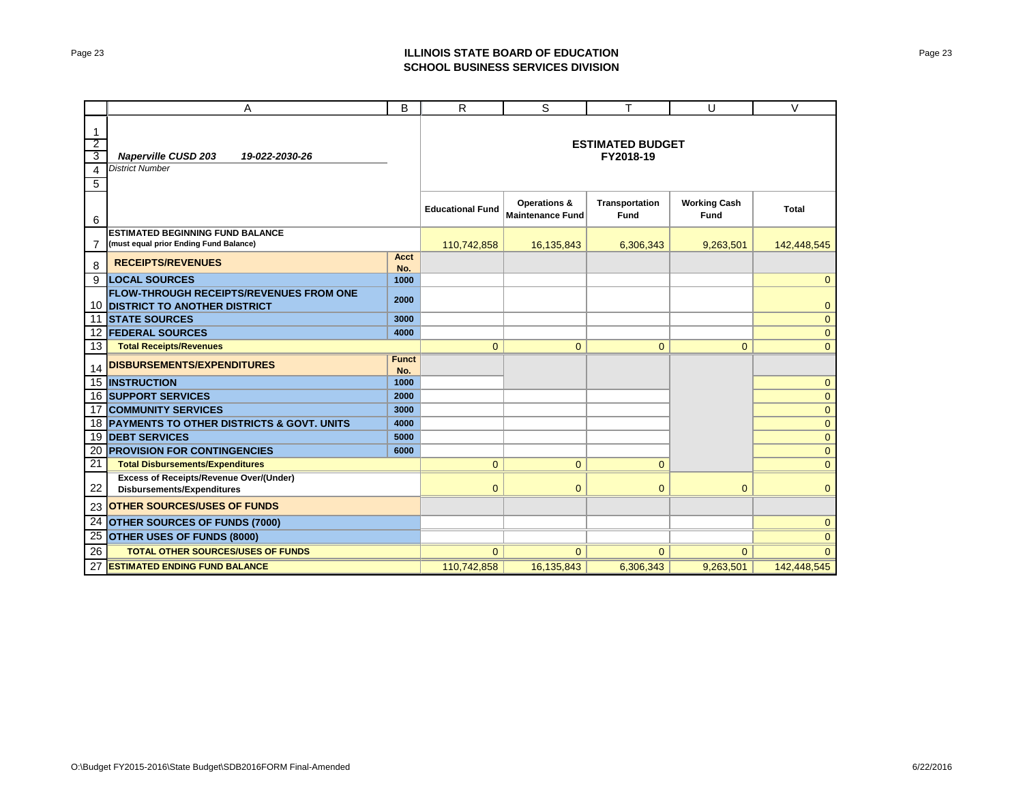#### Page 23 **ILLINOIS STATE BOARD OF EDUCATION SCHOOL BUSINESS SERVICES DIVISION**

|                                                                         | Α                                                                                        | B                   | $\mathsf{R}$                         | S                                                  | т                             | U                           | $\vee$       |
|-------------------------------------------------------------------------|------------------------------------------------------------------------------------------|---------------------|--------------------------------------|----------------------------------------------------|-------------------------------|-----------------------------|--------------|
| $\mathbf{1}$<br>$\overline{2}$<br>$\overline{3}$<br>4<br>$\overline{5}$ | <b>Naperville CUSD 203</b><br>19-022-2030-26<br><b>District Number</b>                   |                     | <b>ESTIMATED BUDGET</b><br>FY2018-19 |                                                    |                               |                             |              |
| 6                                                                       |                                                                                          |                     | <b>Educational Fund</b>              | <b>Operations &amp;</b><br><b>Maintenance Fund</b> | Transportation<br><b>Fund</b> | <b>Working Cash</b><br>Fund | Total        |
|                                                                         | <b>ESTIMATED BEGINNING FUND BALANCE</b>                                                  |                     |                                      |                                                    |                               |                             |              |
| 7                                                                       | (must equal prior Ending Fund Balance)                                                   |                     | 110,742,858                          | 16,135,843                                         | 6,306,343                     | 9,263,501                   | 142,448,545  |
| 8                                                                       | <b>RECEIPTS/REVENUES</b>                                                                 | Acct<br>No.         |                                      |                                                    |                               |                             |              |
| 9                                                                       | <b>LOCAL SOURCES</b>                                                                     | 1000                |                                      |                                                    |                               |                             | $\Omega$     |
|                                                                         | <b>FLOW-THROUGH RECEIPTS/REVENUES FROM ONE</b><br><b>10 DISTRICT TO ANOTHER DISTRICT</b> | 2000                |                                      |                                                    |                               |                             | $\mathbf{0}$ |
|                                                                         | 11 STATE SOURCES                                                                         | 3000                |                                      |                                                    |                               |                             | $\mathbf{0}$ |
|                                                                         | 12 <b>FEDERAL SOURCES</b>                                                                | 4000                |                                      |                                                    |                               |                             | $\mathbf{0}$ |
| 13                                                                      | <b>Total Receipts/Revenues</b>                                                           |                     | $\mathbf{0}$                         | $\overline{0}$                                     | $\overline{0}$                | $\mathbf{0}$                | $\mathbf{0}$ |
| 14                                                                      | <b>DISBURSEMENTS/EXPENDITURES</b>                                                        | <b>Funct</b><br>No. |                                      |                                                    |                               |                             |              |
|                                                                         | <b>15 INSTRUCTION</b>                                                                    | 1000                |                                      |                                                    |                               |                             | $\mathbf{0}$ |
|                                                                         | <b>16 SUPPORT SERVICES</b>                                                               | 2000                |                                      |                                                    |                               |                             | $\mathbf{0}$ |
|                                                                         | <b>17 COMMUNITY SERVICES</b>                                                             | 3000                |                                      |                                                    |                               |                             | $\mathbf{0}$ |
|                                                                         | 18 PAYMENTS TO OTHER DISTRICTS & GOVT. UNITS                                             | 4000                |                                      |                                                    |                               |                             | $\mathbf{0}$ |
|                                                                         | <b>19 DEBT SERVICES</b>                                                                  | 5000                |                                      |                                                    |                               |                             | $\mathbf{0}$ |
| 20                                                                      | <b>PROVISION FOR CONTINGENCIES</b>                                                       | 6000                |                                      |                                                    |                               |                             | $\mathbf{0}$ |
| $\overline{21}$                                                         | <b>Total Disbursements/Expenditures</b>                                                  |                     | $\mathbf{0}$                         | $\mathbf{0}$                                       | $\mathbf{0}$                  |                             | $\mathbf{0}$ |
| 22                                                                      | <b>Excess of Receipts/Revenue Over/(Under)</b><br><b>Disbursements/Expenditures</b>      |                     | $\mathbf{0}$                         | $\mathbf{0}$                                       | $\mathbf{0}$                  | $\overline{0}$              | $\mathbf{0}$ |
|                                                                         | 23 OTHER SOURCES/USES OF FUNDS                                                           |                     |                                      |                                                    |                               |                             |              |
|                                                                         | 24 OTHER SOURCES OF FUNDS (7000)                                                         |                     |                                      |                                                    |                               |                             | $\mathbf{0}$ |
| $\overline{25}$                                                         | <b>OTHER USES OF FUNDS (8000)</b>                                                        |                     |                                      |                                                    |                               |                             | $\mathbf{0}$ |
| 26                                                                      | <b>TOTAL OTHER SOURCES/USES OF FUNDS</b>                                                 |                     | $\Omega$                             | $\Omega$                                           | $\Omega$                      | $\Omega$                    | $\Omega$     |
|                                                                         | 27 ESTIMATED ENDING FUND BALANCE                                                         |                     | 110.742.858                          | 16.135.843                                         | 6.306.343                     | 9.263.501                   | 142.448.545  |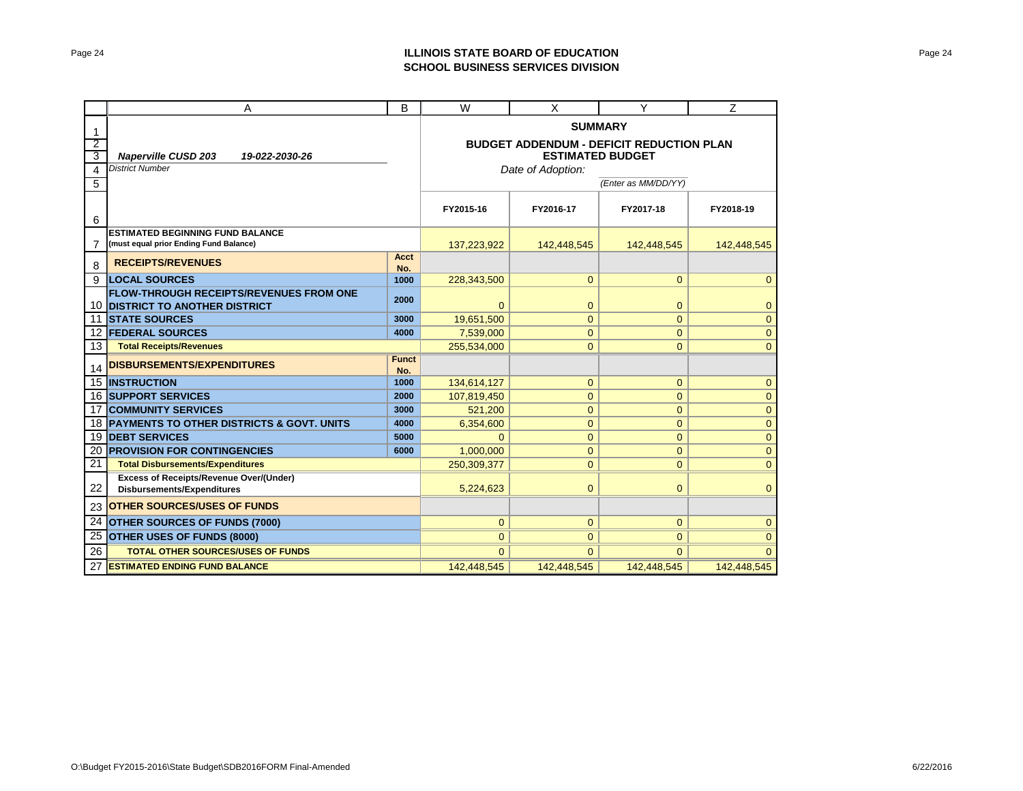#### Page 24 **ILLINOIS STATE BOARD OF EDUCATION SCHOOL BUSINESS SERVICES DIVISION**

|                | Α                                                                                         | в                                                                          | W            | X                 | Υ            | Z              |
|----------------|-------------------------------------------------------------------------------------------|----------------------------------------------------------------------------|--------------|-------------------|--------------|----------------|
| 1              |                                                                                           |                                                                            |              | <b>SUMMARY</b>    |              |                |
| $\overline{2}$ |                                                                                           | <b>BUDGET ADDENDUM - DEFICIT REDUCTION PLAN</b><br><b>ESTIMATED BUDGET</b> |              |                   |              |                |
| 3              | <b>Naperville CUSD 203</b><br>19-022-2030-26                                              |                                                                            |              |                   |              |                |
| 4              | <b>District Number</b>                                                                    |                                                                            |              | Date of Adoption: |              |                |
| 5              |                                                                                           | (Enter as MM/DD/YY)                                                        |              |                   |              |                |
| 6              |                                                                                           | FY2015-16                                                                  | FY2016-17    | FY2017-18         | FY2018-19    |                |
|                | <b>ESTIMATED BEGINNING FUND BALANCE</b>                                                   |                                                                            |              |                   |              |                |
| 7              | (must equal prior Ending Fund Balance)                                                    |                                                                            | 137,223,922  | 142,448,545       | 142,448,545  | 142,448,545    |
| 8              | <b>RECEIPTS/REVENUES</b>                                                                  | Acct<br>No.                                                                |              |                   |              |                |
| 9              | <b>LOCAL SOURCES</b>                                                                      | 1000                                                                       | 228,343,500  | $\mathbf 0$       | $\mathbf{0}$ | $\Omega$       |
|                | <b>FLOW-THROUGH RECEIPTS/REVENUES FROM ONE</b>                                            | 2000                                                                       |              |                   |              |                |
|                | 10 DISTRICT TO ANOTHER DISTRICT                                                           |                                                                            | $\Omega$     | $\mathbf{0}$      | $\mathbf{0}$ | $\mathbf 0$    |
|                | <b>11 STATE SOURCES</b>                                                                   | 3000                                                                       | 19,651,500   | $\mathbf{0}$      | $\mathbf{0}$ | $\mathbf{0}$   |
| 13             | <b>12 FEDERAL SOURCES</b>                                                                 | 4000                                                                       | 7.539.000    | $\mathbf{0}$      | $\mathbf{0}$ | $\mathbf 0$    |
|                | <b>Total Receipts/Revenues</b>                                                            | <b>Funct</b>                                                               | 255,534,000  | $\mathbf{0}$      | $\mathbf{0}$ | $\mathbf{0}$   |
| 14             | <b>DISBURSEMENTS/EXPENDITURES</b>                                                         | No.                                                                        |              |                   |              |                |
|                | <b>15 INSTRUCTION</b>                                                                     | 1000                                                                       | 134,614,127  | $\mathbf 0$       | $\mathbf{0}$ | $\mathbf 0$    |
|                | <b>16 SUPPORT SERVICES</b>                                                                | 2000                                                                       | 107,819,450  | $\mathbf{0}$      | $\mathbf{0}$ | $\mathbf{0}$   |
|                | <b>17 COMMUNITY SERVICES</b>                                                              | 3000                                                                       | 521.200      | $\mathbf{0}$      | $\mathbf{0}$ | $\mathbf{0}$   |
|                | 18 PAYMENTS TO OTHER DISTRICTS & GOVT. UNITS                                              | 4000                                                                       | 6,354,600    | $\mathbf{0}$      | $\mathbf{0}$ | $\mathbf{0}$   |
| 19             | <b>IDEBT SERVICES</b>                                                                     | 5000                                                                       | $\Omega$     | $\mathbf{0}$      | $\mathbf{0}$ | $\overline{0}$ |
| 20             | <b>PROVISION FOR CONTINGENCIES</b>                                                        | 6000                                                                       | 1,000,000    | $\mathbf{0}$      | $\mathbf{0}$ | $\mathbf{0}$   |
| 21             | <b>Total Disbursements/Expenditures</b><br><b>Excess of Receipts/Revenue Over/(Under)</b> |                                                                            | 250,309,377  | $\mathbf{0}$      | $\mathbf{0}$ | $\mathbf{0}$   |
| 22             | <b>Disbursements/Expenditures</b>                                                         |                                                                            | 5.224.623    | $\mathbf{0}$      | $\mathbf{0}$ | $\mathbf{0}$   |
| 23             | <b>OTHER SOURCES/USES OF FUNDS</b>                                                        |                                                                            |              |                   |              |                |
| 24             | <b>OTHER SOURCES OF FUNDS (7000)</b>                                                      |                                                                            | $\mathbf 0$  | $\mathbf 0$       | $\mathbf{0}$ | $\mathbf 0$    |
| 25             | <b>OTHER USES OF FUNDS (8000)</b>                                                         |                                                                            | $\mathbf{0}$ | $\mathbf{0}$      | $\mathbf{0}$ | $\mathbf{0}$   |
| 26             | <b>TOTAL OTHER SOURCES/USES OF FUNDS</b>                                                  |                                                                            | $\Omega$     | $\Omega$          | $\Omega$     | $\Omega$       |
| 27             | <b>ESTIMATED ENDING FUND BALANCE</b>                                                      |                                                                            | 142,448,545  | 142,448,545       | 142.448.545  | 142,448,545    |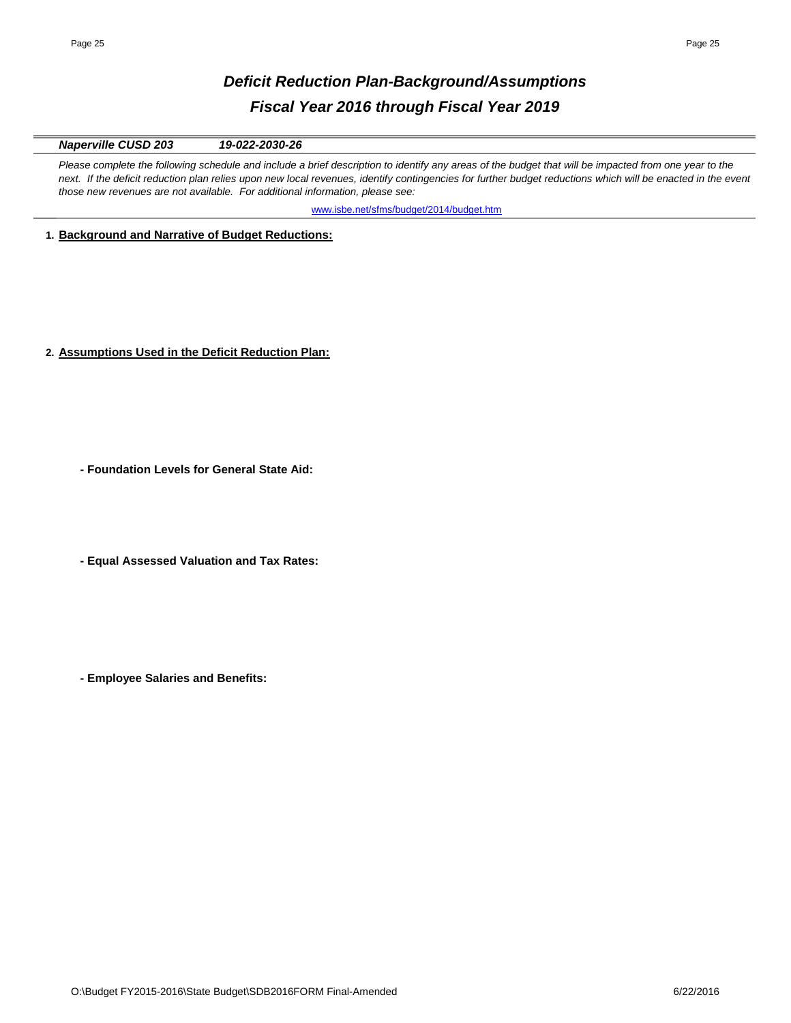# *Deficit Reduction Plan-Background/Assumptions Fiscal Year 2016 through Fiscal Year 2019*

*Naperville CUSD 203 19-022-2030-26*

Please complete the following schedule and include a brief description to identify any areas of the budget that will be impacted from one year to the next. If the deficit reduction plan relies upon new local revenues, identify contingencies for further budget reductions which will be enacted in the event *those new revenues are not available. For additional information, please see:* 

[www.isbe.net/sfms/budget/2014/budget.htm](http://www.isbe.net/sfms/budget/2014/budget.htm)

**1. Background and Narrative of Budget Reductions:**

**2. Assumptions Used in the Deficit Reduction Plan:**

**- Foundation Levels for General State Aid:**

**- Equal Assessed Valuation and Tax Rates:**

**- Employee Salaries and Benefits:**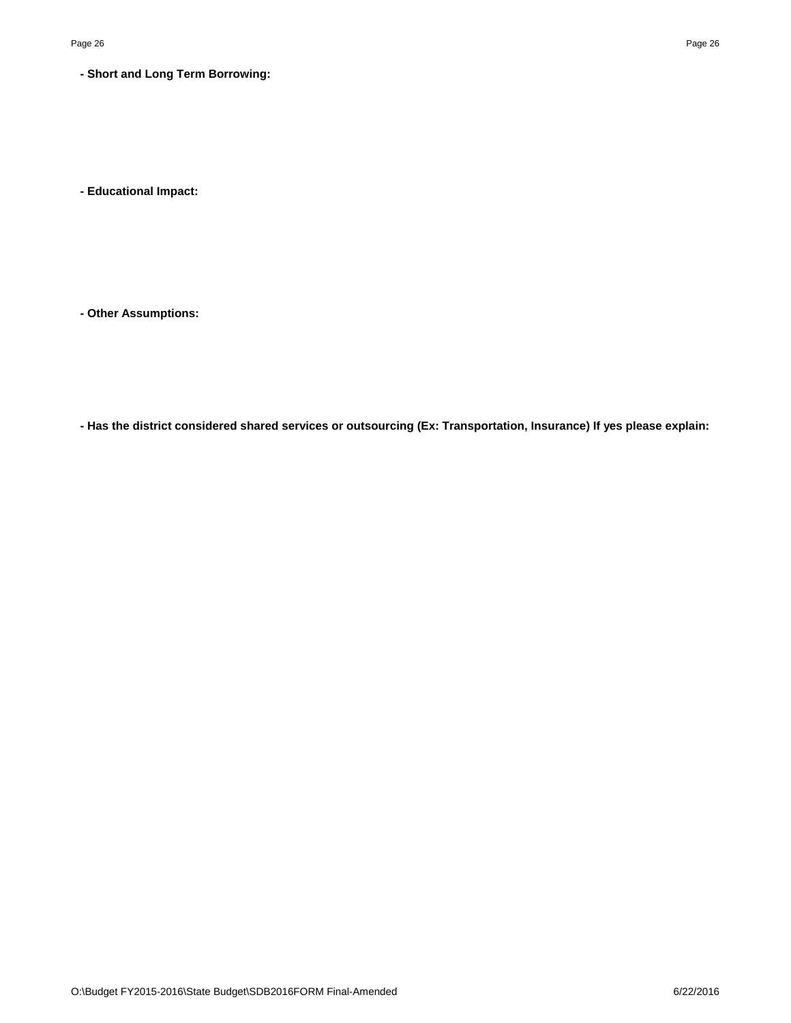**- Short and Long Term Borrowing:**

**- Educational Impact:**

**- Other Assumptions:**

**- Has the district considered shared services or outsourcing (Ex: Transportation, Insurance) If yes please explain:**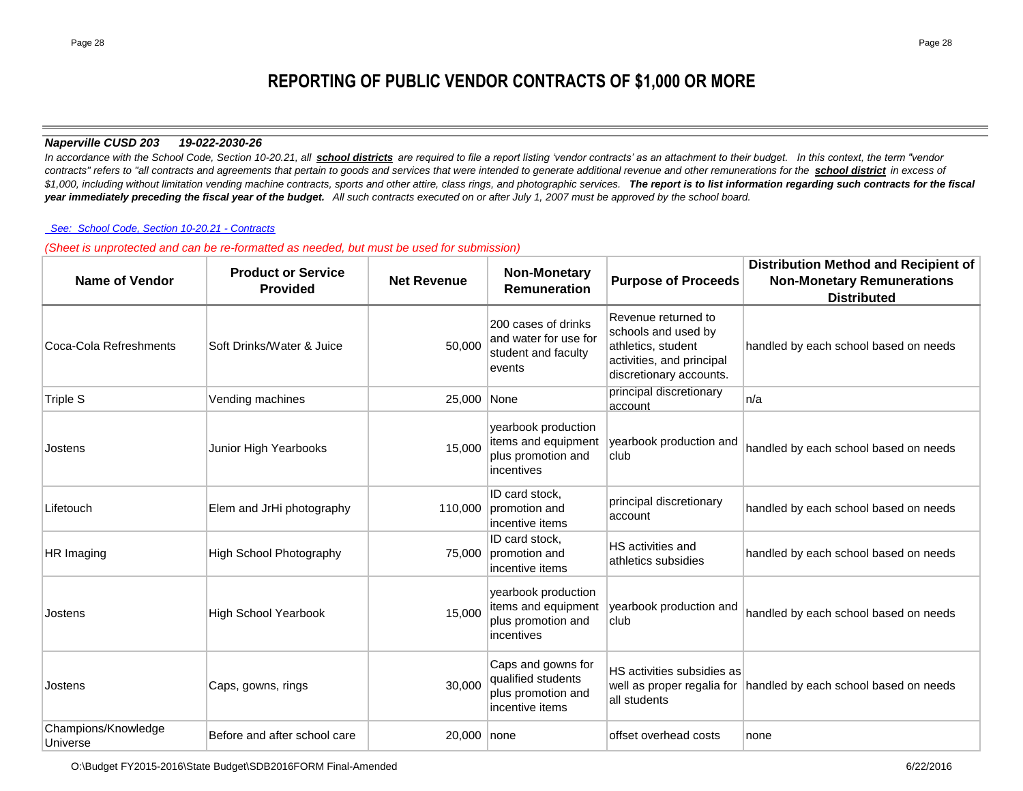# **REPORTING OF PUBLIC VENDOR CONTRACTS OF \$1,000 OR MORE**

#### *Naperville CUSD 203 19-022-2030-26*

In accordance with the School Code, Section 10-20.21, all **school districts** are required to file a report listing 'vendor contracts' as an attachment to their budget. In this context, the term "vendor *contracts" refers to "all contracts and agreements that pertain to goods and services that were intended to generate additional revenue and other remunerations for the school district in excess of*   $$1,000$ , including without limitation vending machine contracts, sports and other attire, class rings, and photographic services. The report is to list information regarding such contracts for the fiscal *year immediately preceding the fiscal year of the budget. All such contracts executed on or after July 1, 2007 must be approved by the school board.*

#### *[See: School Code, Section 10-20.21 - Contracts](http://www.ilga.gov/legislation/ilcs/ilcs4.asp?DocName=010500050HArt%2E+10&ActID=1005&ChapAct=105%26nbsp%3BILCS%26nbsp%3B5%2F&ChapterID=17&ChapterName=SCHOOLS&SectionID=48899&SeqStart=53200000&SeqEnd=74800000&ActName=School+Code%2E)*

*(Sheet is unprotected and can be re-formatted as needed, but must be used for submission)*

| <b>Name of Vendor</b>           | <b>Product or Service</b><br><b>Provided</b> | <b>Net Revenue</b> | <b>Non-Monetary</b><br><b>Remuneration</b>                                        | <b>Purpose of Proceeds</b>                                                                                               | <b>Distribution Method and Recipient of</b><br><b>Non-Monetary Remunerations</b><br><b>Distributed</b> |
|---------------------------------|----------------------------------------------|--------------------|-----------------------------------------------------------------------------------|--------------------------------------------------------------------------------------------------------------------------|--------------------------------------------------------------------------------------------------------|
| Coca-Cola Refreshments          | Soft Drinks/Water & Juice                    | 50,000             | 200 cases of drinks<br>and water for use for<br>student and faculty<br>events     | Revenue returned to<br>schools and used by<br>athletics, student<br>activities, and principal<br>discretionary accounts. | handled by each school based on needs                                                                  |
| <b>Triple S</b>                 | Vending machines                             | 25,000 None        |                                                                                   | principal discretionary<br>account                                                                                       | n/a                                                                                                    |
| Jostens                         | Junior High Yearbooks                        | 15,000             | yearbook production<br>items and equipment<br>plus promotion and<br>incentives    | yearbook production and<br>club                                                                                          | handled by each school based on needs                                                                  |
| Lifetouch                       | Elem and JrHi photography                    | 110,000            | ID card stock,<br>promotion and<br>incentive items                                | principal discretionary<br>account                                                                                       | handled by each school based on needs                                                                  |
| HR Imaging                      | High School Photography                      | 75,000             | ID card stock,<br>promotion and<br>incentive items                                | HS activities and<br>athletics subsidies                                                                                 | handled by each school based on needs                                                                  |
| Jostens                         | <b>High School Yearbook</b>                  | 15,000             | yearbook production<br>items and equipment<br>plus promotion and<br>incentives    | yearbook production and<br>club                                                                                          | handled by each school based on needs                                                                  |
| Jostens                         | Caps, gowns, rings                           | 30,000             | Caps and gowns for<br>qualified students<br>plus promotion and<br>incentive items | HS activities subsidies as<br>all students                                                                               | well as proper regalia for   handled by each school based on needs                                     |
| Champions/Knowledge<br>Universe | Before and after school care                 | 20,000 none        |                                                                                   | offset overhead costs                                                                                                    | none                                                                                                   |

O:\Budget FY2015-2016\State Budget\SDB2016FORM Final-Amended 6/22/2016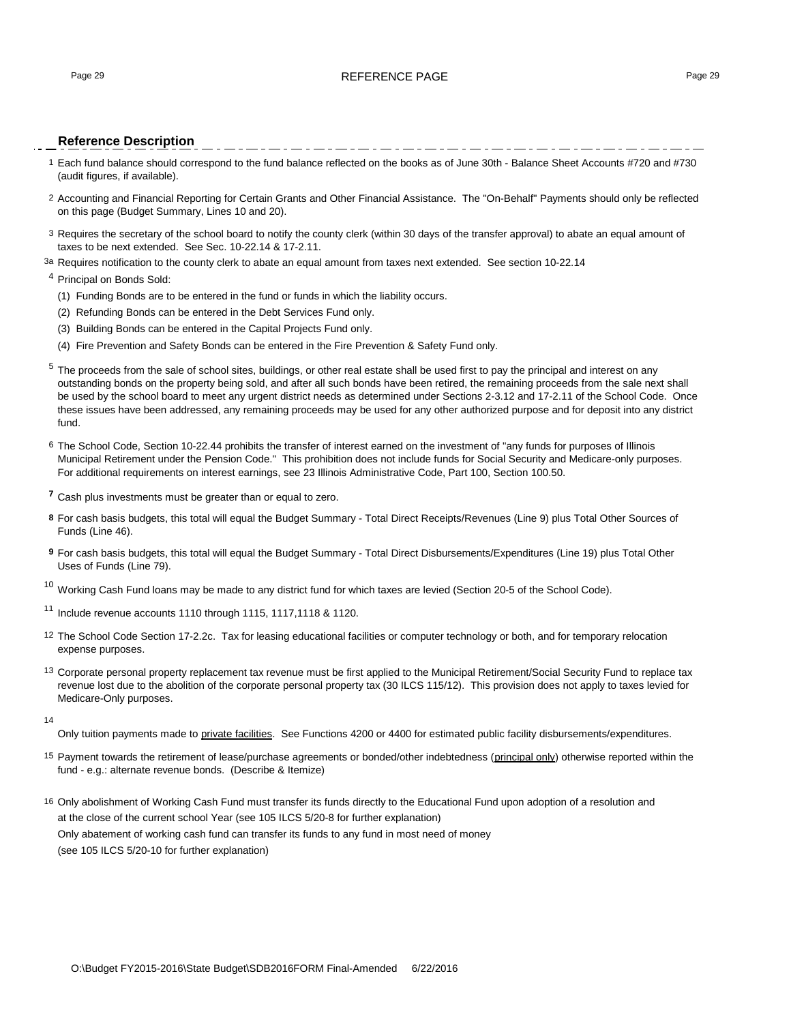#### Page 29 **REFERENCE PAGE 20** REFERENCE PAGE 29

#### **Reference Description**

- 1 Each fund balance should correspond to the fund balance reflected on the books as of June 30th Balance Sheet Accounts #720 and #730 (audit figures, if available).
- 2 Accounting and Financial Reporting for Certain Grants and Other Financial Assistance. The "On-Behalf" Payments should only be reflected on this page (Budget Summary, Lines 10 and 20).
- 3 Requires the secretary of the school board to notify the county clerk (within 30 days of the transfer approval) to abate an equal amount of taxes to be next extended. See Sec. 10-22.14 & 17-2.11.
- <sup>3a</sup> Requires notification to the county clerk to abate an equal amount from taxes next extended. See section 10-22.14

#### <sup>4</sup> Principal on Bonds Sold:

- (1) Funding Bonds are to be entered in the fund or funds in which the liability occurs.
- (2) Refunding Bonds can be entered in the Debt Services Fund only.
- (3) Building Bonds can be entered in the Capital Projects Fund only.
- (4) Fire Prevention and Safety Bonds can be entered in the Fire Prevention & Safety Fund only.
- <sup>5</sup> The proceeds from the sale of school sites, buildings, or other real estate shall be used first to pay the principal and interest on any outstanding bonds on the property being sold, and after all such bonds have been retired, the remaining proceeds from the sale next shall be used by the school board to meet any urgent district needs as determined under Sections 2-3.12 and 17-2.11 of the School Code. Once these issues have been addressed, any remaining proceeds may be used for any other authorized purpose and for deposit into any district fund.
- 6 The School Code, Section 10-22.44 prohibits the transfer of interest earned on the investment of "any funds for purposes of Illinois Municipal Retirement under the Pension Code." This prohibition does not include funds for Social Security and Medicare-only purposes. For additional requirements on interest earnings, see 23 Illinois Administrative Code, Part 100, Section 100.50.
- **<sup>7</sup>** Cash plus investments must be greater than or equal to zero.
- **8** For cash basis budgets, this total will equal the Budget Summary Total Direct Receipts/Revenues (Line 9) plus Total Other Sources of Funds (Line 46).
- **9** For cash basis budgets, this total will equal the Budget Summary Total Direct Disbursements/Expenditures (Line 19) plus Total Other Uses of Funds (Line 79).

 $10$  Working Cash Fund loans may be made to any district fund for which taxes are levied (Section 20-5 of the School Code).

<sup>11</sup> Include revenue accounts 1110 through 1115, 1117,1118 & 1120.

- 12 The School Code Section 17-2.2c. Tax for leasing educational facilities or computer technology or both, and for temporary relocation expense purposes.
- <sup>13</sup> Corporate personal property replacement tax revenue must be first applied to the Municipal Retirement/Social Security Fund to replace tax revenue lost due to the abolition of the corporate personal property tax (30 ILCS 115/12). This provision does not apply to taxes levied for Medicare-Only purposes.
- 14

Only tuition payments made to private facilities. See Functions 4200 or 4400 for estimated public facility disbursements/expenditures.

- <sup>15</sup> Payment towards the retirement of lease/purchase agreements or bonded/other indebtedness (principal only) otherwise reported within the fund - e.g.: alternate revenue bonds. (Describe & Itemize)
- 16 Only abolishment of Working Cash Fund must transfer its funds directly to the Educational Fund upon adoption of a resolution and at the close of the current school Year (see 105 ILCS 5/20-8 for further explanation) Only abatement of working cash fund can transfer its funds to any fund in most need of money (see 105 ILCS 5/20-10 for further explanation)